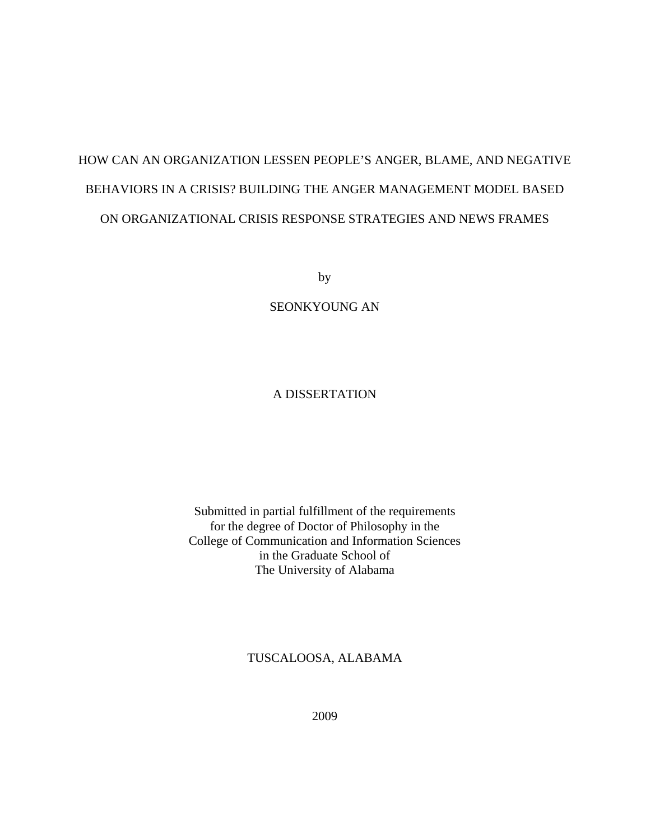# HOW CAN AN ORGANIZATION LESSEN PEOPLE'S ANGER, BLAME, AND NEGATIVE BEHAVIORS IN A CRISIS? BUILDING THE ANGER MANAGEMENT MODEL BASED ON ORGANIZATIONAL CRISIS RESPONSE STRATEGIES AND NEWS FRAMES

by

SEONKYOUNG AN

#### A DISSERTATION

#### Submitted in partial fulfillment of the requirements for the degree of Doctor of Philosophy in the College of Communication and Information Sciences in the Graduate School of The University of Alabama

#### TUSCALOOSA, ALABAMA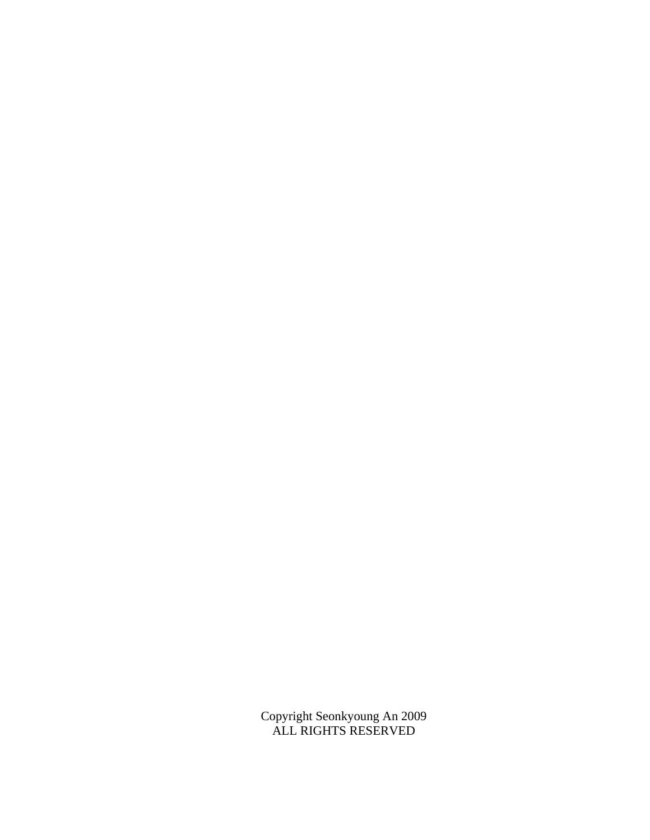Copyright Seonkyoung An 2009 ALL RIGHTS RESERVED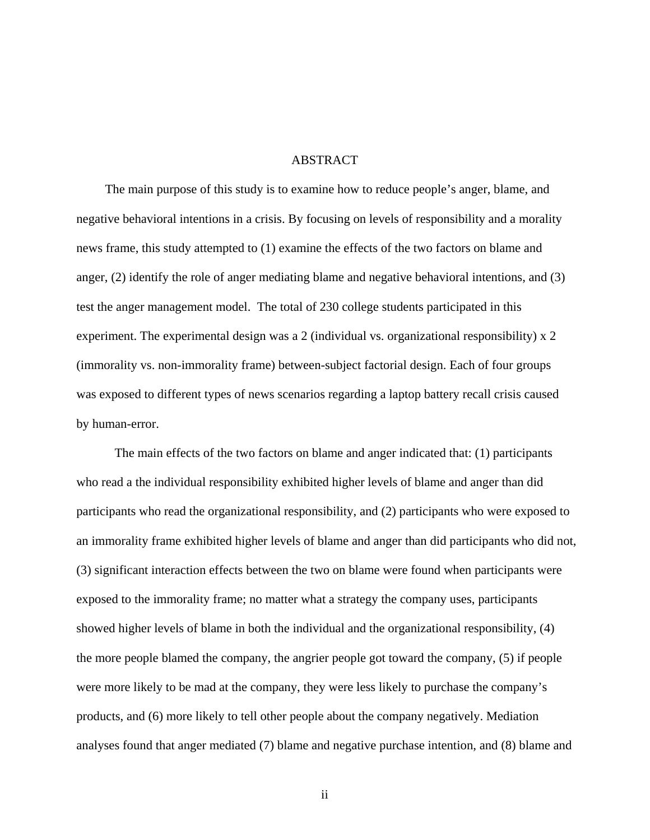#### ABSTRACT

The main purpose of this study is to examine how to reduce people's anger, blame, and negative behavioral intentions in a crisis. By focusing on levels of responsibility and a morality news frame, this study attempted to (1) examine the effects of the two factors on blame and anger, (2) identify the role of anger mediating blame and negative behavioral intentions, and (3) test the anger management model. The total of 230 college students participated in this experiment. The experimental design was a 2 (individual vs. organizational responsibility) x 2 (immorality vs. non-immorality frame) between-subject factorial design. Each of four groups was exposed to different types of news scenarios regarding a laptop battery recall crisis caused by human-error.

The main effects of the two factors on blame and anger indicated that: (1) participants who read a the individual responsibility exhibited higher levels of blame and anger than did participants who read the organizational responsibility, and (2) participants who were exposed to an immorality frame exhibited higher levels of blame and anger than did participants who did not, (3) significant interaction effects between the two on blame were found when participants were exposed to the immorality frame; no matter what a strategy the company uses, participants showed higher levels of blame in both the individual and the organizational responsibility, (4) the more people blamed the company, the angrier people got toward the company, (5) if people were more likely to be mad at the company, they were less likely to purchase the company's products, and (6) more likely to tell other people about the company negatively. Mediation analyses found that anger mediated (7) blame and negative purchase intention, and (8) blame and

ii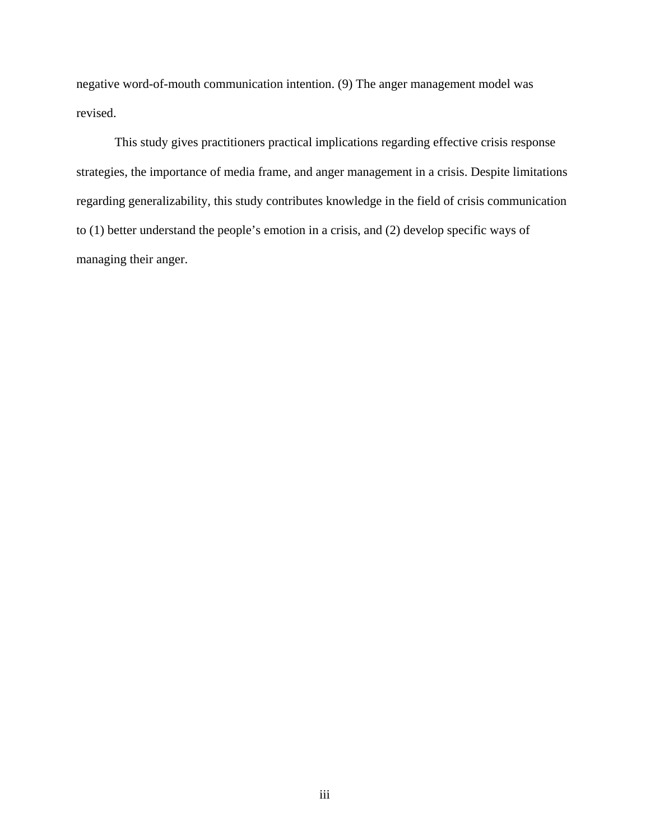negative word-of-mouth communication intention. (9) The anger management model was revised.

This study gives practitioners practical implications regarding effective crisis response strategies, the importance of media frame, and anger management in a crisis. Despite limitations regarding generalizability, this study contributes knowledge in the field of crisis communication to (1) better understand the people's emotion in a crisis, and (2) develop specific ways of managing their anger.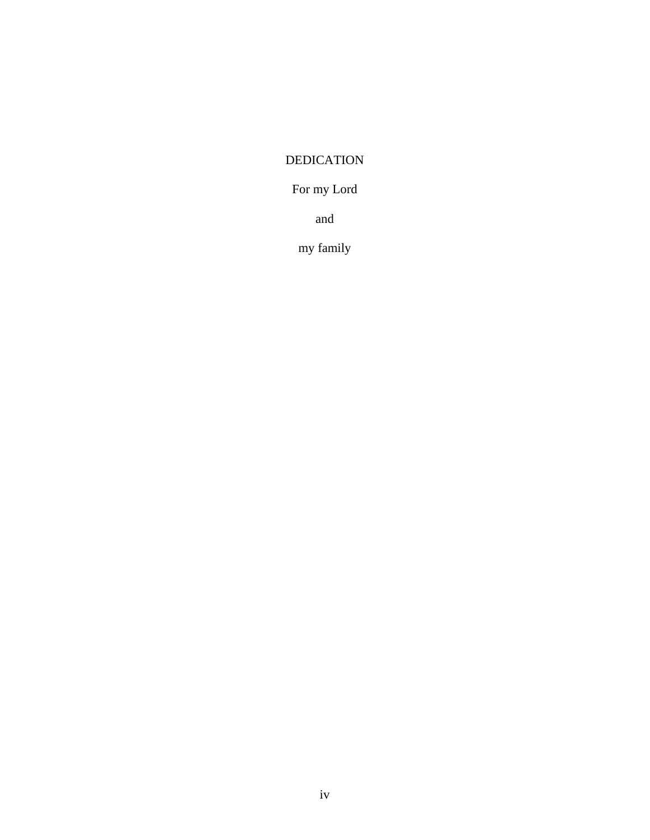## DEDICATION

## For my Lord

and

my family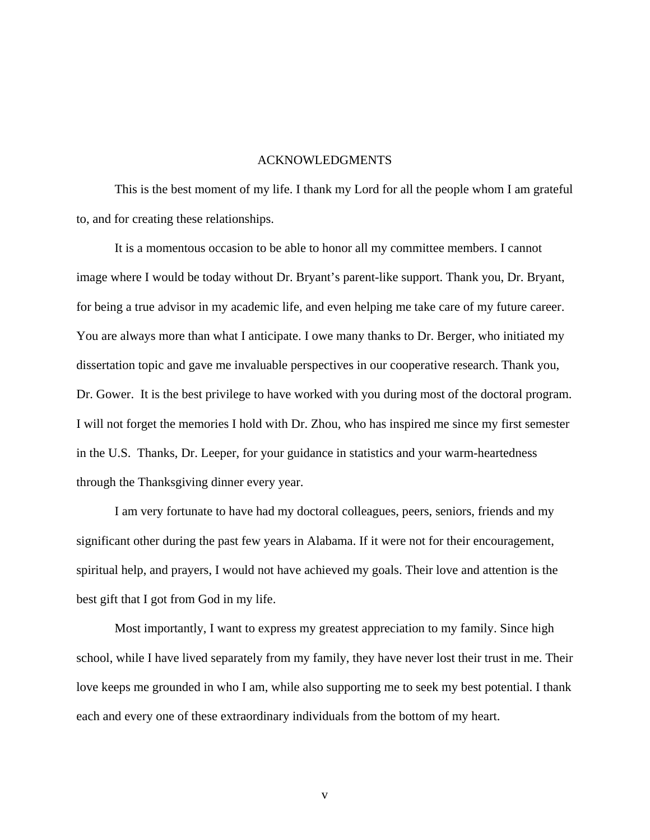#### ACKNOWLEDGMENTS

This is the best moment of my life. I thank my Lord for all the people whom I am grateful to, and for creating these relationships.

It is a momentous occasion to be able to honor all my committee members. I cannot image where I would be today without Dr. Bryant's parent-like support. Thank you, Dr. Bryant, for being a true advisor in my academic life, and even helping me take care of my future career. You are always more than what I anticipate. I owe many thanks to Dr. Berger, who initiated my dissertation topic and gave me invaluable perspectives in our cooperative research. Thank you, Dr. Gower. It is the best privilege to have worked with you during most of the doctoral program. I will not forget the memories I hold with Dr. Zhou, who has inspired me since my first semester in the U.S. Thanks, Dr. Leeper, for your guidance in statistics and your warm-heartedness through the Thanksgiving dinner every year.

I am very fortunate to have had my doctoral colleagues, peers, seniors, friends and my significant other during the past few years in Alabama. If it were not for their encouragement, spiritual help, and prayers, I would not have achieved my goals. Their love and attention is the best gift that I got from God in my life.

Most importantly, I want to express my greatest appreciation to my family. Since high school, while I have lived separately from my family, they have never lost their trust in me. Their love keeps me grounded in who I am, while also supporting me to seek my best potential. I thank each and every one of these extraordinary individuals from the bottom of my heart.

v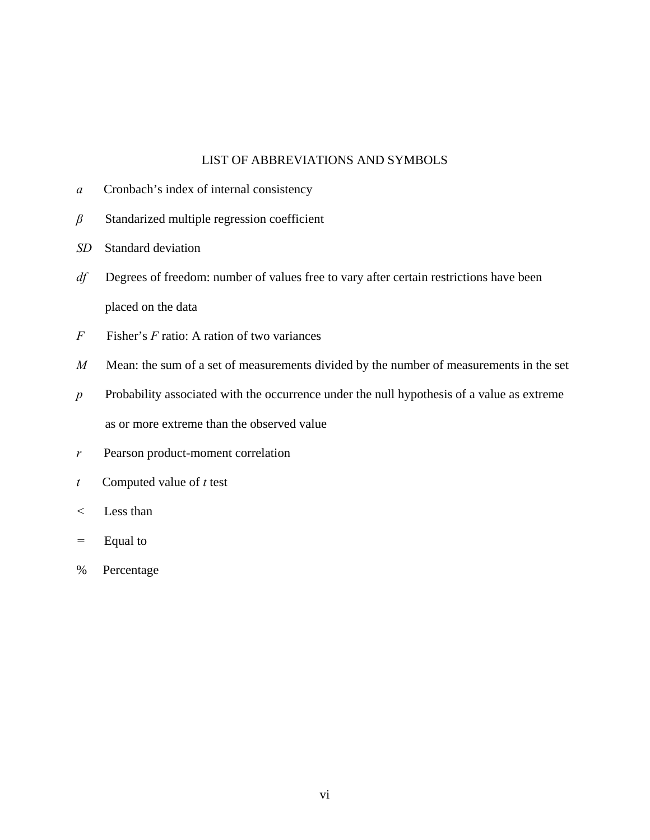#### LIST OF ABBREVIATIONS AND SYMBOLS

- *a* Cronbach's index of internal consistency
- *β* Standarized multiple regression coefficient
- *SD* Standard deviation
- *df* Degrees of freedom: number of values free to vary after certain restrictions have been placed on the data
- *F* Fisher's *F* ratio: A ration of two variances
- *M* Mean: the sum of a set of measurements divided by the number of measurements in the set
- *p* Probability associated with the occurrence under the null hypothesis of a value as extreme as or more extreme than the observed value
- *r* Pearson product-moment correlation
- *t* Computed value of *t* test
- *<* Less than
- *=* Equal to
- % Percentage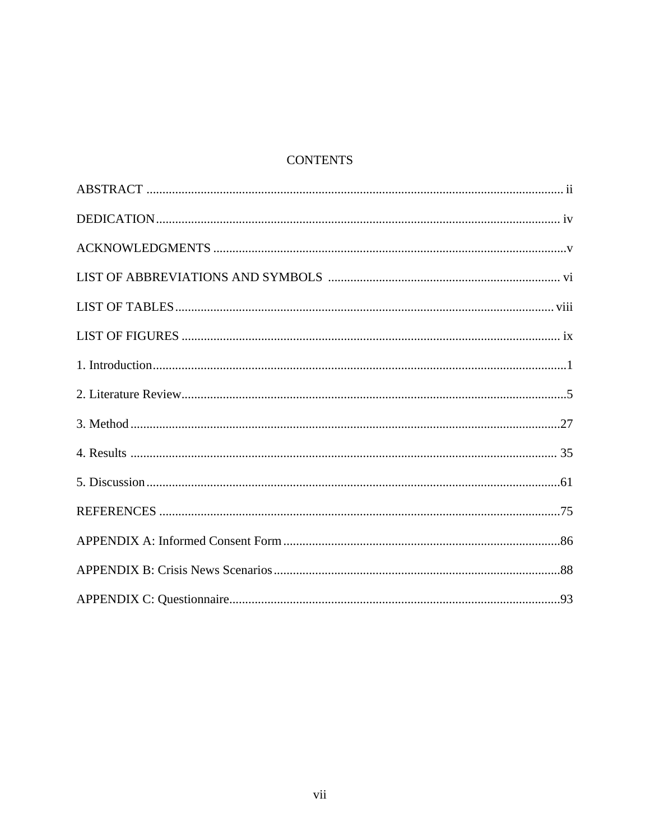## **CONTENTS**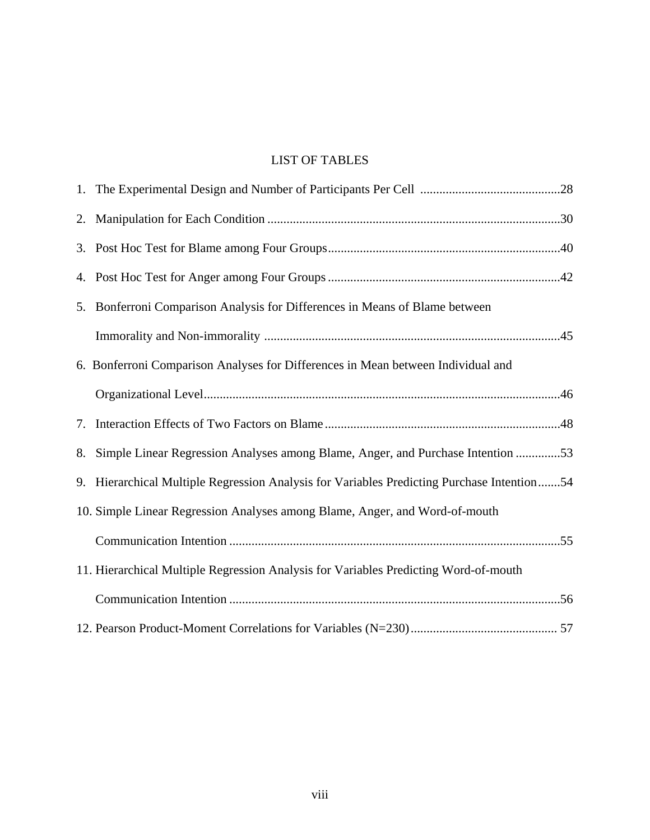## LIST OF TABLES

|    | 5. Bonferroni Comparison Analysis for Differences in Means of Blame between                |  |
|----|--------------------------------------------------------------------------------------------|--|
|    |                                                                                            |  |
|    | 6. Bonferroni Comparison Analyses for Differences in Mean between Individual and           |  |
|    |                                                                                            |  |
| 7. |                                                                                            |  |
|    | 8. Simple Linear Regression Analyses among Blame, Anger, and Purchase Intention 53         |  |
|    | 9. Hierarchical Multiple Regression Analysis for Variables Predicting Purchase Intention54 |  |
|    | 10. Simple Linear Regression Analyses among Blame, Anger, and Word-of-mouth                |  |
|    |                                                                                            |  |
|    | 11. Hierarchical Multiple Regression Analysis for Variables Predicting Word-of-mouth       |  |
|    |                                                                                            |  |
|    |                                                                                            |  |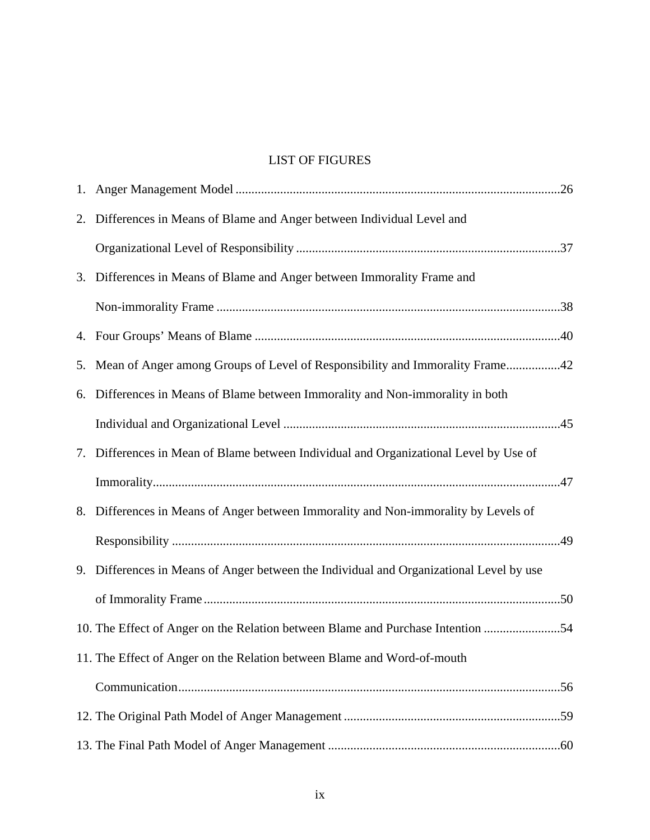## LIST OF FIGURES

| 2. | Differences in Means of Blame and Anger between Individual Level and                    |  |
|----|-----------------------------------------------------------------------------------------|--|
|    |                                                                                         |  |
|    | 3. Differences in Means of Blame and Anger between Immorality Frame and                 |  |
|    |                                                                                         |  |
|    |                                                                                         |  |
|    | 5. Mean of Anger among Groups of Level of Responsibility and Immorality Frame42         |  |
|    | 6. Differences in Means of Blame between Immorality and Non-immorality in both          |  |
|    |                                                                                         |  |
|    | 7. Differences in Mean of Blame between Individual and Organizational Level by Use of   |  |
|    |                                                                                         |  |
|    | 8. Differences in Means of Anger between Immorality and Non-immorality by Levels of     |  |
|    |                                                                                         |  |
|    | 9. Differences in Means of Anger between the Individual and Organizational Level by use |  |
|    |                                                                                         |  |
|    | 10. The Effect of Anger on the Relation between Blame and Purchase Intention 54         |  |
|    | 11. The Effect of Anger on the Relation between Blame and Word-of-mouth                 |  |
|    |                                                                                         |  |
|    |                                                                                         |  |
|    |                                                                                         |  |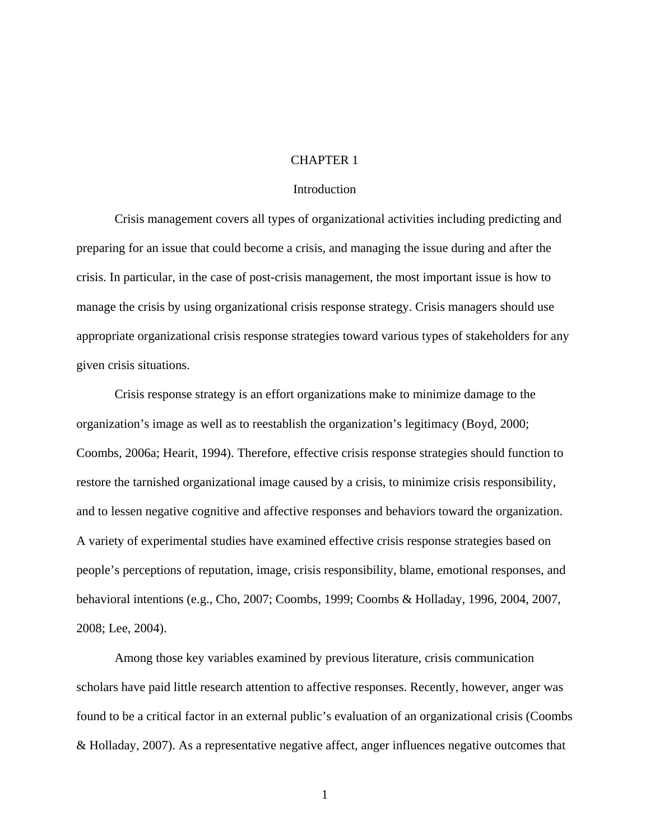#### CHAPTER 1

#### Introduction

Crisis management covers all types of organizational activities including predicting and preparing for an issue that could become a crisis, and managing the issue during and after the crisis. In particular, in the case of post-crisis management, the most important issue is how to manage the crisis by using organizational crisis response strategy. Crisis managers should use appropriate organizational crisis response strategies toward various types of stakeholders for any given crisis situations.

Crisis response strategy is an effort organizations make to minimize damage to the organization's image as well as to reestablish the organization's legitimacy (Boyd, 2000; Coombs, 2006a; Hearit, 1994). Therefore, effective crisis response strategies should function to restore the tarnished organizational image caused by a crisis, to minimize crisis responsibility, and to lessen negative cognitive and affective responses and behaviors toward the organization. A variety of experimental studies have examined effective crisis response strategies based on people's perceptions of reputation, image, crisis responsibility, blame, emotional responses, and behavioral intentions (e.g., Cho, 2007; Coombs, 1999; Coombs & Holladay, 1996, 2004, 2007, 2008; Lee, 2004).

Among those key variables examined by previous literature, crisis communication scholars have paid little research attention to affective responses. Recently, however, anger was found to be a critical factor in an external public's evaluation of an organizational crisis (Coombs & Holladay, 2007). As a representative negative affect, anger influences negative outcomes that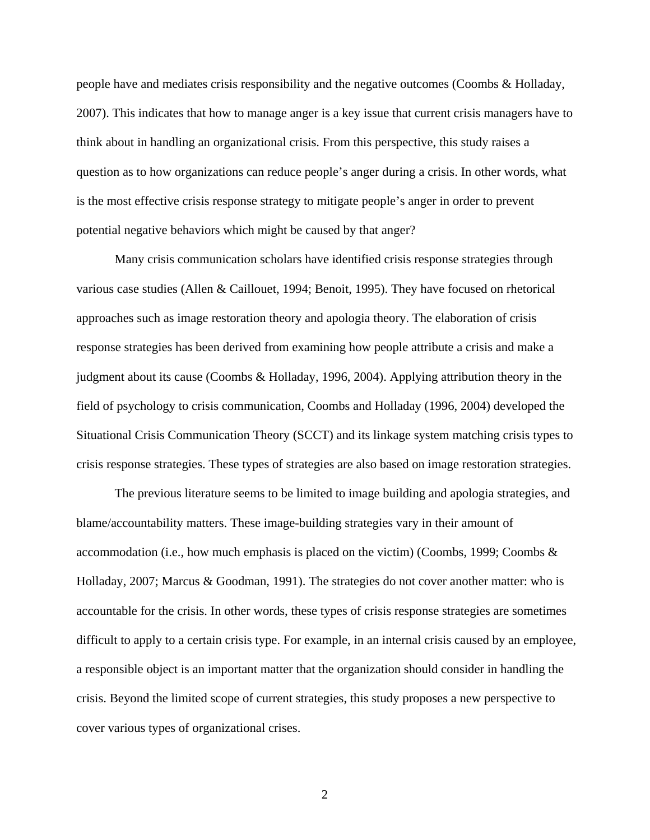people have and mediates crisis responsibility and the negative outcomes (Coombs & Holladay, 2007). This indicates that how to manage anger is a key issue that current crisis managers have to think about in handling an organizational crisis. From this perspective, this study raises a question as to how organizations can reduce people's anger during a crisis. In other words, what is the most effective crisis response strategy to mitigate people's anger in order to prevent potential negative behaviors which might be caused by that anger?

Many crisis communication scholars have identified crisis response strategies through various case studies (Allen & Caillouet, 1994; Benoit, 1995). They have focused on rhetorical approaches such as image restoration theory and apologia theory. The elaboration of crisis response strategies has been derived from examining how people attribute a crisis and make a judgment about its cause (Coombs & Holladay, 1996, 2004). Applying attribution theory in the field of psychology to crisis communication, Coombs and Holladay (1996, 2004) developed the Situational Crisis Communication Theory (SCCT) and its linkage system matching crisis types to crisis response strategies. These types of strategies are also based on image restoration strategies.

The previous literature seems to be limited to image building and apologia strategies, and blame/accountability matters. These image-building strategies vary in their amount of accommodation (i.e., how much emphasis is placed on the victim) (Coombs, 1999; Coombs  $\&$ Holladay, 2007; Marcus & Goodman, 1991). The strategies do not cover another matter: who is accountable for the crisis. In other words, these types of crisis response strategies are sometimes difficult to apply to a certain crisis type. For example, in an internal crisis caused by an employee, a responsible object is an important matter that the organization should consider in handling the crisis. Beyond the limited scope of current strategies, this study proposes a new perspective to cover various types of organizational crises.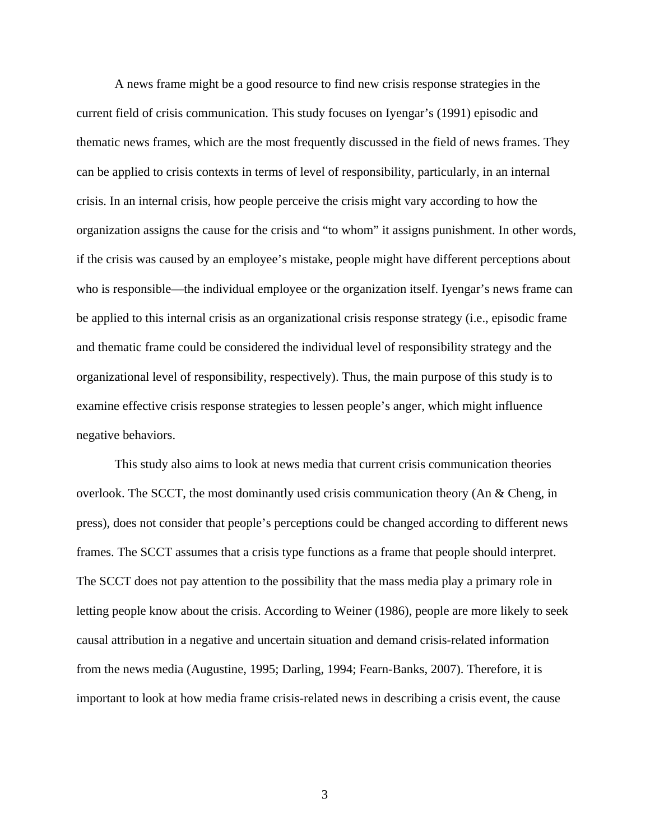A news frame might be a good resource to find new crisis response strategies in the current field of crisis communication. This study focuses on Iyengar's (1991) episodic and thematic news frames, which are the most frequently discussed in the field of news frames. They can be applied to crisis contexts in terms of level of responsibility, particularly, in an internal crisis. In an internal crisis, how people perceive the crisis might vary according to how the organization assigns the cause for the crisis and "to whom" it assigns punishment. In other words, if the crisis was caused by an employee's mistake, people might have different perceptions about who is responsible—the individual employee or the organization itself. Iyengar's news frame can be applied to this internal crisis as an organizational crisis response strategy (i.e., episodic frame and thematic frame could be considered the individual level of responsibility strategy and the organizational level of responsibility, respectively). Thus, the main purpose of this study is to examine effective crisis response strategies to lessen people's anger, which might influence negative behaviors.

This study also aims to look at news media that current crisis communication theories overlook. The SCCT, the most dominantly used crisis communication theory (An & Cheng, in press), does not consider that people's perceptions could be changed according to different news frames. The SCCT assumes that a crisis type functions as a frame that people should interpret. The SCCT does not pay attention to the possibility that the mass media play a primary role in letting people know about the crisis. According to Weiner (1986), people are more likely to seek causal attribution in a negative and uncertain situation and demand crisis-related information from the news media (Augustine, 1995; Darling, 1994; Fearn-Banks, 2007). Therefore, it is important to look at how media frame crisis-related news in describing a crisis event, the cause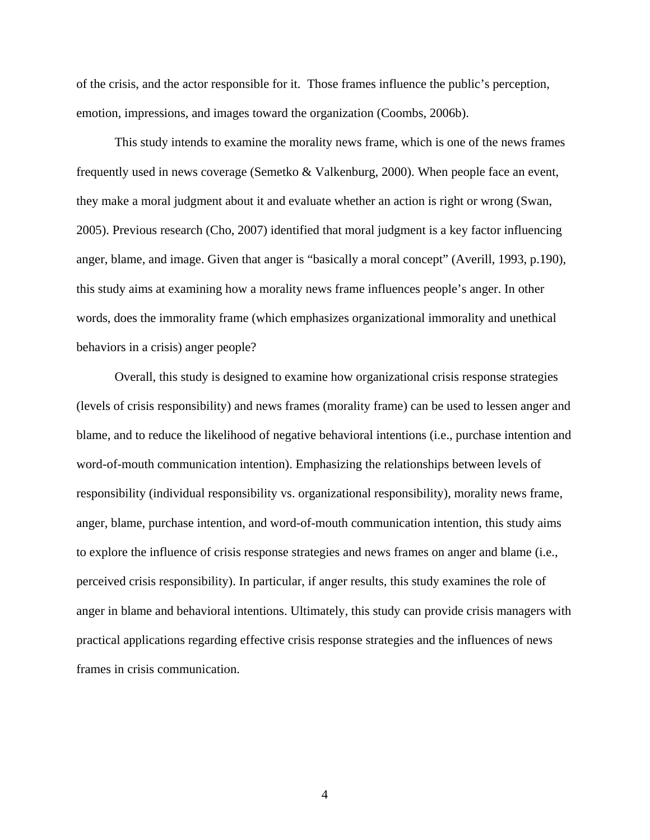of the crisis, and the actor responsible for it. Those frames influence the public's perception, emotion, impressions, and images toward the organization (Coombs, 2006b).

This study intends to examine the morality news frame, which is one of the news frames frequently used in news coverage (Semetko & Valkenburg, 2000). When people face an event, they make a moral judgment about it and evaluate whether an action is right or wrong (Swan, 2005). Previous research (Cho, 2007) identified that moral judgment is a key factor influencing anger, blame, and image. Given that anger is "basically a moral concept" (Averill, 1993, p.190), this study aims at examining how a morality news frame influences people's anger. In other words, does the immorality frame (which emphasizes organizational immorality and unethical behaviors in a crisis) anger people?

Overall, this study is designed to examine how organizational crisis response strategies (levels of crisis responsibility) and news frames (morality frame) can be used to lessen anger and blame, and to reduce the likelihood of negative behavioral intentions (i.e., purchase intention and word-of-mouth communication intention). Emphasizing the relationships between levels of responsibility (individual responsibility vs. organizational responsibility), morality news frame, anger, blame, purchase intention, and word-of-mouth communication intention, this study aims to explore the influence of crisis response strategies and news frames on anger and blame (i.e., perceived crisis responsibility). In particular, if anger results, this study examines the role of anger in blame and behavioral intentions. Ultimately, this study can provide crisis managers with practical applications regarding effective crisis response strategies and the influences of news frames in crisis communication.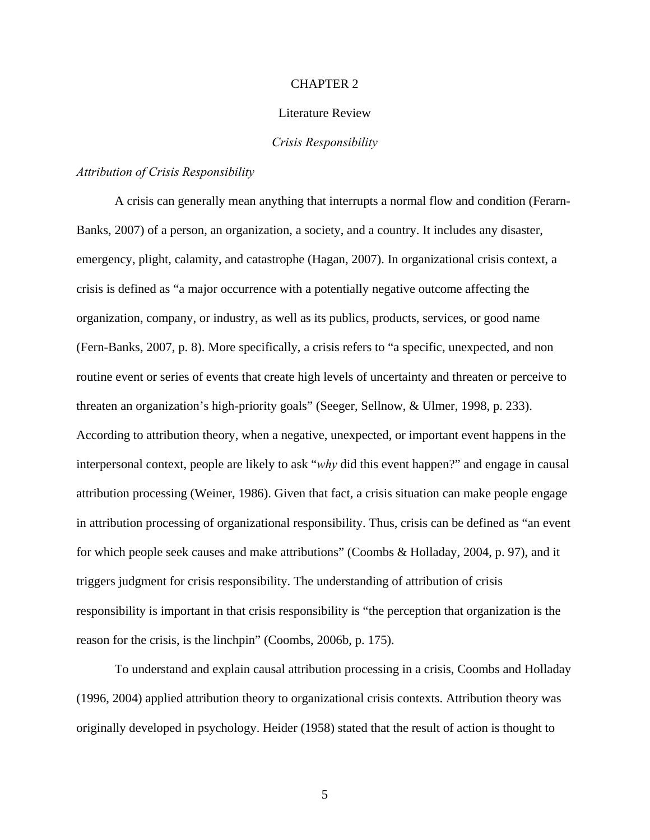#### CHAPTER 2

#### Literature Review

#### *Crisis Responsibility*

#### *Attribution of Crisis Responsibility*

A crisis can generally mean anything that interrupts a normal flow and condition (Ferarn-Banks, 2007) of a person, an organization, a society, and a country. It includes any disaster, emergency, plight, calamity, and catastrophe (Hagan, 2007). In organizational crisis context, a crisis is defined as "a major occurrence with a potentially negative outcome affecting the organization, company, or industry, as well as its publics, products, services, or good name (Fern-Banks, 2007, p. 8). More specifically, a crisis refers to "a specific, unexpected, and non routine event or series of events that create high levels of uncertainty and threaten or perceive to threaten an organization's high-priority goals" (Seeger, Sellnow, & Ulmer, 1998, p. 233). According to attribution theory, when a negative, unexpected, or important event happens in the interpersonal context, people are likely to ask "*why* did this event happen?" and engage in causal attribution processing (Weiner, 1986). Given that fact, a crisis situation can make people engage in attribution processing of organizational responsibility. Thus, crisis can be defined as "an event for which people seek causes and make attributions" (Coombs & Holladay, 2004, p. 97), and it triggers judgment for crisis responsibility. The understanding of attribution of crisis responsibility is important in that crisis responsibility is "the perception that organization is the reason for the crisis, is the linchpin" (Coombs, 2006b, p. 175).

To understand and explain causal attribution processing in a crisis, Coombs and Holladay (1996, 2004) applied attribution theory to organizational crisis contexts. Attribution theory was originally developed in psychology. Heider (1958) stated that the result of action is thought to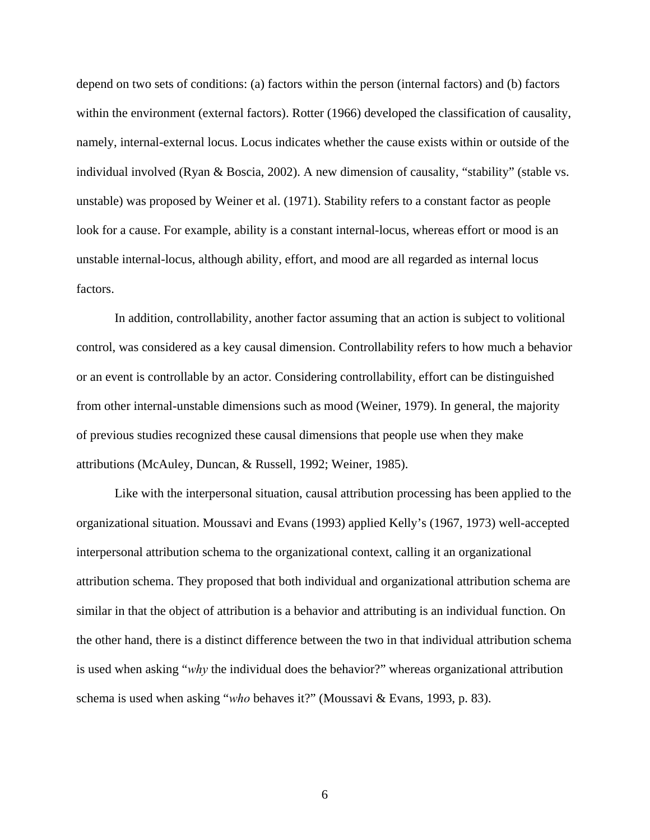depend on two sets of conditions: (a) factors within the person (internal factors) and (b) factors within the environment (external factors). Rotter (1966) developed the classification of causality, namely, internal-external locus. Locus indicates whether the cause exists within or outside of the individual involved (Ryan & Boscia, 2002). A new dimension of causality, "stability" (stable vs. unstable) was proposed by Weiner et al. (1971). Stability refers to a constant factor as people look for a cause. For example, ability is a constant internal-locus, whereas effort or mood is an unstable internal-locus, although ability, effort, and mood are all regarded as internal locus factors.

In addition, controllability, another factor assuming that an action is subject to volitional control, was considered as a key causal dimension. Controllability refers to how much a behavior or an event is controllable by an actor. Considering controllability, effort can be distinguished from other internal-unstable dimensions such as mood (Weiner, 1979). In general, the majority of previous studies recognized these causal dimensions that people use when they make attributions (McAuley, Duncan, & Russell, 1992; Weiner, 1985).

Like with the interpersonal situation, causal attribution processing has been applied to the organizational situation. Moussavi and Evans (1993) applied Kelly's (1967, 1973) well-accepted interpersonal attribution schema to the organizational context, calling it an organizational attribution schema. They proposed that both individual and organizational attribution schema are similar in that the object of attribution is a behavior and attributing is an individual function. On the other hand, there is a distinct difference between the two in that individual attribution schema is used when asking "*why* the individual does the behavior?" whereas organizational attribution schema is used when asking "*who* behaves it?" (Moussavi & Evans, 1993, p. 83).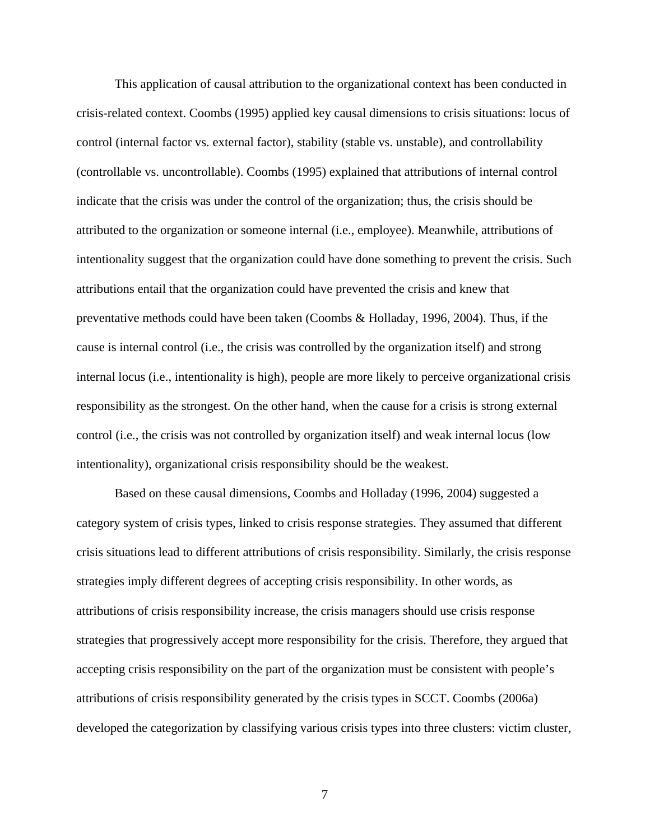This application of causal attribution to the organizational context has been conducted in crisis-related context. Coombs (1995) applied key causal dimensions to crisis situations: locus of control (internal factor vs. external factor), stability (stable vs. unstable), and controllability (controllable vs. uncontrollable). Coombs (1995) explained that attributions of internal control indicate that the crisis was under the control of the organization; thus, the crisis should be attributed to the organization or someone internal (i.e., employee). Meanwhile, attributions of intentionality suggest that the organization could have done something to prevent the crisis. Such attributions entail that the organization could have prevented the crisis and knew that preventative methods could have been taken (Coombs & Holladay, 1996, 2004). Thus, if the cause is internal control (i.e., the crisis was controlled by the organization itself) and strong internal locus (i.e., intentionality is high), people are more likely to perceive organizational crisis responsibility as the strongest. On the other hand, when the cause for a crisis is strong external control (i.e., the crisis was not controlled by organization itself) and weak internal locus (low intentionality), organizational crisis responsibility should be the weakest.

Based on these causal dimensions, Coombs and Holladay (1996, 2004) suggested a category system of crisis types, linked to crisis response strategies. They assumed that different crisis situations lead to different attributions of crisis responsibility. Similarly, the crisis response strategies imply different degrees of accepting crisis responsibility. In other words, as attributions of crisis responsibility increase, the crisis managers should use crisis response strategies that progressively accept more responsibility for the crisis. Therefore, they argued that accepting crisis responsibility on the part of the organization must be consistent with people's attributions of crisis responsibility generated by the crisis types in SCCT. Coombs (2006a) developed the categorization by classifying various crisis types into three clusters: victim cluster,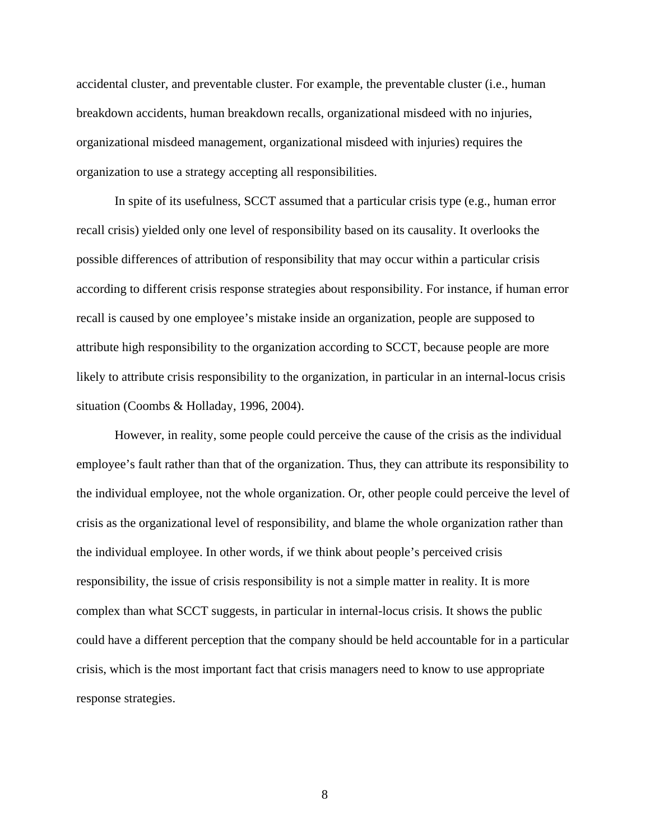accidental cluster, and preventable cluster. For example, the preventable cluster (i.e., human breakdown accidents, human breakdown recalls, organizational misdeed with no injuries, organizational misdeed management, organizational misdeed with injuries) requires the organization to use a strategy accepting all responsibilities.

In spite of its usefulness, SCCT assumed that a particular crisis type (e.g., human error recall crisis) yielded only one level of responsibility based on its causality. It overlooks the possible differences of attribution of responsibility that may occur within a particular crisis according to different crisis response strategies about responsibility. For instance, if human error recall is caused by one employee's mistake inside an organization, people are supposed to attribute high responsibility to the organization according to SCCT, because people are more likely to attribute crisis responsibility to the organization, in particular in an internal-locus crisis situation (Coombs & Holladay, 1996, 2004).

However, in reality, some people could perceive the cause of the crisis as the individual employee's fault rather than that of the organization. Thus, they can attribute its responsibility to the individual employee, not the whole organization. Or, other people could perceive the level of crisis as the organizational level of responsibility, and blame the whole organization rather than the individual employee. In other words, if we think about people's perceived crisis responsibility, the issue of crisis responsibility is not a simple matter in reality. It is more complex than what SCCT suggests, in particular in internal-locus crisis. It shows the public could have a different perception that the company should be held accountable for in a particular crisis, which is the most important fact that crisis managers need to know to use appropriate response strategies.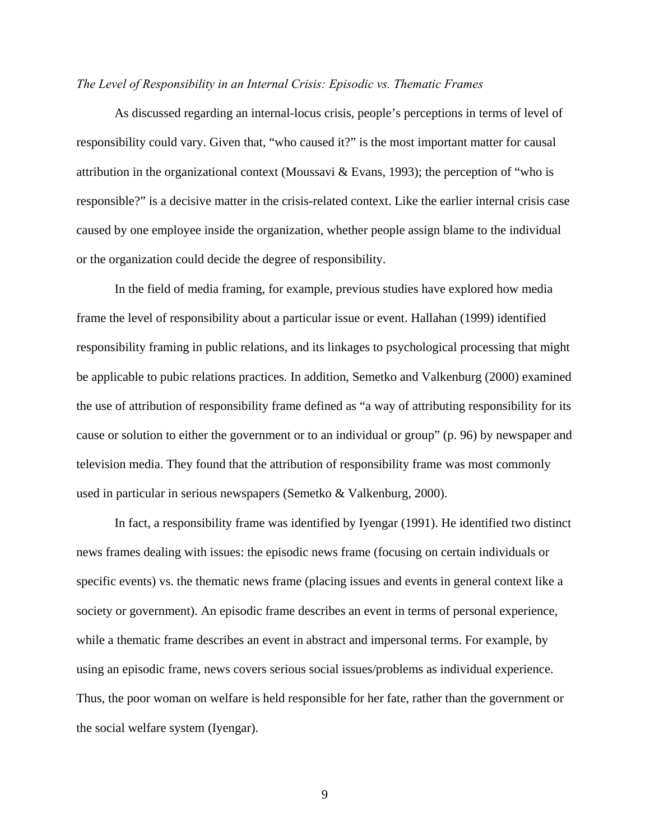#### *The Level of Responsibility in an Internal Crisis: Episodic vs. Thematic Frames*

As discussed regarding an internal-locus crisis, people's perceptions in terms of level of responsibility could vary. Given that, "who caused it?" is the most important matter for causal attribution in the organizational context (Moussavi & Evans, 1993); the perception of "who is responsible?" is a decisive matter in the crisis-related context. Like the earlier internal crisis case caused by one employee inside the organization, whether people assign blame to the individual or the organization could decide the degree of responsibility.

In the field of media framing, for example, previous studies have explored how media frame the level of responsibility about a particular issue or event. Hallahan (1999) identified responsibility framing in public relations, and its linkages to psychological processing that might be applicable to pubic relations practices. In addition, Semetko and Valkenburg (2000) examined the use of attribution of responsibility frame defined as "a way of attributing responsibility for its cause or solution to either the government or to an individual or group" (p. 96) by newspaper and television media. They found that the attribution of responsibility frame was most commonly used in particular in serious newspapers (Semetko & Valkenburg, 2000).

In fact, a responsibility frame was identified by Iyengar (1991). He identified two distinct news frames dealing with issues: the episodic news frame (focusing on certain individuals or specific events) vs. the thematic news frame (placing issues and events in general context like a society or government). An episodic frame describes an event in terms of personal experience, while a thematic frame describes an event in abstract and impersonal terms. For example, by using an episodic frame, news covers serious social issues/problems as individual experience. Thus, the poor woman on welfare is held responsible for her fate, rather than the government or the social welfare system (Iyengar).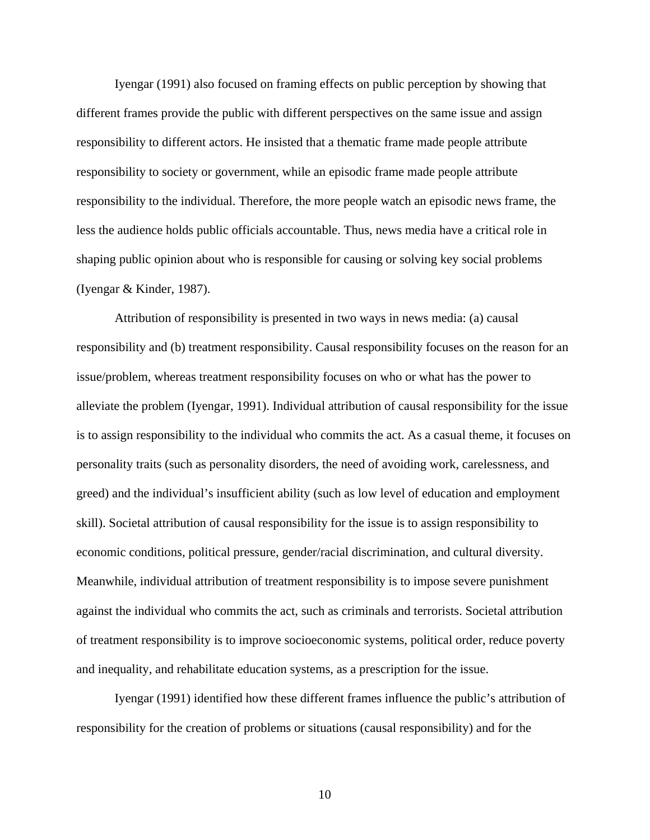Iyengar (1991) also focused on framing effects on public perception by showing that different frames provide the public with different perspectives on the same issue and assign responsibility to different actors. He insisted that a thematic frame made people attribute responsibility to society or government, while an episodic frame made people attribute responsibility to the individual. Therefore, the more people watch an episodic news frame, the less the audience holds public officials accountable. Thus, news media have a critical role in shaping public opinion about who is responsible for causing or solving key social problems (Iyengar & Kinder, 1987).

Attribution of responsibility is presented in two ways in news media: (a) causal responsibility and (b) treatment responsibility. Causal responsibility focuses on the reason for an issue/problem, whereas treatment responsibility focuses on who or what has the power to alleviate the problem (Iyengar, 1991). Individual attribution of causal responsibility for the issue is to assign responsibility to the individual who commits the act. As a casual theme, it focuses on personality traits (such as personality disorders, the need of avoiding work, carelessness, and greed) and the individual's insufficient ability (such as low level of education and employment skill). Societal attribution of causal responsibility for the issue is to assign responsibility to economic conditions, political pressure, gender/racial discrimination, and cultural diversity. Meanwhile, individual attribution of treatment responsibility is to impose severe punishment against the individual who commits the act, such as criminals and terrorists. Societal attribution of treatment responsibility is to improve socioeconomic systems, political order, reduce poverty and inequality, and rehabilitate education systems, as a prescription for the issue.

Iyengar (1991) identified how these different frames influence the public's attribution of responsibility for the creation of problems or situations (causal responsibility) and for the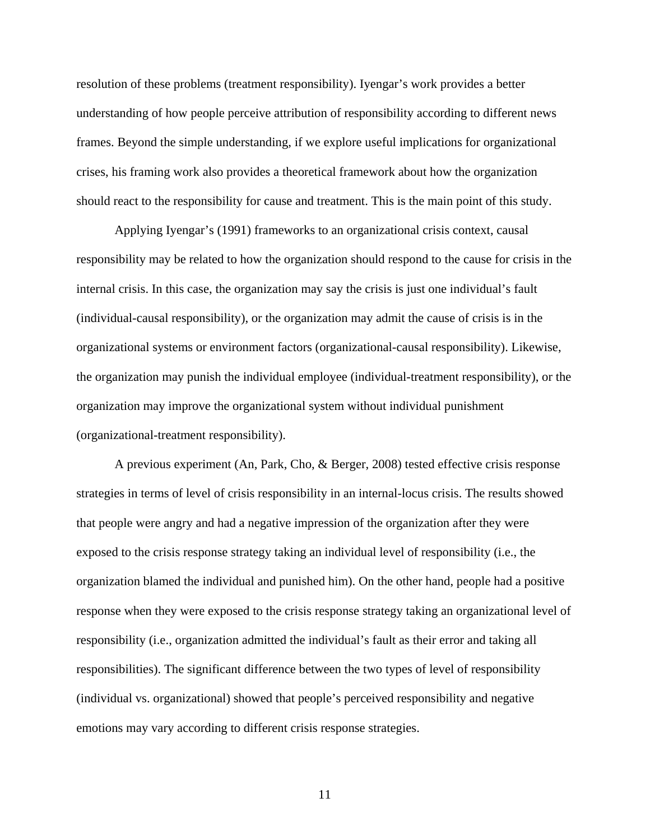resolution of these problems (treatment responsibility). Iyengar's work provides a better understanding of how people perceive attribution of responsibility according to different news frames. Beyond the simple understanding, if we explore useful implications for organizational crises, his framing work also provides a theoretical framework about how the organization should react to the responsibility for cause and treatment. This is the main point of this study.

Applying Iyengar's (1991) frameworks to an organizational crisis context, causal responsibility may be related to how the organization should respond to the cause for crisis in the internal crisis. In this case, the organization may say the crisis is just one individual's fault (individual-causal responsibility), or the organization may admit the cause of crisis is in the organizational systems or environment factors (organizational-causal responsibility). Likewise, the organization may punish the individual employee (individual-treatment responsibility), or the organization may improve the organizational system without individual punishment (organizational-treatment responsibility).

A previous experiment (An, Park, Cho, & Berger, 2008) tested effective crisis response strategies in terms of level of crisis responsibility in an internal-locus crisis. The results showed that people were angry and had a negative impression of the organization after they were exposed to the crisis response strategy taking an individual level of responsibility (i.e., the organization blamed the individual and punished him). On the other hand, people had a positive response when they were exposed to the crisis response strategy taking an organizational level of responsibility (i.e., organization admitted the individual's fault as their error and taking all responsibilities). The significant difference between the two types of level of responsibility (individual vs. organizational) showed that people's perceived responsibility and negative emotions may vary according to different crisis response strategies.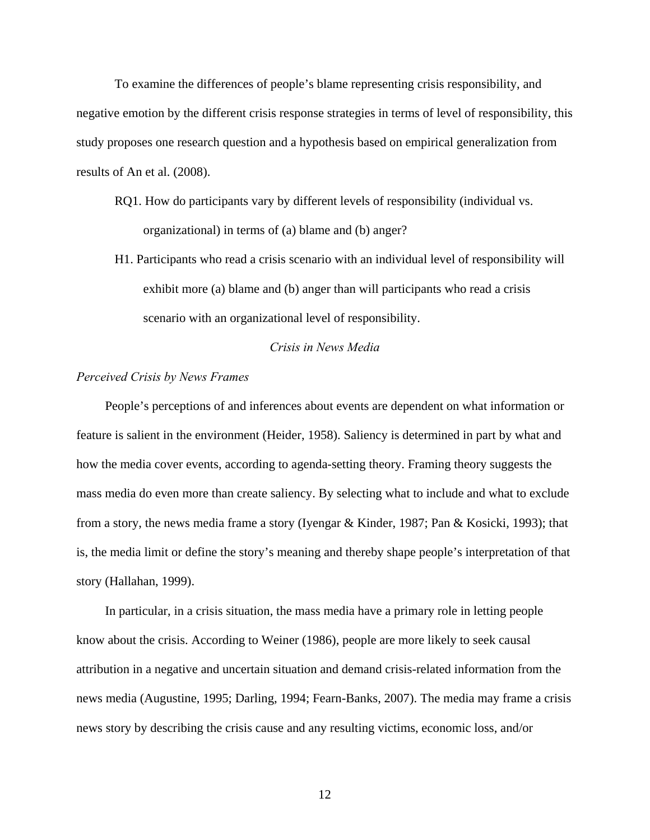To examine the differences of people's blame representing crisis responsibility, and negative emotion by the different crisis response strategies in terms of level of responsibility, this study proposes one research question and a hypothesis based on empirical generalization from results of An et al. (2008).

RQ1. How do participants vary by different levels of responsibility (individual vs. organizational) in terms of (a) blame and (b) anger?

H1. Participants who read a crisis scenario with an individual level of responsibility will exhibit more (a) blame and (b) anger than will participants who read a crisis scenario with an organizational level of responsibility.

#### *Crisis in News Media*

#### *Perceived Crisis by News Frames*

People's perceptions of and inferences about events are dependent on what information or feature is salient in the environment (Heider, 1958). Saliency is determined in part by what and how the media cover events, according to agenda-setting theory. Framing theory suggests the mass media do even more than create saliency. By selecting what to include and what to exclude from a story, the news media frame a story (Iyengar & Kinder, 1987; Pan & Kosicki, 1993); that is, the media limit or define the story's meaning and thereby shape people's interpretation of that story (Hallahan, 1999).

In particular, in a crisis situation, the mass media have a primary role in letting people know about the crisis. According to Weiner (1986), people are more likely to seek causal attribution in a negative and uncertain situation and demand crisis-related information from the news media (Augustine, 1995; Darling, 1994; Fearn-Banks, 2007). The media may frame a crisis news story by describing the crisis cause and any resulting victims, economic loss, and/or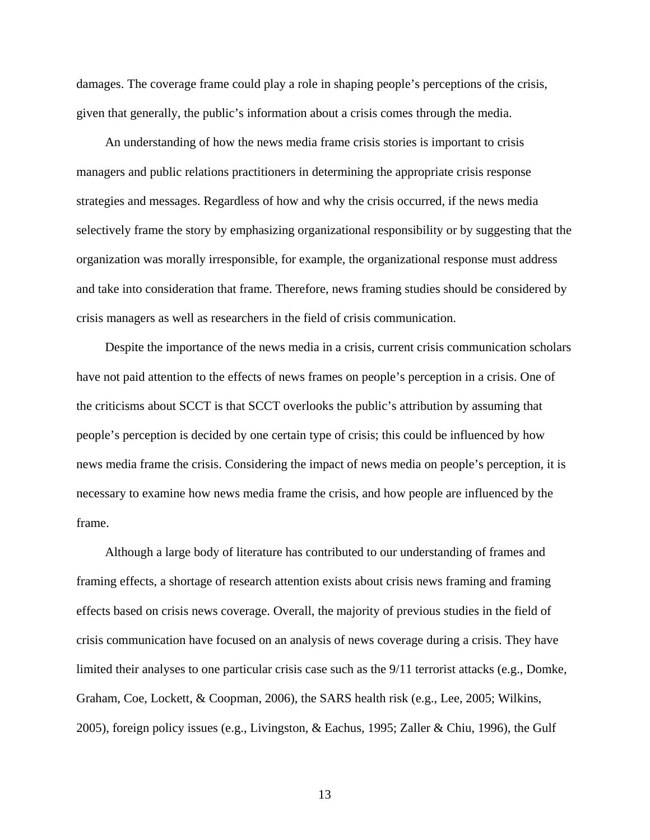damages. The coverage frame could play a role in shaping people's perceptions of the crisis, given that generally, the public's information about a crisis comes through the media.

An understanding of how the news media frame crisis stories is important to crisis managers and public relations practitioners in determining the appropriate crisis response strategies and messages. Regardless of how and why the crisis occurred, if the news media selectively frame the story by emphasizing organizational responsibility or by suggesting that the organization was morally irresponsible, for example, the organizational response must address and take into consideration that frame. Therefore, news framing studies should be considered by crisis managers as well as researchers in the field of crisis communication.

Despite the importance of the news media in a crisis, current crisis communication scholars have not paid attention to the effects of news frames on people's perception in a crisis. One of the criticisms about SCCT is that SCCT overlooks the public's attribution by assuming that people's perception is decided by one certain type of crisis; this could be influenced by how news media frame the crisis. Considering the impact of news media on people's perception, it is necessary to examine how news media frame the crisis, and how people are influenced by the frame.

Although a large body of literature has contributed to our understanding of frames and framing effects, a shortage of research attention exists about crisis news framing and framing effects based on crisis news coverage. Overall, the majority of previous studies in the field of crisis communication have focused on an analysis of news coverage during a crisis. They have limited their analyses to one particular crisis case such as the 9/11 terrorist attacks (e.g., Domke, Graham, Coe, Lockett, & Coopman, 2006), the SARS health risk (e.g., Lee, 2005; Wilkins, 2005), foreign policy issues (e.g., Livingston, & Eachus, 1995; Zaller & Chiu, 1996), the Gulf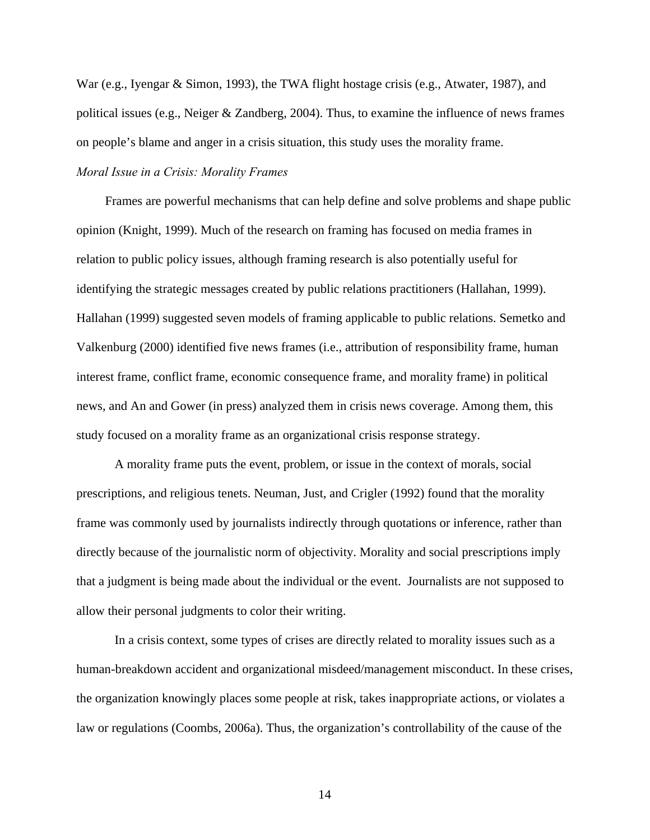War (e.g., Iyengar & Simon, 1993), the TWA flight hostage crisis (e.g., Atwater, 1987), and political issues (e.g., Neiger & Zandberg, 2004). Thus, to examine the influence of news frames on people's blame and anger in a crisis situation, this study uses the morality frame. *Moral Issue in a Crisis: Morality Frames* 

Frames are powerful mechanisms that can help define and solve problems and shape public opinion (Knight, 1999). Much of the research on framing has focused on media frames in relation to public policy issues, although framing research is also potentially useful for identifying the strategic messages created by public relations practitioners (Hallahan, 1999). Hallahan (1999) suggested seven models of framing applicable to public relations. Semetko and Valkenburg (2000) identified five news frames (i.e., attribution of responsibility frame, human interest frame, conflict frame, economic consequence frame, and morality frame) in political news, and An and Gower (in press) analyzed them in crisis news coverage. Among them, this study focused on a morality frame as an organizational crisis response strategy.

A morality frame puts the event, problem, or issue in the context of morals, social prescriptions, and religious tenets. Neuman, Just, and Crigler (1992) found that the morality frame was commonly used by journalists indirectly through quotations or inference, rather than directly because of the journalistic norm of objectivity. Morality and social prescriptions imply that a judgment is being made about the individual or the event. Journalists are not supposed to allow their personal judgments to color their writing.

In a crisis context, some types of crises are directly related to morality issues such as a human-breakdown accident and organizational misdeed/management misconduct. In these crises, the organization knowingly places some people at risk, takes inappropriate actions, or violates a law or regulations (Coombs, 2006a). Thus, the organization's controllability of the cause of the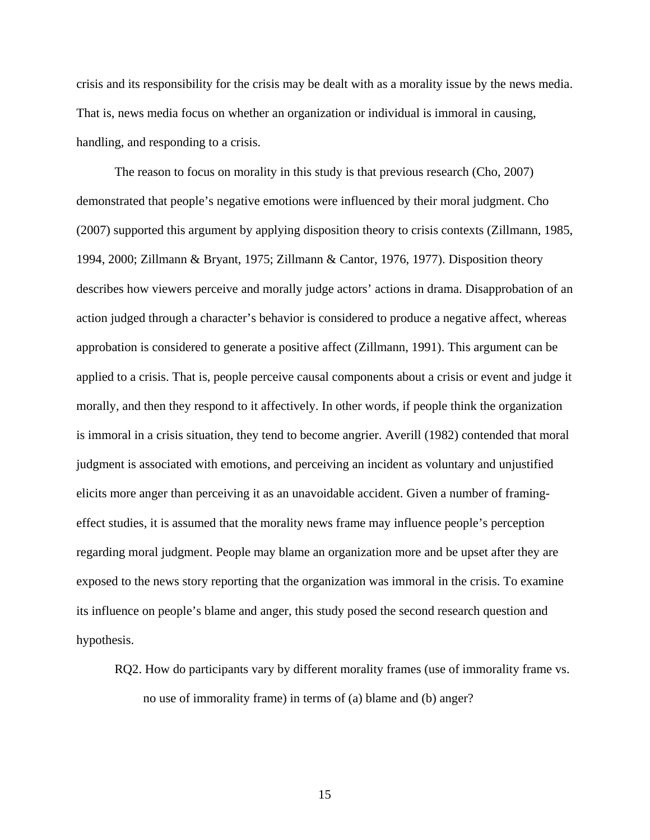crisis and its responsibility for the crisis may be dealt with as a morality issue by the news media. That is, news media focus on whether an organization or individual is immoral in causing, handling, and responding to a crisis.

The reason to focus on morality in this study is that previous research (Cho, 2007) demonstrated that people's negative emotions were influenced by their moral judgment. Cho (2007) supported this argument by applying disposition theory to crisis contexts (Zillmann, 1985, 1994, 2000; Zillmann & Bryant, 1975; Zillmann & Cantor, 1976, 1977). Disposition theory describes how viewers perceive and morally judge actors' actions in drama. Disapprobation of an action judged through a character's behavior is considered to produce a negative affect, whereas approbation is considered to generate a positive affect (Zillmann, 1991). This argument can be applied to a crisis. That is, people perceive causal components about a crisis or event and judge it morally, and then they respond to it affectively. In other words, if people think the organization is immoral in a crisis situation, they tend to become angrier. Averill (1982) contended that moral judgment is associated with emotions, and perceiving an incident as voluntary and unjustified elicits more anger than perceiving it as an unavoidable accident. Given a number of framingeffect studies, it is assumed that the morality news frame may influence people's perception regarding moral judgment. People may blame an organization more and be upset after they are exposed to the news story reporting that the organization was immoral in the crisis. To examine its influence on people's blame and anger, this study posed the second research question and hypothesis.

RQ2. How do participants vary by different morality frames (use of immorality frame vs. no use of immorality frame) in terms of (a) blame and (b) anger?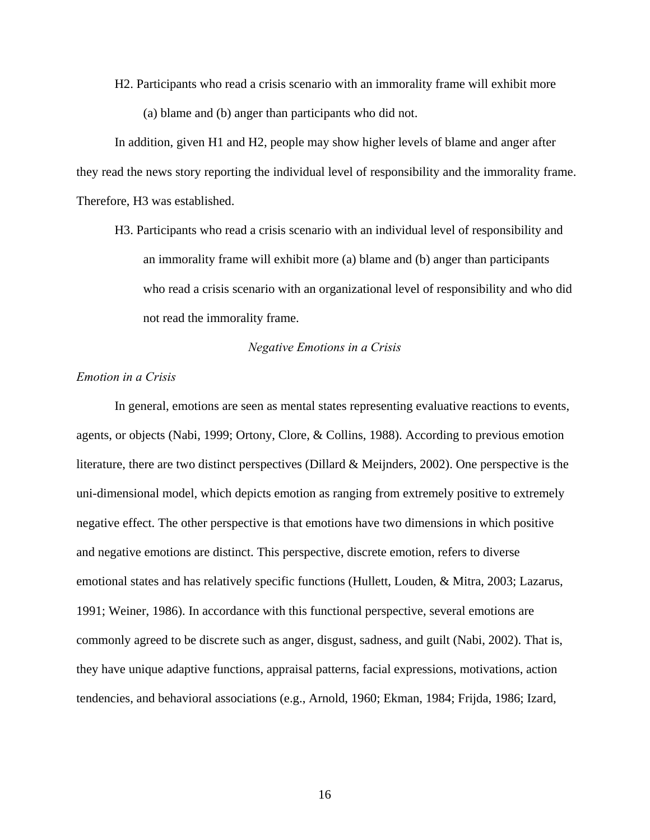H2. Participants who read a crisis scenario with an immorality frame will exhibit more (a) blame and (b) anger than participants who did not.

In addition, given H1 and H2, people may show higher levels of blame and anger after they read the news story reporting the individual level of responsibility and the immorality frame. Therefore, H3 was established.

H3. Participants who read a crisis scenario with an individual level of responsibility and an immorality frame will exhibit more (a) blame and (b) anger than participants who read a crisis scenario with an organizational level of responsibility and who did not read the immorality frame.

*Negative Emotions in a Crisis* 

#### *Emotion in a Crisis*

In general, emotions are seen as mental states representing evaluative reactions to events, agents, or objects (Nabi, 1999; Ortony, Clore, & Collins, 1988). According to previous emotion literature, there are two distinct perspectives (Dillard & Meijnders, 2002). One perspective is the uni-dimensional model, which depicts emotion as ranging from extremely positive to extremely negative effect. The other perspective is that emotions have two dimensions in which positive and negative emotions are distinct. This perspective, discrete emotion, refers to diverse emotional states and has relatively specific functions (Hullett, Louden, & Mitra, 2003; Lazarus, 1991; Weiner, 1986). In accordance with this functional perspective, several emotions are commonly agreed to be discrete such as anger, disgust, sadness, and guilt (Nabi, 2002). That is, they have unique adaptive functions, appraisal patterns, facial expressions, motivations, action tendencies, and behavioral associations (e.g., Arnold, 1960; Ekman, 1984; Frijda, 1986; Izard,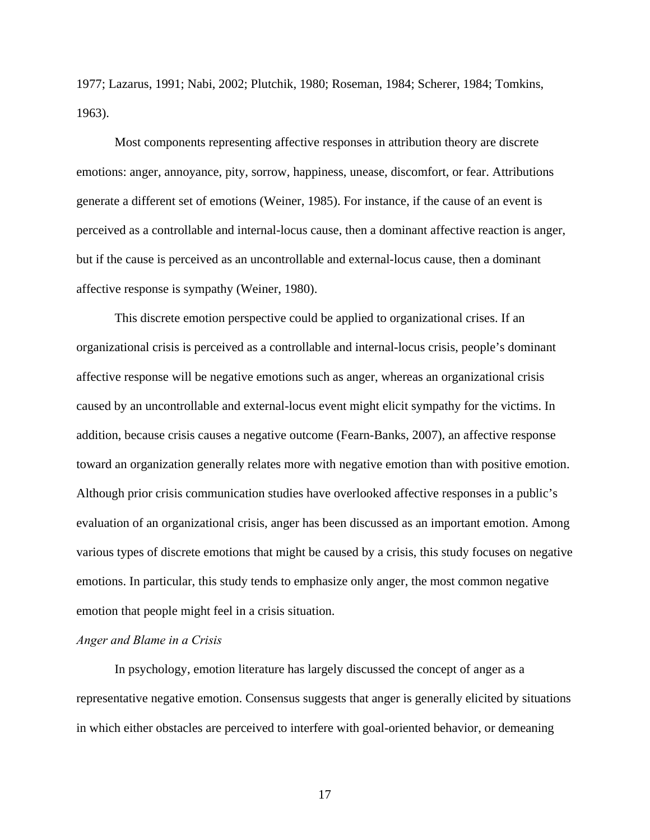1977; Lazarus, 1991; Nabi, 2002; Plutchik, 1980; Roseman, 1984; Scherer, 1984; Tomkins, 1963).

Most components representing affective responses in attribution theory are discrete emotions: anger, annoyance, pity, sorrow, happiness, unease, discomfort, or fear. Attributions generate a different set of emotions (Weiner, 1985). For instance, if the cause of an event is perceived as a controllable and internal-locus cause, then a dominant affective reaction is anger, but if the cause is perceived as an uncontrollable and external-locus cause, then a dominant affective response is sympathy (Weiner, 1980).

This discrete emotion perspective could be applied to organizational crises. If an organizational crisis is perceived as a controllable and internal-locus crisis, people's dominant affective response will be negative emotions such as anger, whereas an organizational crisis caused by an uncontrollable and external-locus event might elicit sympathy for the victims. In addition, because crisis causes a negative outcome (Fearn-Banks, 2007), an affective response toward an organization generally relates more with negative emotion than with positive emotion. Although prior crisis communication studies have overlooked affective responses in a public's evaluation of an organizational crisis, anger has been discussed as an important emotion. Among various types of discrete emotions that might be caused by a crisis, this study focuses on negative emotions. In particular, this study tends to emphasize only anger, the most common negative emotion that people might feel in a crisis situation.

#### *Anger and Blame in a Crisis*

In psychology, emotion literature has largely discussed the concept of anger as a representative negative emotion. Consensus suggests that anger is generally elicited by situations in which either obstacles are perceived to interfere with goal-oriented behavior, or demeaning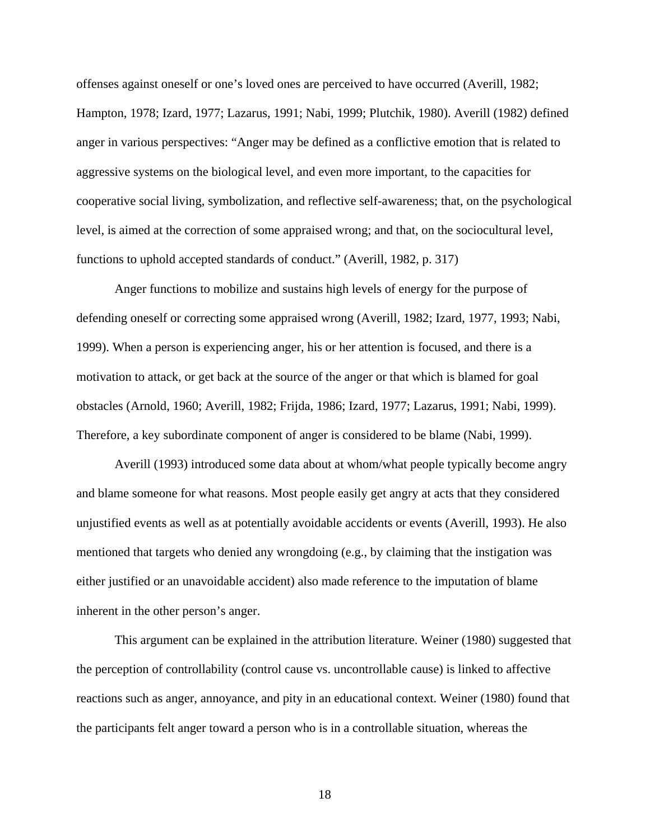offenses against oneself or one's loved ones are perceived to have occurred (Averill, 1982; Hampton, 1978; Izard, 1977; Lazarus, 1991; Nabi, 1999; Plutchik, 1980). Averill (1982) defined anger in various perspectives: "Anger may be defined as a conflictive emotion that is related to aggressive systems on the biological level, and even more important, to the capacities for cooperative social living, symbolization, and reflective self-awareness; that, on the psychological level, is aimed at the correction of some appraised wrong; and that, on the sociocultural level, functions to uphold accepted standards of conduct." (Averill, 1982, p. 317)

Anger functions to mobilize and sustains high levels of energy for the purpose of defending oneself or correcting some appraised wrong (Averill, 1982; Izard, 1977, 1993; Nabi, 1999). When a person is experiencing anger, his or her attention is focused, and there is a motivation to attack, or get back at the source of the anger or that which is blamed for goal obstacles (Arnold, 1960; Averill, 1982; Frijda, 1986; Izard, 1977; Lazarus, 1991; Nabi, 1999). Therefore, a key subordinate component of anger is considered to be blame (Nabi, 1999).

Averill (1993) introduced some data about at whom/what people typically become angry and blame someone for what reasons. Most people easily get angry at acts that they considered unjustified events as well as at potentially avoidable accidents or events (Averill, 1993). He also mentioned that targets who denied any wrongdoing (e.g., by claiming that the instigation was either justified or an unavoidable accident) also made reference to the imputation of blame inherent in the other person's anger.

This argument can be explained in the attribution literature. Weiner (1980) suggested that the perception of controllability (control cause vs. uncontrollable cause) is linked to affective reactions such as anger, annoyance, and pity in an educational context. Weiner (1980) found that the participants felt anger toward a person who is in a controllable situation, whereas the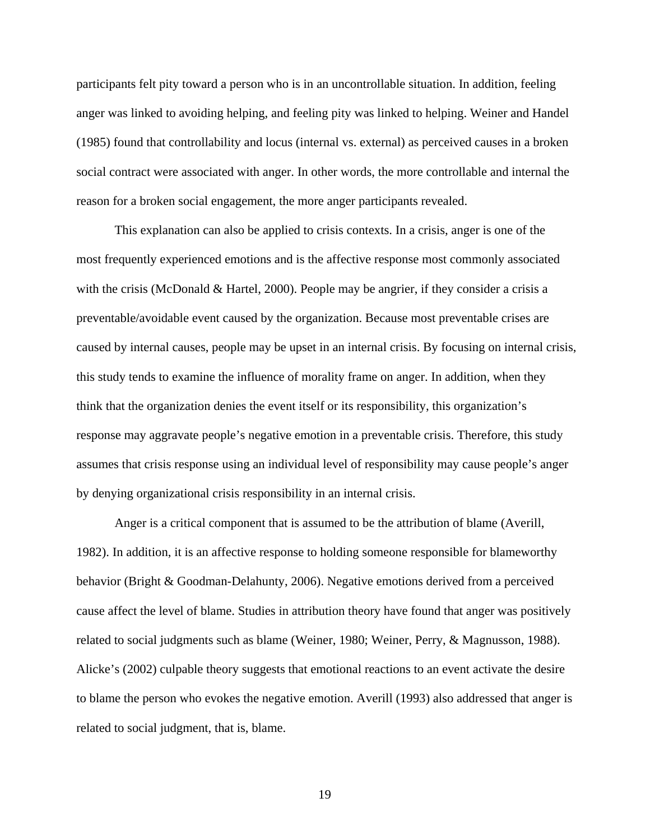participants felt pity toward a person who is in an uncontrollable situation. In addition, feeling anger was linked to avoiding helping, and feeling pity was linked to helping. Weiner and Handel (1985) found that controllability and locus (internal vs. external) as perceived causes in a broken social contract were associated with anger. In other words, the more controllable and internal the reason for a broken social engagement, the more anger participants revealed.

This explanation can also be applied to crisis contexts. In a crisis, anger is one of the most frequently experienced emotions and is the affective response most commonly associated with the crisis (McDonald & Hartel, 2000). People may be angrier, if they consider a crisis a preventable/avoidable event caused by the organization. Because most preventable crises are caused by internal causes, people may be upset in an internal crisis. By focusing on internal crisis, this study tends to examine the influence of morality frame on anger. In addition, when they think that the organization denies the event itself or its responsibility, this organization's response may aggravate people's negative emotion in a preventable crisis. Therefore, this study assumes that crisis response using an individual level of responsibility may cause people's anger by denying organizational crisis responsibility in an internal crisis.

Anger is a critical component that is assumed to be the attribution of blame (Averill, 1982). In addition, it is an affective response to holding someone responsible for blameworthy behavior (Bright & Goodman-Delahunty, 2006). Negative emotions derived from a perceived cause affect the level of blame. Studies in attribution theory have found that anger was positively related to social judgments such as blame (Weiner, 1980; Weiner, Perry, & Magnusson, 1988). Alicke's (2002) culpable theory suggests that emotional reactions to an event activate the desire to blame the person who evokes the negative emotion. Averill (1993) also addressed that anger is related to social judgment, that is, blame.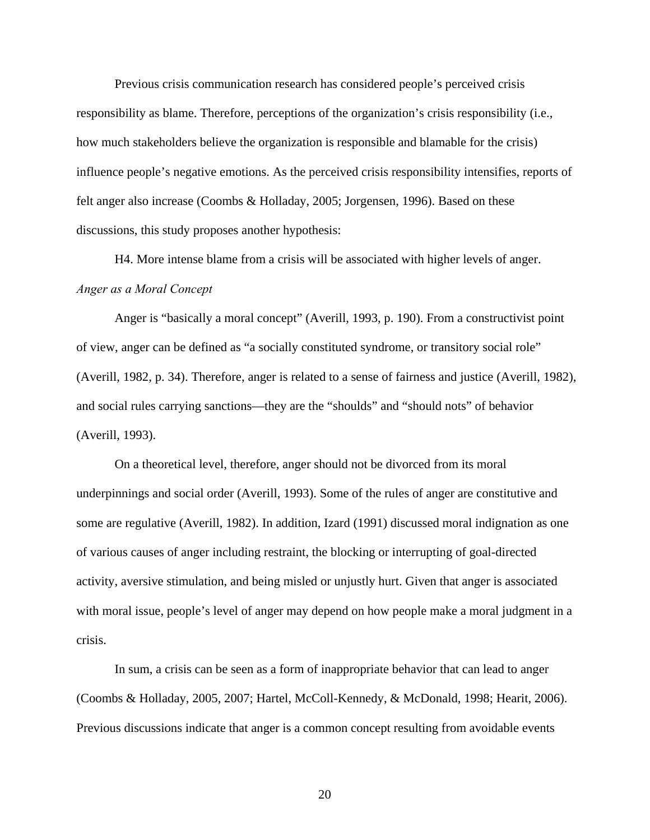Previous crisis communication research has considered people's perceived crisis responsibility as blame. Therefore, perceptions of the organization's crisis responsibility (i.e., how much stakeholders believe the organization is responsible and blamable for the crisis) influence people's negative emotions. As the perceived crisis responsibility intensifies, reports of felt anger also increase (Coombs & Holladay, 2005; Jorgensen, 1996). Based on these discussions, this study proposes another hypothesis:

H4. More intense blame from a crisis will be associated with higher levels of anger. *Anger as a Moral Concept*

Anger is "basically a moral concept" (Averill, 1993, p. 190). From a constructivist point of view, anger can be defined as "a socially constituted syndrome, or transitory social role" (Averill, 1982, p. 34). Therefore, anger is related to a sense of fairness and justice (Averill, 1982), and social rules carrying sanctions—they are the "shoulds" and "should nots" of behavior (Averill, 1993).

On a theoretical level, therefore, anger should not be divorced from its moral underpinnings and social order (Averill, 1993). Some of the rules of anger are constitutive and some are regulative (Averill, 1982). In addition, Izard (1991) discussed moral indignation as one of various causes of anger including restraint, the blocking or interrupting of goal-directed activity, aversive stimulation, and being misled or unjustly hurt. Given that anger is associated with moral issue, people's level of anger may depend on how people make a moral judgment in a crisis.

In sum, a crisis can be seen as a form of inappropriate behavior that can lead to anger (Coombs & Holladay, 2005, 2007; Hartel, McColl-Kennedy, & McDonald, 1998; Hearit, 2006). Previous discussions indicate that anger is a common concept resulting from avoidable events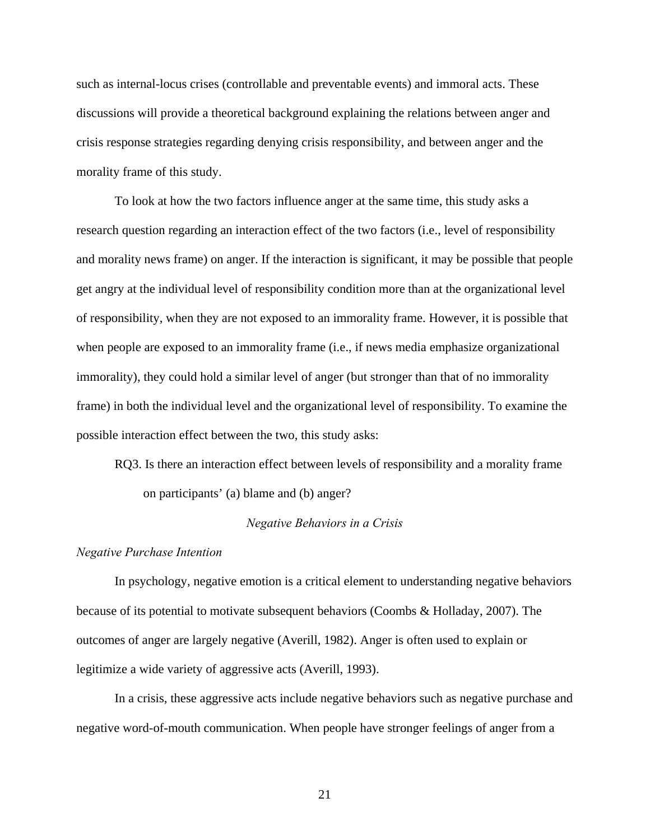such as internal-locus crises (controllable and preventable events) and immoral acts. These discussions will provide a theoretical background explaining the relations between anger and crisis response strategies regarding denying crisis responsibility, and between anger and the morality frame of this study.

To look at how the two factors influence anger at the same time, this study asks a research question regarding an interaction effect of the two factors (i.e., level of responsibility and morality news frame) on anger. If the interaction is significant, it may be possible that people get angry at the individual level of responsibility condition more than at the organizational level of responsibility, when they are not exposed to an immorality frame. However, it is possible that when people are exposed to an immorality frame (i.e., if news media emphasize organizational immorality), they could hold a similar level of anger (but stronger than that of no immorality frame) in both the individual level and the organizational level of responsibility. To examine the possible interaction effect between the two, this study asks:

RQ3. Is there an interaction effect between levels of responsibility and a morality frame on participants' (a) blame and (b) anger?

#### *Negative Behaviors in a Crisis*

#### *Negative Purchase Intention*

In psychology, negative emotion is a critical element to understanding negative behaviors because of its potential to motivate subsequent behaviors (Coombs & Holladay, 2007). The outcomes of anger are largely negative (Averill, 1982). Anger is often used to explain or legitimize a wide variety of aggressive acts (Averill, 1993).

In a crisis, these aggressive acts include negative behaviors such as negative purchase and negative word-of-mouth communication. When people have stronger feelings of anger from a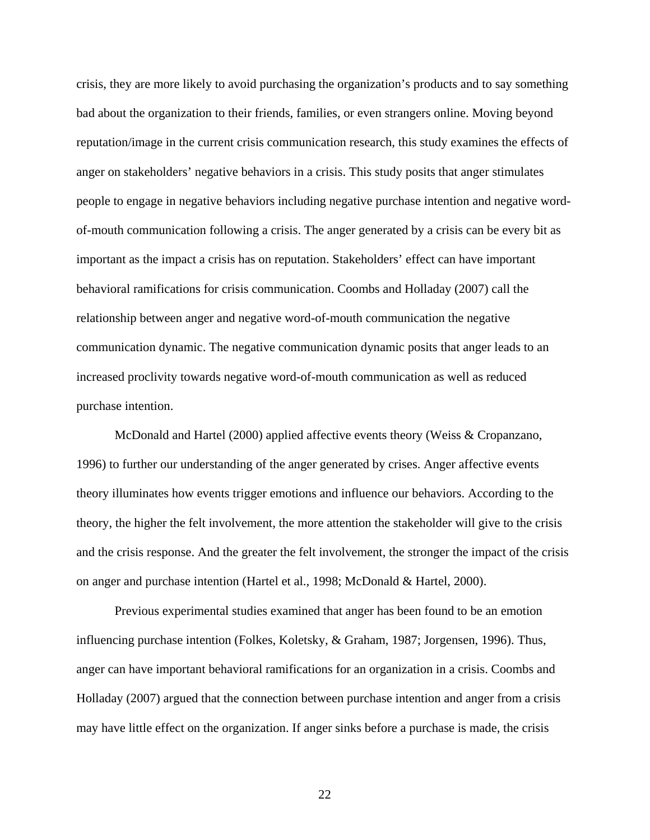crisis, they are more likely to avoid purchasing the organization's products and to say something bad about the organization to their friends, families, or even strangers online. Moving beyond reputation/image in the current crisis communication research, this study examines the effects of anger on stakeholders' negative behaviors in a crisis. This study posits that anger stimulates people to engage in negative behaviors including negative purchase intention and negative wordof-mouth communication following a crisis. The anger generated by a crisis can be every bit as important as the impact a crisis has on reputation. Stakeholders' effect can have important behavioral ramifications for crisis communication. Coombs and Holladay (2007) call the relationship between anger and negative word-of-mouth communication the negative communication dynamic. The negative communication dynamic posits that anger leads to an increased proclivity towards negative word-of-mouth communication as well as reduced purchase intention.

McDonald and Hartel (2000) applied affective events theory (Weiss & Cropanzano, 1996) to further our understanding of the anger generated by crises. Anger affective events theory illuminates how events trigger emotions and influence our behaviors. According to the theory, the higher the felt involvement, the more attention the stakeholder will give to the crisis and the crisis response. And the greater the felt involvement, the stronger the impact of the crisis on anger and purchase intention (Hartel et al., 1998; McDonald & Hartel, 2000).

Previous experimental studies examined that anger has been found to be an emotion influencing purchase intention (Folkes, Koletsky, & Graham, 1987; Jorgensen, 1996). Thus, anger can have important behavioral ramifications for an organization in a crisis. Coombs and Holladay (2007) argued that the connection between purchase intention and anger from a crisis may have little effect on the organization. If anger sinks before a purchase is made, the crisis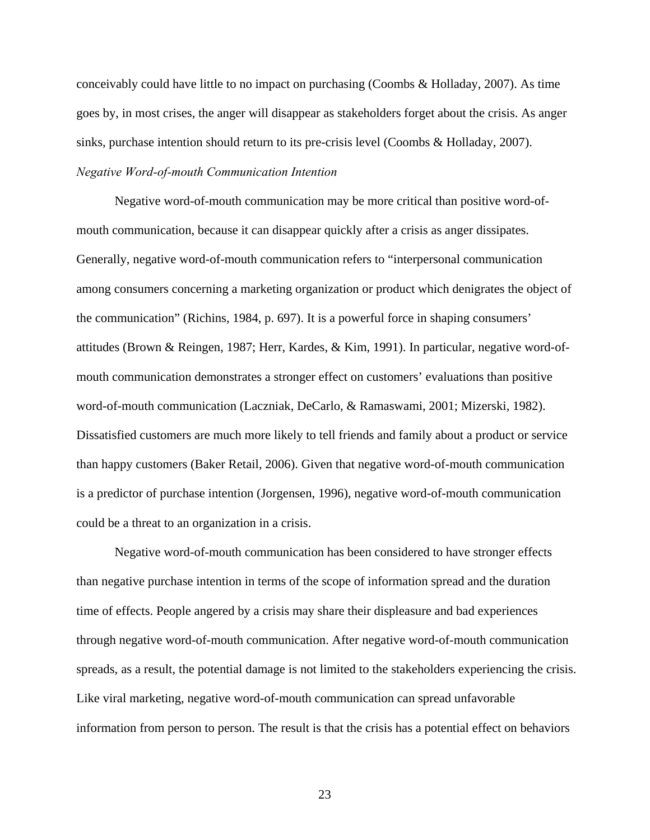conceivably could have little to no impact on purchasing (Coombs & Holladay, 2007). As time goes by, in most crises, the anger will disappear as stakeholders forget about the crisis. As anger sinks, purchase intention should return to its pre-crisis level (Coombs & Holladay, 2007). *Negative Word-of-mouth Communication Intention* 

Negative word-of-mouth communication may be more critical than positive word-ofmouth communication, because it can disappear quickly after a crisis as anger dissipates. Generally, negative word-of-mouth communication refers to "interpersonal communication among consumers concerning a marketing organization or product which denigrates the object of the communication" (Richins, 1984, p. 697). It is a powerful force in shaping consumers' attitudes (Brown & Reingen, 1987; Herr, Kardes, & Kim, 1991). In particular, negative word-ofmouth communication demonstrates a stronger effect on customers' evaluations than positive word-of-mouth communication (Laczniak, DeCarlo, & Ramaswami, 2001; Mizerski, 1982). Dissatisfied customers are much more likely to tell friends and family about a product or service than happy customers (Baker Retail, 2006). Given that negative word-of-mouth communication is a predictor of purchase intention (Jorgensen, 1996), negative word-of-mouth communication could be a threat to an organization in a crisis.

Negative word-of-mouth communication has been considered to have stronger effects than negative purchase intention in terms of the scope of information spread and the duration time of effects. People angered by a crisis may share their displeasure and bad experiences through negative word-of-mouth communication. After negative word-of-mouth communication spreads, as a result, the potential damage is not limited to the stakeholders experiencing the crisis. Like viral marketing, negative word-of-mouth communication can spread unfavorable information from person to person. The result is that the crisis has a potential effect on behaviors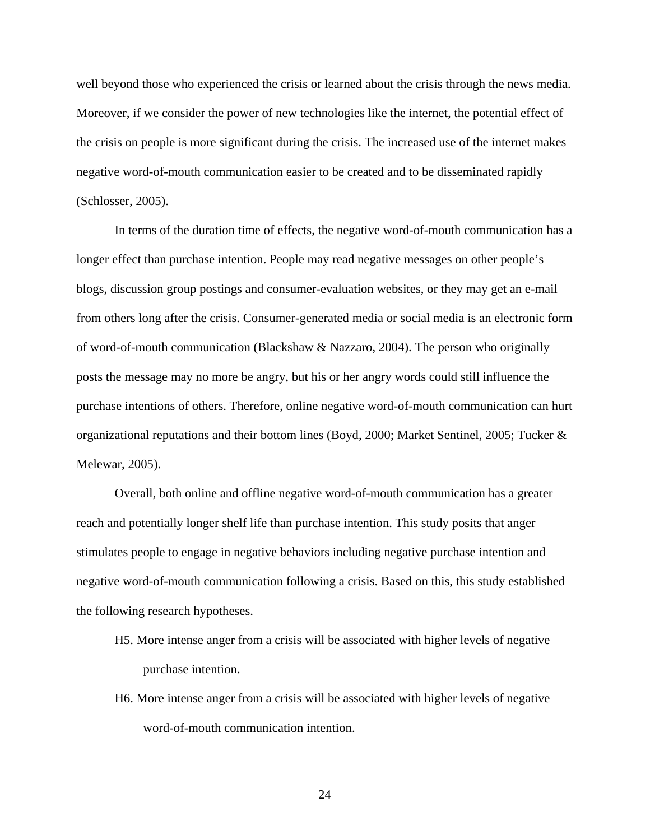well beyond those who experienced the crisis or learned about the crisis through the news media. Moreover, if we consider the power of new technologies like the internet, the potential effect of the crisis on people is more significant during the crisis. The increased use of the internet makes negative word-of-mouth communication easier to be created and to be disseminated rapidly (Schlosser, 2005).

In terms of the duration time of effects, the negative word-of-mouth communication has a longer effect than purchase intention. People may read negative messages on other people's blogs, discussion group postings and consumer-evaluation websites, or they may get an e-mail from others long after the crisis. Consumer-generated media or social media is an electronic form of word-of-mouth communication (Blackshaw & Nazzaro, 2004). The person who originally posts the message may no more be angry, but his or her angry words could still influence the purchase intentions of others. Therefore, online negative word-of-mouth communication can hurt organizational reputations and their bottom lines (Boyd, 2000; Market Sentinel, 2005; Tucker & Melewar, 2005).

Overall, both online and offline negative word-of-mouth communication has a greater reach and potentially longer shelf life than purchase intention. This study posits that anger stimulates people to engage in negative behaviors including negative purchase intention and negative word-of-mouth communication following a crisis. Based on this, this study established the following research hypotheses.

- H5. More intense anger from a crisis will be associated with higher levels of negative purchase intention.
- H6. More intense anger from a crisis will be associated with higher levels of negative word-of-mouth communication intention.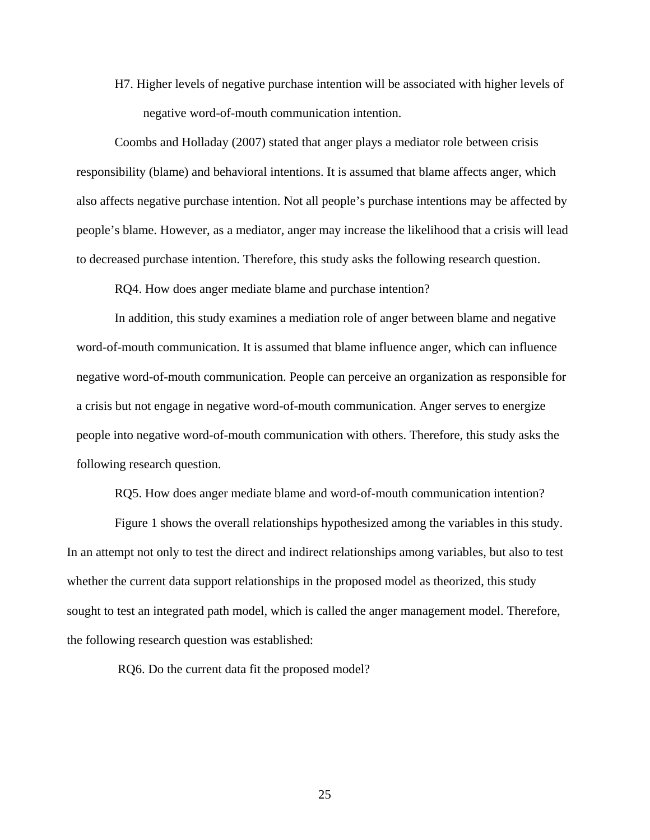H7. Higher levels of negative purchase intention will be associated with higher levels of negative word-of-mouth communication intention.

Coombs and Holladay (2007) stated that anger plays a mediator role between crisis responsibility (blame) and behavioral intentions. It is assumed that blame affects anger, which also affects negative purchase intention. Not all people's purchase intentions may be affected by people's blame. However, as a mediator, anger may increase the likelihood that a crisis will lead to decreased purchase intention. Therefore, this study asks the following research question.

RQ4. How does anger mediate blame and purchase intention?

In addition, this study examines a mediation role of anger between blame and negative word-of-mouth communication. It is assumed that blame influence anger, which can influence negative word-of-mouth communication. People can perceive an organization as responsible for a crisis but not engage in negative word-of-mouth communication. Anger serves to energize people into negative word-of-mouth communication with others. Therefore, this study asks the following research question.

RQ5. How does anger mediate blame and word-of-mouth communication intention?

Figure 1 shows the overall relationships hypothesized among the variables in this study. In an attempt not only to test the direct and indirect relationships among variables, but also to test whether the current data support relationships in the proposed model as theorized, this study sought to test an integrated path model, which is called the anger management model. Therefore, the following research question was established:

RQ6. Do the current data fit the proposed model?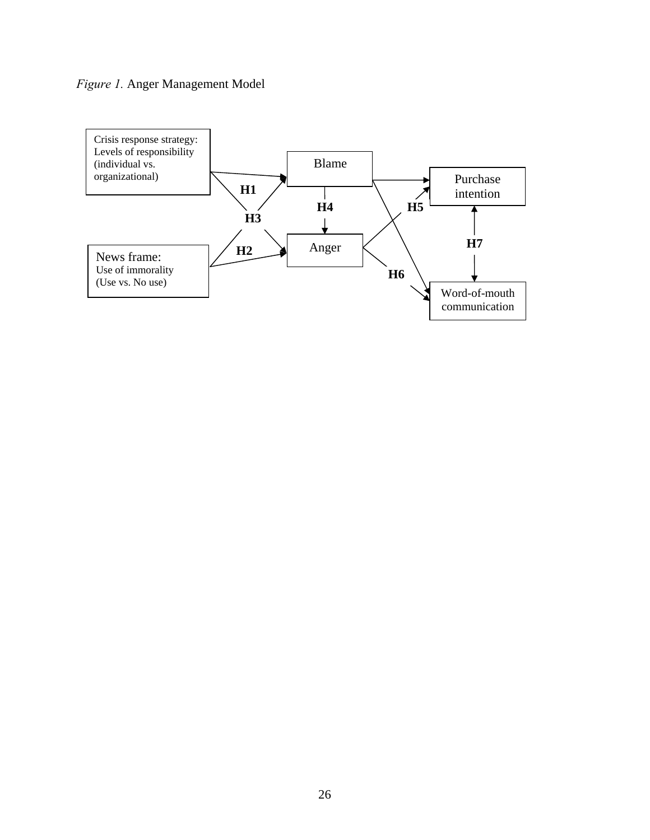## *Figure 1.* Anger Management Model

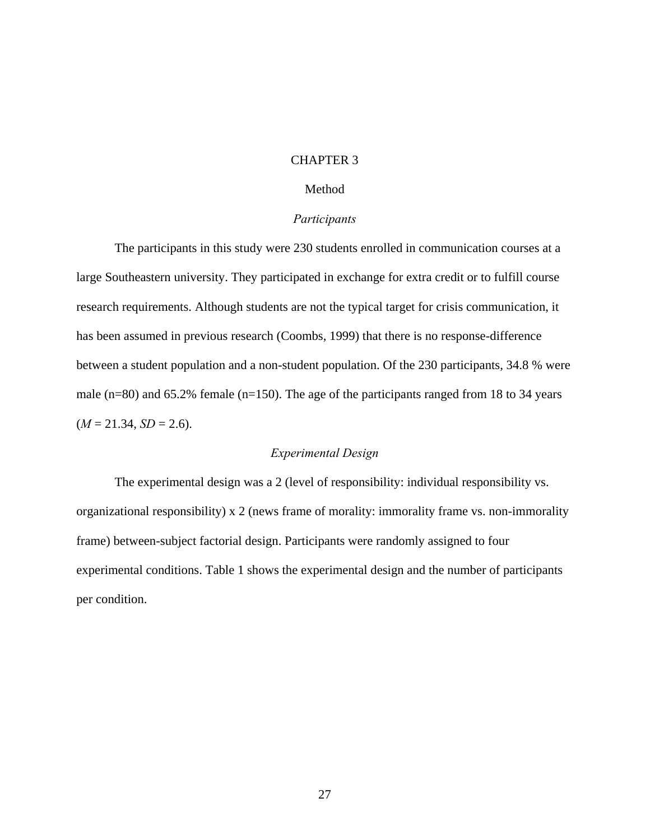### CHAPTER 3

# Method

#### *Participants*

The participants in this study were 230 students enrolled in communication courses at a large Southeastern university. They participated in exchange for extra credit or to fulfill course research requirements. Although students are not the typical target for crisis communication, it has been assumed in previous research (Coombs, 1999) that there is no response-difference between a student population and a non-student population. Of the 230 participants, 34.8 % were male (n=80) and 65.2% female (n=150). The age of the participants ranged from 18 to 34 years  $(M = 21.34, SD = 2.6).$ 

## *Experimental Design*

The experimental design was a 2 (level of responsibility: individual responsibility vs. organizational responsibility) x 2 (news frame of morality: immorality frame vs. non-immorality frame) between-subject factorial design. Participants were randomly assigned to four experimental conditions. Table 1 shows the experimental design and the number of participants per condition.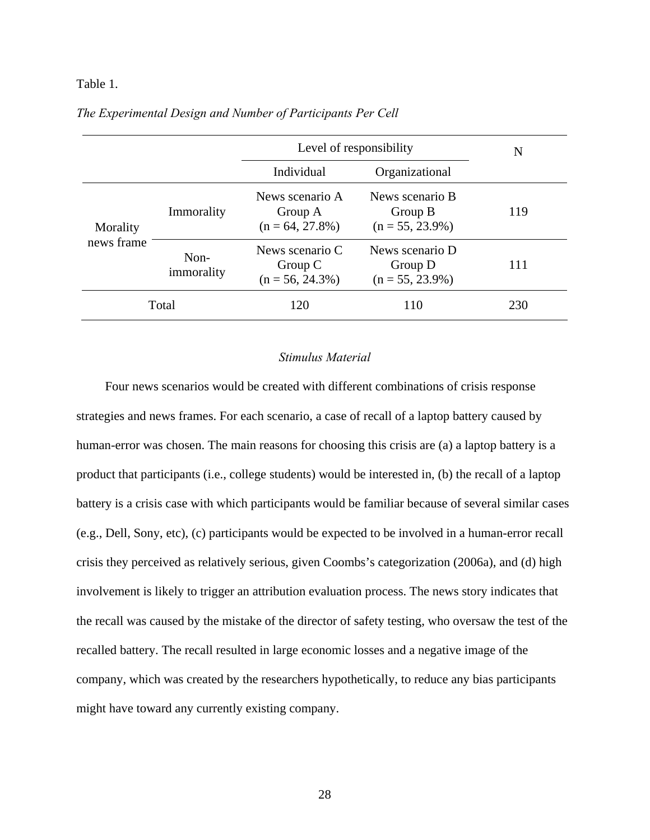### Table 1.

|            |                    | Level of responsibility                          | N                                                |     |
|------------|--------------------|--------------------------------------------------|--------------------------------------------------|-----|
|            |                    | Individual                                       | Organizational                                   |     |
| Morality   | Immorality         | News scenario A<br>Group A<br>$(n = 64, 27.8\%)$ | News scenario B<br>Group B<br>$(n = 55, 23.9\%)$ | 119 |
| news frame | Non-<br>immorality | News scenario C<br>Group C<br>$(n = 56, 24.3\%)$ | News scenario D<br>Group D<br>$(n = 55, 23.9\%)$ | 111 |
|            | Total              | 120                                              | 110                                              | 230 |

# *The Experimental Design and Number of Participants Per Cell*

# *Stimulus Material*

Four news scenarios would be created with different combinations of crisis response strategies and news frames. For each scenario, a case of recall of a laptop battery caused by human-error was chosen. The main reasons for choosing this crisis are (a) a laptop battery is a product that participants (i.e., college students) would be interested in, (b) the recall of a laptop battery is a crisis case with which participants would be familiar because of several similar cases (e.g., Dell, Sony, etc), (c) participants would be expected to be involved in a human-error recall crisis they perceived as relatively serious, given Coombs's categorization (2006a), and (d) high involvement is likely to trigger an attribution evaluation process. The news story indicates that the recall was caused by the mistake of the director of safety testing, who oversaw the test of the recalled battery. The recall resulted in large economic losses and a negative image of the company, which was created by the researchers hypothetically, to reduce any bias participants might have toward any currently existing company.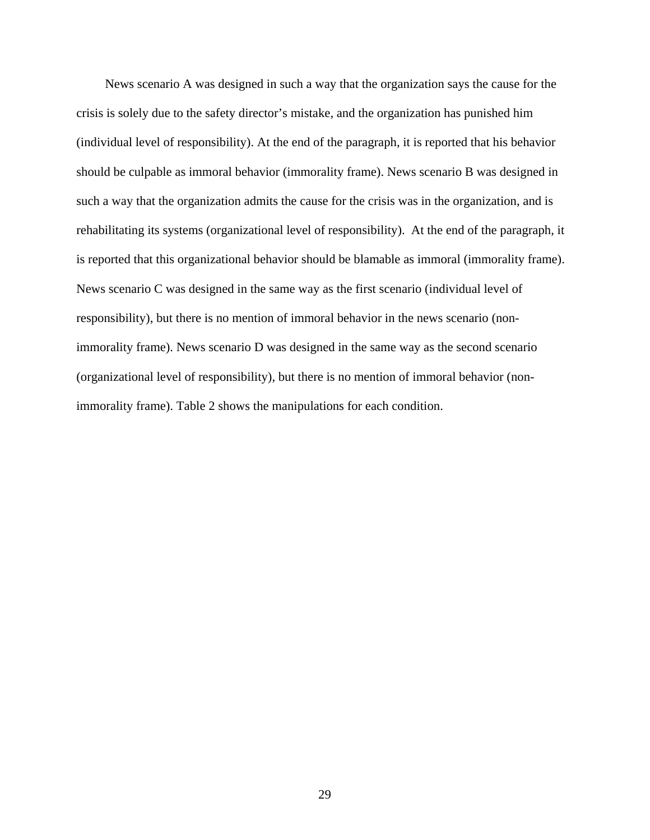News scenario A was designed in such a way that the organization says the cause for the crisis is solely due to the safety director's mistake, and the organization has punished him (individual level of responsibility). At the end of the paragraph, it is reported that his behavior should be culpable as immoral behavior (immorality frame). News scenario B was designed in such a way that the organization admits the cause for the crisis was in the organization, and is rehabilitating its systems (organizational level of responsibility). At the end of the paragraph, it is reported that this organizational behavior should be blamable as immoral (immorality frame). News scenario C was designed in the same way as the first scenario (individual level of responsibility), but there is no mention of immoral behavior in the news scenario (nonimmorality frame). News scenario D was designed in the same way as the second scenario (organizational level of responsibility), but there is no mention of immoral behavior (nonimmorality frame). Table 2 shows the manipulations for each condition.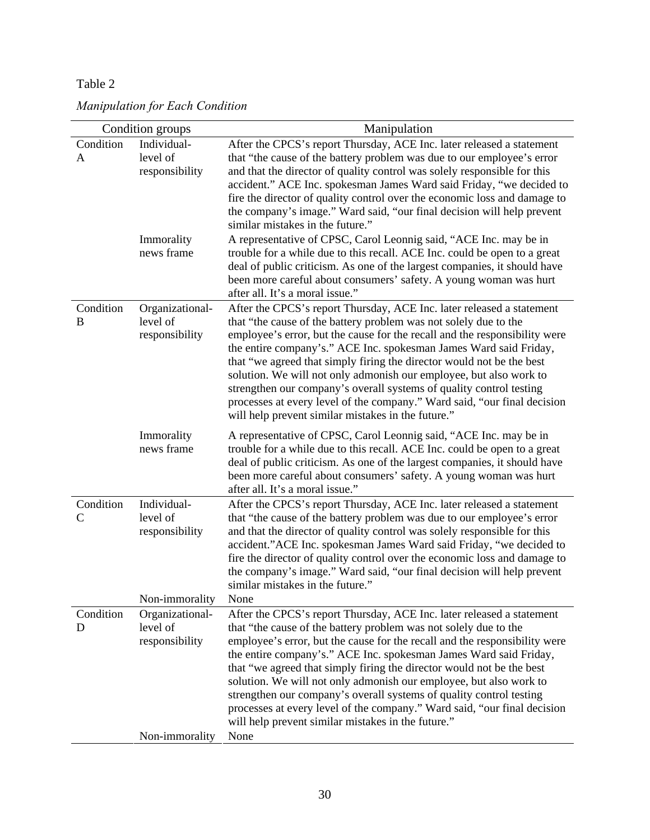# Table 2

| Manipulation for Each Condition |  |  |  |
|---------------------------------|--|--|--|
|---------------------------------|--|--|--|

|                | Condition groups                                            | Manipulation                                                                                                                                                                                                                                                                                                                                                                                                                                                                                                                                                                                                                                         |
|----------------|-------------------------------------------------------------|------------------------------------------------------------------------------------------------------------------------------------------------------------------------------------------------------------------------------------------------------------------------------------------------------------------------------------------------------------------------------------------------------------------------------------------------------------------------------------------------------------------------------------------------------------------------------------------------------------------------------------------------------|
| Condition<br>A | Individual-<br>level of<br>responsibility                   | After the CPCS's report Thursday, ACE Inc. later released a statement<br>that "the cause of the battery problem was due to our employee's error<br>and that the director of quality control was solely responsible for this<br>accident." ACE Inc. spokesman James Ward said Friday, "we decided to<br>fire the director of quality control over the economic loss and damage to<br>the company's image." Ward said, "our final decision will help prevent<br>similar mistakes in the future."                                                                                                                                                       |
|                | Immorality<br>news frame                                    | A representative of CPSC, Carol Leonnig said, "ACE Inc. may be in<br>trouble for a while due to this recall. ACE Inc. could be open to a great<br>deal of public criticism. As one of the largest companies, it should have<br>been more careful about consumers' safety. A young woman was hurt<br>after all. It's a moral issue."                                                                                                                                                                                                                                                                                                                  |
| Condition<br>B | Organizational-<br>level of<br>responsibility               | After the CPCS's report Thursday, ACE Inc. later released a statement<br>that "the cause of the battery problem was not solely due to the<br>employee's error, but the cause for the recall and the responsibility were<br>the entire company's." ACE Inc. spokesman James Ward said Friday,<br>that "we agreed that simply firing the director would not be the best<br>solution. We will not only admonish our employee, but also work to<br>strengthen our company's overall systems of quality control testing<br>processes at every level of the company." Ward said, "our final decision<br>will help prevent similar mistakes in the future." |
|                | Immorality<br>news frame                                    | A representative of CPSC, Carol Leonnig said, "ACE Inc. may be in<br>trouble for a while due to this recall. ACE Inc. could be open to a great<br>deal of public criticism. As one of the largest companies, it should have<br>been more careful about consumers' safety. A young woman was hurt<br>after all. It's a moral issue."                                                                                                                                                                                                                                                                                                                  |
| Condition<br>C | Individual-<br>level of<br>responsibility<br>Non-immorality | After the CPCS's report Thursday, ACE Inc. later released a statement<br>that "the cause of the battery problem was due to our employee's error<br>and that the director of quality control was solely responsible for this<br>accident."ACE Inc. spokesman James Ward said Friday, "we decided to<br>fire the director of quality control over the economic loss and damage to<br>the company's image." Ward said, "our final decision will help prevent<br>similar mistakes in the future."<br>None                                                                                                                                                |
| Condition<br>D | Organizational-<br>level of                                 | After the CPCS's report Thursday, ACE Inc. later released a statement                                                                                                                                                                                                                                                                                                                                                                                                                                                                                                                                                                                |
|                | responsibility<br>Non-immorality                            | that "the cause of the battery problem was not solely due to the<br>employee's error, but the cause for the recall and the responsibility were<br>the entire company's." ACE Inc. spokesman James Ward said Friday,<br>that "we agreed that simply firing the director would not be the best<br>solution. We will not only admonish our employee, but also work to<br>strengthen our company's overall systems of quality control testing<br>processes at every level of the company." Ward said, "our final decision<br>will help prevent similar mistakes in the future."<br>None                                                                  |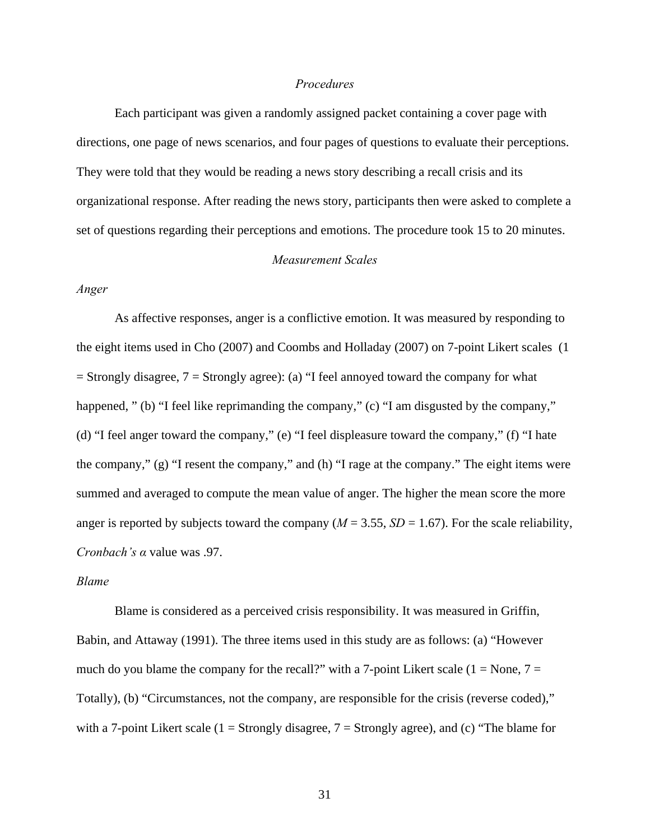# *Procedures*

Each participant was given a randomly assigned packet containing a cover page with directions, one page of news scenarios, and four pages of questions to evaluate their perceptions. They were told that they would be reading a news story describing a recall crisis and its organizational response. After reading the news story, participants then were asked to complete a set of questions regarding their perceptions and emotions. The procedure took 15 to 20 minutes.

#### *Measurement Scales*

# *Anger*

As affective responses, anger is a conflictive emotion. It was measured by responding to the eight items used in Cho (2007) and Coombs and Holladay (2007) on 7-point Likert scales (1  $=$  Strongly disagree,  $7 =$  Strongly agree): (a) "I feel annoyed toward the company for what happened, " (b) "I feel like reprimanding the company," (c) "I am disgusted by the company," (d) "I feel anger toward the company," (e) "I feel displeasure toward the company," (f) "I hate the company," (g) "I resent the company," and (h) "I rage at the company." The eight items were summed and averaged to compute the mean value of anger. The higher the mean score the more anger is reported by subjects toward the company ( $M = 3.55$ ,  $SD = 1.67$ ). For the scale reliability, *Cronbach's α* value was .97.

#### *Blame*

Blame is considered as a perceived crisis responsibility. It was measured in Griffin, Babin, and Attaway (1991). The three items used in this study are as follows: (a) "However much do you blame the company for the recall?" with a 7-point Likert scale ( $1 = None$ ,  $7 =$ Totally), (b) "Circumstances, not the company, are responsible for the crisis (reverse coded)," with a 7-point Likert scale (1 = Strongly disagree,  $7 =$  Strongly agree), and (c) "The blame for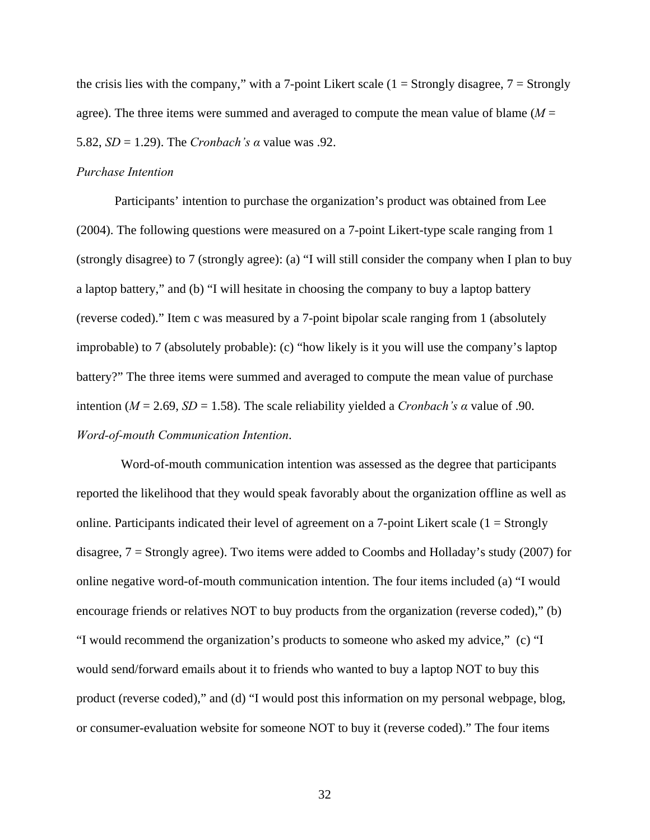the crisis lies with the company," with a 7-point Likert scale  $(1 = \text{Strongly disagree}, 7 = \text{Strongly}$ agree). The three items were summed and averaged to compute the mean value of blame (*M* = 5.82, *SD* = 1.29). The *Cronbach's α* value was .92.

# *Purchase Intention*

Participants' intention to purchase the organization's product was obtained from Lee (2004). The following questions were measured on a 7-point Likert-type scale ranging from 1 (strongly disagree) to 7 (strongly agree): (a) "I will still consider the company when I plan to buy a laptop battery," and (b) "I will hesitate in choosing the company to buy a laptop battery (reverse coded)." Item c was measured by a 7-point bipolar scale ranging from 1 (absolutely improbable) to 7 (absolutely probable): (c) "how likely is it you will use the company's laptop battery?" The three items were summed and averaged to compute the mean value of purchase intention ( $M = 2.69$ ,  $SD = 1.58$ ). The scale reliability yielded a *Cronbach's*  $\alpha$  value of .90. *Word-of-mouth Communication Intention*.

 Word-of-mouth communication intention was assessed as the degree that participants reported the likelihood that they would speak favorably about the organization offline as well as online. Participants indicated their level of agreement on a 7-point Likert scale  $(1 = \text{Strongly})$ disagree, 7 = Strongly agree). Two items were added to Coombs and Holladay's study (2007) for online negative word-of-mouth communication intention. The four items included (a) "I would encourage friends or relatives NOT to buy products from the organization (reverse coded)," (b) "I would recommend the organization's products to someone who asked my advice," (c) "I would send/forward emails about it to friends who wanted to buy a laptop NOT to buy this product (reverse coded)," and (d) "I would post this information on my personal webpage, blog, or consumer-evaluation website for someone NOT to buy it (reverse coded)." The four items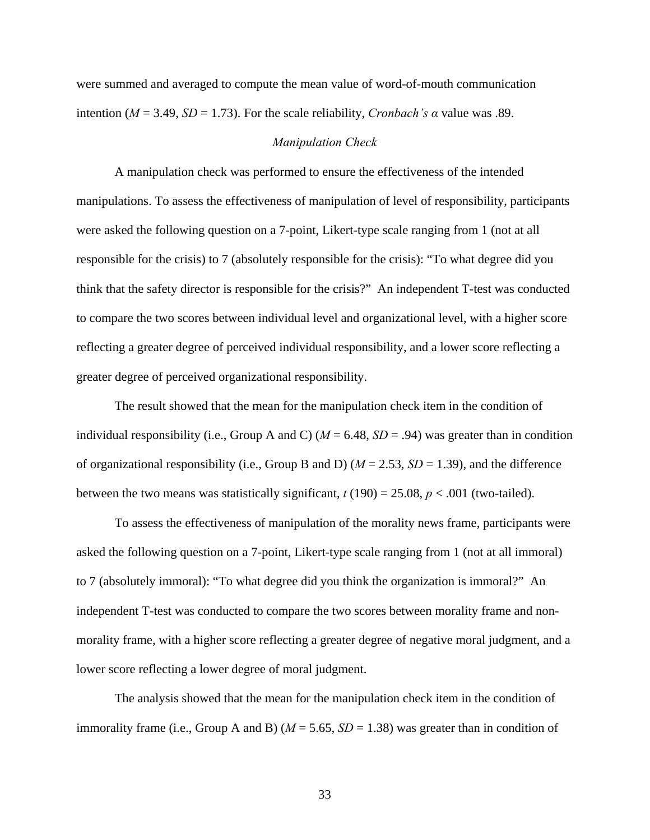were summed and averaged to compute the mean value of word-of-mouth communication intention ( $M = 3.49$ ,  $SD = 1.73$ ). For the scale reliability, *Cronbach's a* value was .89.

#### *Manipulation Check*

A manipulation check was performed to ensure the effectiveness of the intended manipulations. To assess the effectiveness of manipulation of level of responsibility, participants were asked the following question on a 7-point, Likert-type scale ranging from 1 (not at all responsible for the crisis) to 7 (absolutely responsible for the crisis): "To what degree did you think that the safety director is responsible for the crisis?" An independent T-test was conducted to compare the two scores between individual level and organizational level, with a higher score reflecting a greater degree of perceived individual responsibility, and a lower score reflecting a greater degree of perceived organizational responsibility.

The result showed that the mean for the manipulation check item in the condition of individual responsibility (i.e., Group A and C) ( $M = 6.48$ ,  $SD = .94$ ) was greater than in condition of organizational responsibility (i.e., Group B and D) (*M* = 2.53, *SD* = 1.39), and the difference between the two means was statistically significant,  $t(190) = 25.08$ ,  $p < .001$  (two-tailed).

To assess the effectiveness of manipulation of the morality news frame, participants were asked the following question on a 7-point, Likert-type scale ranging from 1 (not at all immoral) to 7 (absolutely immoral): "To what degree did you think the organization is immoral?" An independent T-test was conducted to compare the two scores between morality frame and nonmorality frame, with a higher score reflecting a greater degree of negative moral judgment, and a lower score reflecting a lower degree of moral judgment.

The analysis showed that the mean for the manipulation check item in the condition of immorality frame (i.e., Group A and B) ( $M = 5.65$ ,  $SD = 1.38$ ) was greater than in condition of

33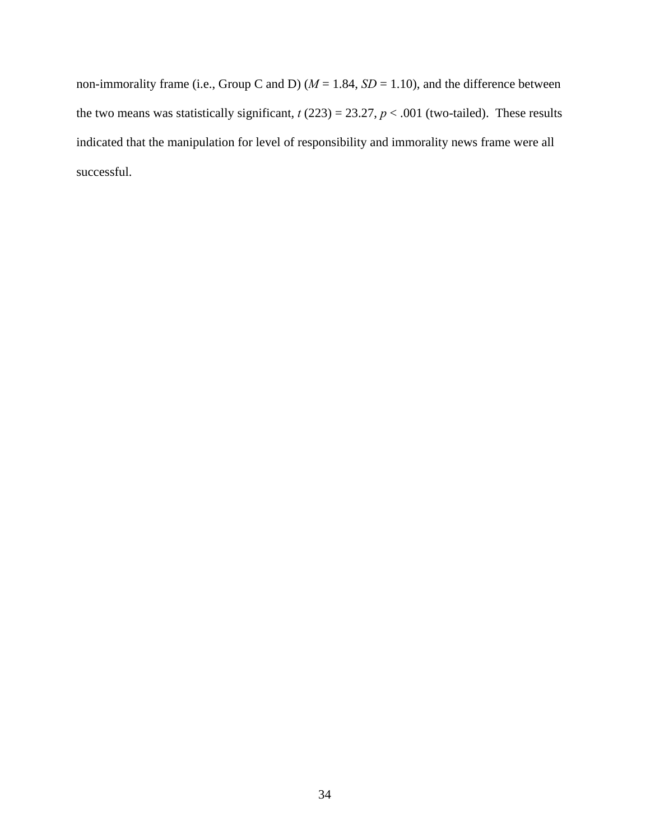non-immorality frame (i.e., Group C and D) ( $M = 1.84$ ,  $SD = 1.10$ ), and the difference between the two means was statistically significant,  $t(223) = 23.27$ ,  $p < .001$  (two-tailed). These results indicated that the manipulation for level of responsibility and immorality news frame were all successful.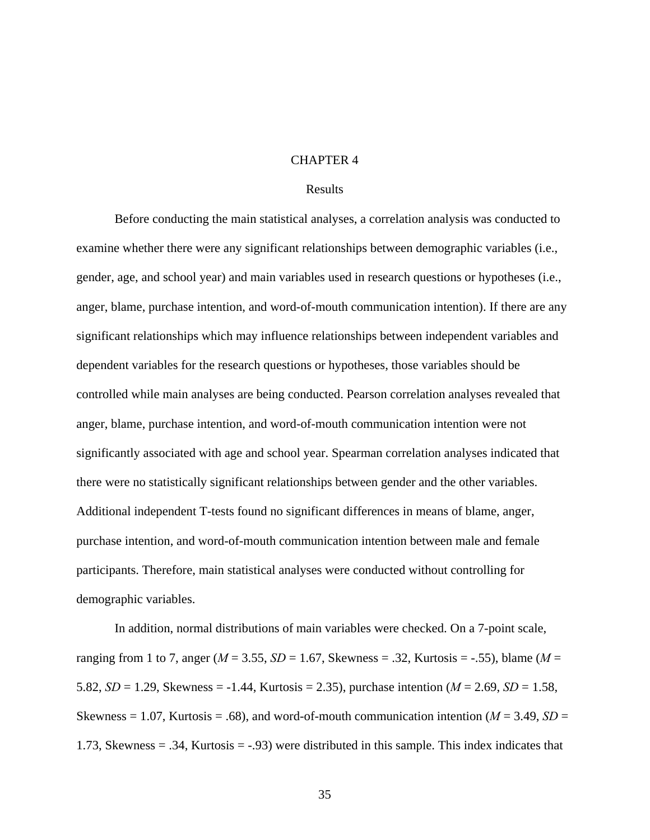### CHAPTER 4

#### Results

Before conducting the main statistical analyses, a correlation analysis was conducted to examine whether there were any significant relationships between demographic variables (i.e., gender, age, and school year) and main variables used in research questions or hypotheses (i.e., anger, blame, purchase intention, and word-of-mouth communication intention). If there are any significant relationships which may influence relationships between independent variables and dependent variables for the research questions or hypotheses, those variables should be controlled while main analyses are being conducted. Pearson correlation analyses revealed that anger, blame, purchase intention, and word-of-mouth communication intention were not significantly associated with age and school year. Spearman correlation analyses indicated that there were no statistically significant relationships between gender and the other variables. Additional independent T-tests found no significant differences in means of blame, anger, purchase intention, and word-of-mouth communication intention between male and female participants. Therefore, main statistical analyses were conducted without controlling for demographic variables.

In addition, normal distributions of main variables were checked. On a 7-point scale, ranging from 1 to 7, anger (*M* = 3.55, *SD* = 1.67, Skewness = .32, Kurtosis = -.55), blame (*M* = 5.82, *SD* = 1.29, Skewness = -1.44, Kurtosis = 2.35), purchase intention (*M* = 2.69, *SD* = 1.58, Skewness = 1.07, Kurtosis = .68), and word-of-mouth communication intention ( $M = 3.49$ ,  $SD =$ 1.73, Skewness = .34, Kurtosis = -.93) were distributed in this sample. This index indicates that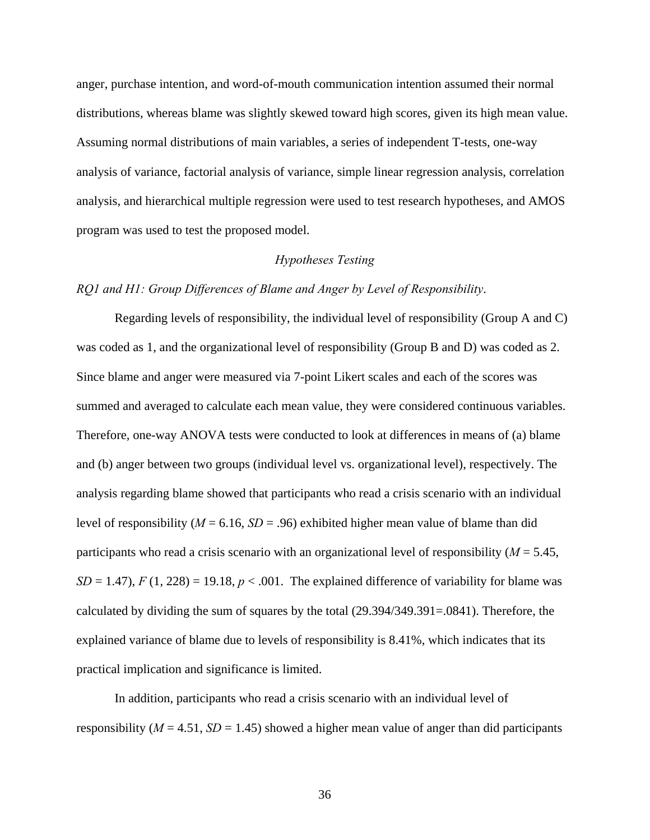anger, purchase intention, and word-of-mouth communication intention assumed their normal distributions, whereas blame was slightly skewed toward high scores, given its high mean value. Assuming normal distributions of main variables, a series of independent T-tests, one-way analysis of variance, factorial analysis of variance, simple linear regression analysis, correlation analysis, and hierarchical multiple regression were used to test research hypotheses, and AMOS program was used to test the proposed model.

# *Hypotheses Testing*

#### *RQ1 and H1: Group Differences of Blame and Anger by Level of Responsibility*.

Regarding levels of responsibility, the individual level of responsibility (Group A and C) was coded as 1, and the organizational level of responsibility (Group B and D) was coded as 2. Since blame and anger were measured via 7-point Likert scales and each of the scores was summed and averaged to calculate each mean value, they were considered continuous variables. Therefore, one-way ANOVA tests were conducted to look at differences in means of (a) blame and (b) anger between two groups (individual level vs. organizational level), respectively. The analysis regarding blame showed that participants who read a crisis scenario with an individual level of responsibility ( $M = 6.16$ ,  $SD = .96$ ) exhibited higher mean value of blame than did participants who read a crisis scenario with an organizational level of responsibility (*M* = 5.45,  $SD = 1.47$ ,  $F(1, 228) = 19.18$ ,  $p < .001$ . The explained difference of variability for blame was calculated by dividing the sum of squares by the total (29.394/349.391=.0841). Therefore, the explained variance of blame due to levels of responsibility is 8.41%, which indicates that its practical implication and significance is limited.

In addition, participants who read a crisis scenario with an individual level of responsibility ( $M = 4.51$ ,  $SD = 1.45$ ) showed a higher mean value of anger than did participants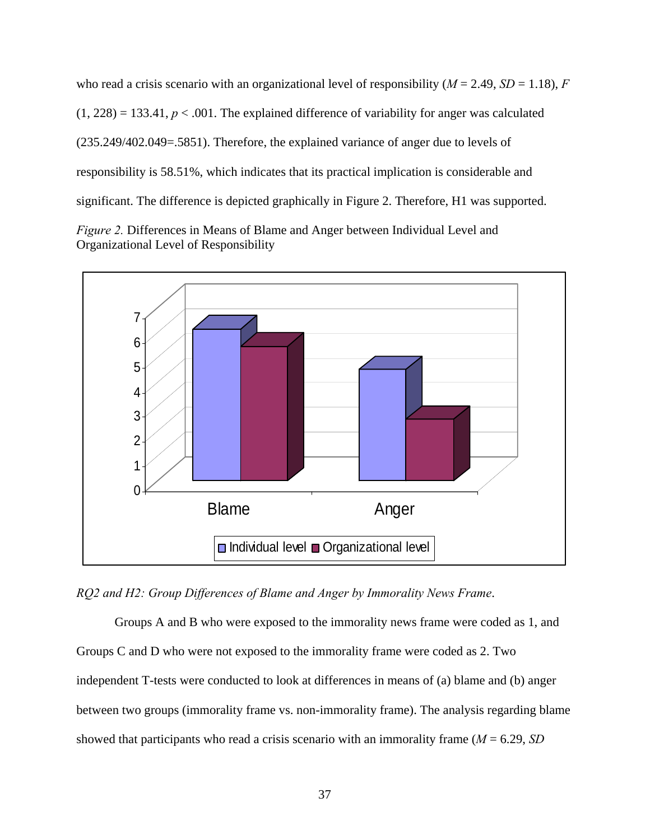who read a crisis scenario with an organizational level of responsibility ( $M = 2.49$ ,  $SD = 1.18$ ),  $F = 1.18$  $(1, 228) = 133.41$ ,  $p < .001$ . The explained difference of variability for anger was calculated (235.249/402.049=.5851). Therefore, the explained variance of anger due to levels of responsibility is 58.51%, which indicates that its practical implication is considerable and significant. The difference is depicted graphically in Figure 2. Therefore, H1 was supported.





*RQ2 and H2: Group Differences of Blame and Anger by Immorality News Frame*.

Groups A and B who were exposed to the immorality news frame were coded as 1, and Groups C and D who were not exposed to the immorality frame were coded as 2. Two independent T-tests were conducted to look at differences in means of (a) blame and (b) anger between two groups (immorality frame vs. non-immorality frame). The analysis regarding blame showed that participants who read a crisis scenario with an immorality frame (*M* = 6.29, *SD*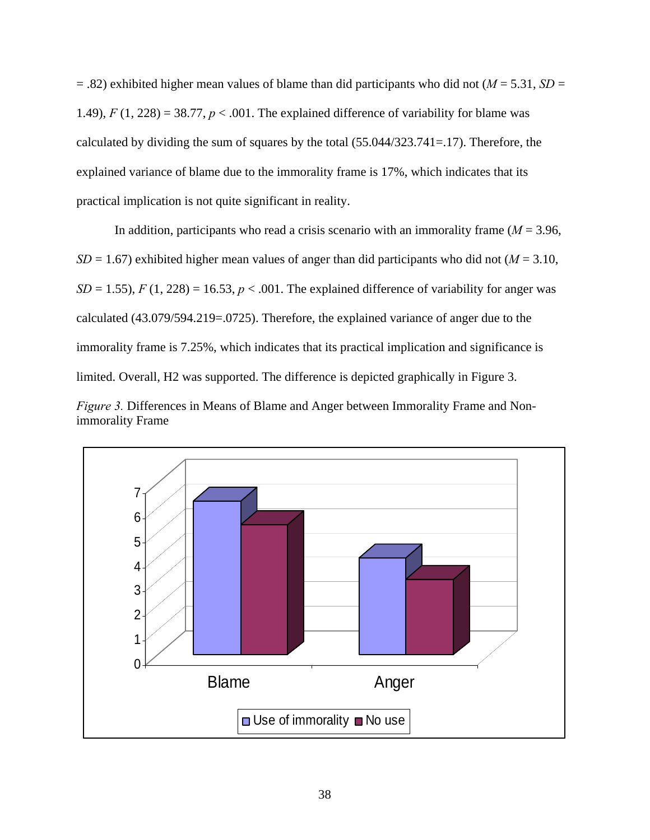= .82) exhibited higher mean values of blame than did participants who did not (*M* = 5.31, *SD* = 1.49),  $F(1, 228) = 38.77$ ,  $p < .001$ . The explained difference of variability for blame was calculated by dividing the sum of squares by the total (55.044/323.741=.17). Therefore, the explained variance of blame due to the immorality frame is 17%, which indicates that its practical implication is not quite significant in reality.

In addition, participants who read a crisis scenario with an immorality frame ( $M = 3.96$ ,  $SD = 1.67$ ) exhibited higher mean values of anger than did participants who did not ( $M = 3.10$ ,  $SD = 1.55$ ,  $F(1, 228) = 16.53$ ,  $p < .001$ . The explained difference of variability for anger was calculated (43.079/594.219=.0725). Therefore, the explained variance of anger due to the immorality frame is 7.25%, which indicates that its practical implication and significance is limited. Overall, H2 was supported. The difference is depicted graphically in Figure 3. *Figure 3.* Differences in Means of Blame and Anger between Immorality Frame and Non-



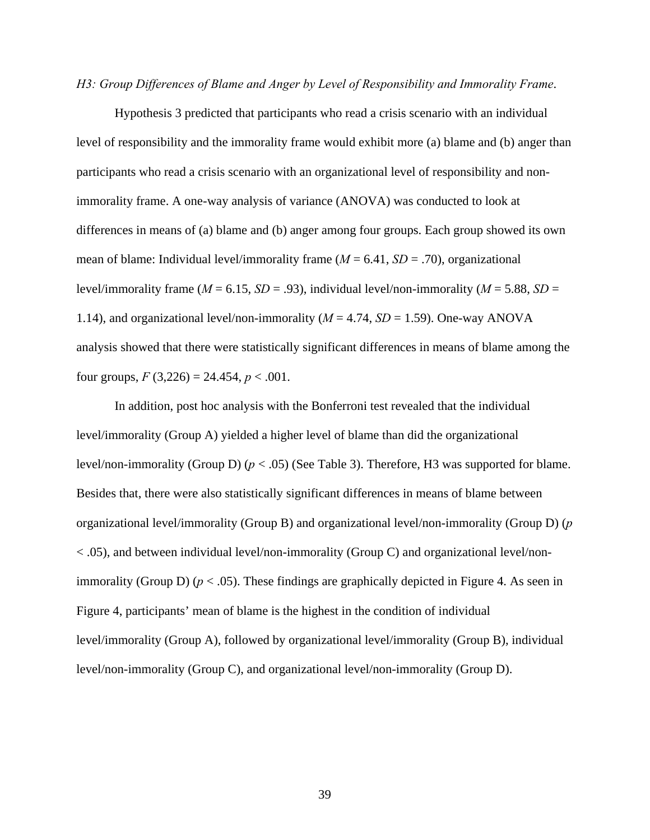*H3: Group Differences of Blame and Anger by Level of Responsibility and Immorality Frame*.

Hypothesis 3 predicted that participants who read a crisis scenario with an individual level of responsibility and the immorality frame would exhibit more (a) blame and (b) anger than participants who read a crisis scenario with an organizational level of responsibility and nonimmorality frame. A one-way analysis of variance (ANOVA) was conducted to look at differences in means of (a) blame and (b) anger among four groups. Each group showed its own mean of blame: Individual level/immorality frame (*M* = 6.41, *SD* = .70), organizational level/immorality frame ( $M = 6.15$ ,  $SD = .93$ ), individual level/non-immorality ( $M = 5.88$ ,  $SD =$ 1.14), and organizational level/non-immorality ( $M = 4.74$ ,  $SD = 1.59$ ). One-way ANOVA analysis showed that there were statistically significant differences in means of blame among the four groups,  $F(3,226) = 24.454$ ,  $p < .001$ .

In addition, post hoc analysis with the Bonferroni test revealed that the individual level/immorality (Group A) yielded a higher level of blame than did the organizational level/non-immorality (Group D) (*p* < .05) (See Table 3). Therefore, H3 was supported for blame. Besides that, there were also statistically significant differences in means of blame between organizational level/immorality (Group B) and organizational level/non-immorality (Group D) (*p* < .05), and between individual level/non-immorality (Group C) and organizational level/nonimmorality (Group D) ( $p < .05$ ). These findings are graphically depicted in Figure 4. As seen in Figure 4, participants' mean of blame is the highest in the condition of individual level/immorality (Group A), followed by organizational level/immorality (Group B), individual level/non-immorality (Group C), and organizational level/non-immorality (Group D).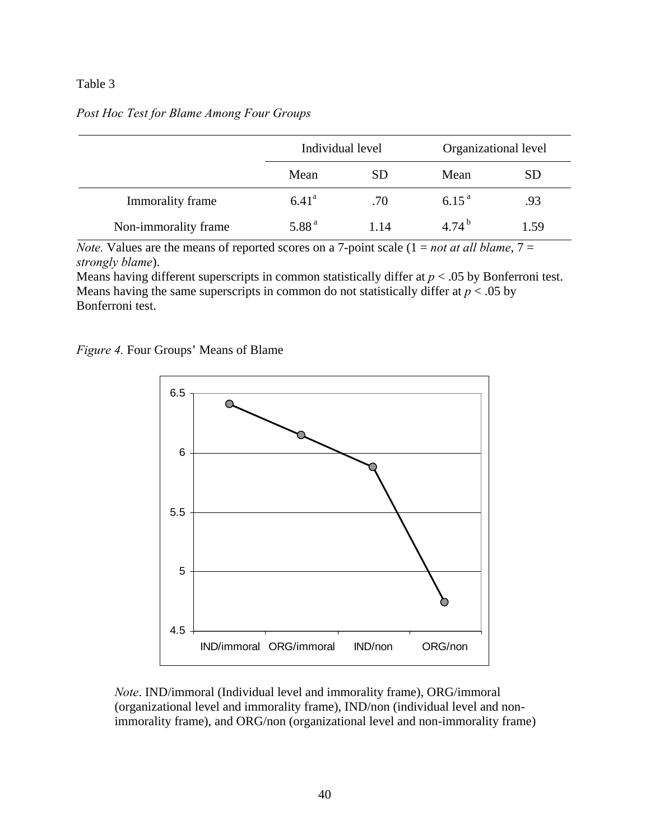# Table 3

| Post Hoc Test for Blame Among Four Groups |  |  |  |  |  |
|-------------------------------------------|--|--|--|--|--|
|-------------------------------------------|--|--|--|--|--|

|                      | Individual level  |           | Organizational level |           |
|----------------------|-------------------|-----------|----------------------|-----------|
|                      | Mean              | <b>SD</b> | Mean                 | <b>SD</b> |
| Immorality frame     | $6.41^{\rm a}$    | .70       | $6.15^{a}$           | .93       |
| Non-immorality frame | 5.88 <sup>a</sup> | 1.14      | 4.74 <sup>b</sup>    | 1.59      |

*Note.* Values are the means of reported scores on a 7-point scale  $(1 = not at all blame, 7 = 1)$ *strongly blame*).

Means having different superscripts in common statistically differ at  $p < .05$  by Bonferroni test. Means having the same superscripts in common do not statistically differ at  $p < .05$  by Bonferroni test.





*Note*. IND/immoral (Individual level and immorality frame), ORG/immoral (organizational level and immorality frame), IND/non (individual level and nonimmorality frame), and ORG/non (organizational level and non-immorality frame)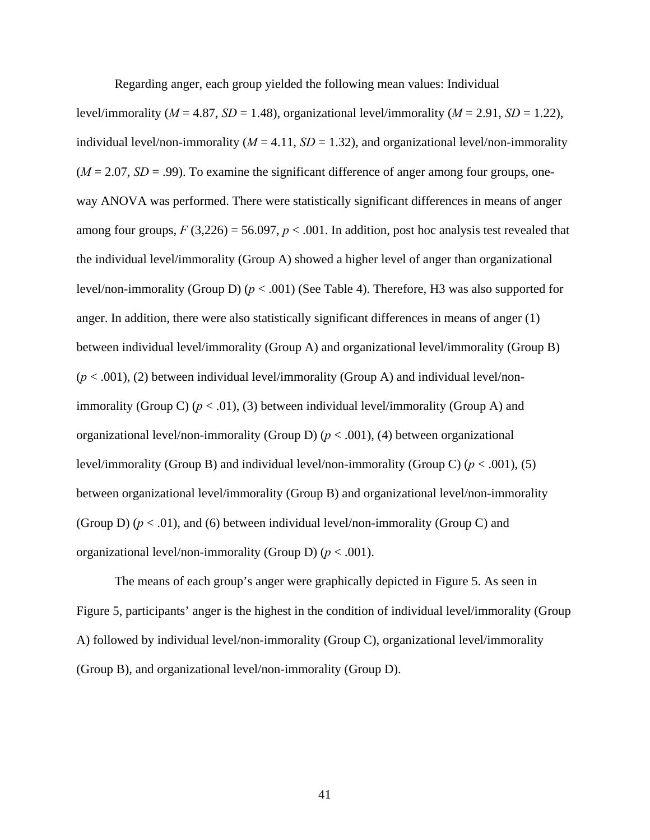Regarding anger, each group yielded the following mean values: Individual

level/immorality ( $M = 4.87$ ,  $SD = 1.48$ ), organizational level/immorality ( $M = 2.91$ ,  $SD = 1.22$ ), individual level/non-immorality ( $M = 4.11$ ,  $SD = 1.32$ ), and organizational level/non-immorality  $(M = 2.07, SD = .99)$ . To examine the significant difference of anger among four groups, oneway ANOVA was performed. There were statistically significant differences in means of anger among four groups,  $F(3,226) = 56.097$ ,  $p < .001$ . In addition, post hoc analysis test revealed that the individual level/immorality (Group A) showed a higher level of anger than organizational level/non-immorality (Group D) (*p* < .001) (See Table 4). Therefore, H3 was also supported for anger. In addition, there were also statistically significant differences in means of anger (1) between individual level/immorality (Group A) and organizational level/immorality (Group B)  $(p < .001)$ , (2) between individual level/immorality (Group A) and individual level/nonimmorality (Group C)  $(p < .01)$ , (3) between individual level/immorality (Group A) and organizational level/non-immorality (Group D) (*p* < .001), (4) between organizational level/immorality (Group B) and individual level/non-immorality (Group C) (*p* < .001), (5) between organizational level/immorality (Group B) and organizational level/non-immorality (Group D)  $(p < .01)$ , and (6) between individual level/non-immorality (Group C) and organizational level/non-immorality (Group D) (*p* < .001).

The means of each group's anger were graphically depicted in Figure 5. As seen in Figure 5, participants' anger is the highest in the condition of individual level/immorality (Group A) followed by individual level/non-immorality (Group C), organizational level/immorality (Group B), and organizational level/non-immorality (Group D).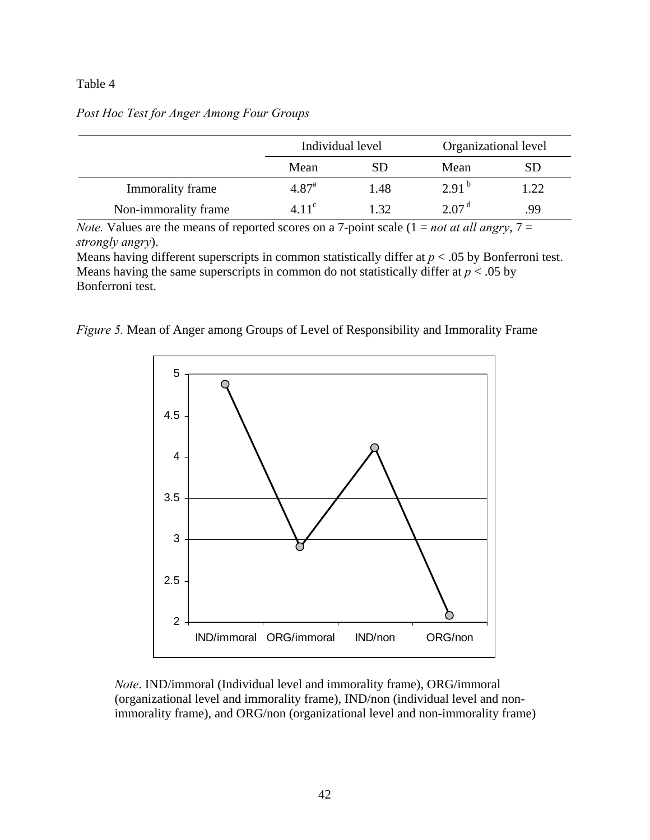# Table 4

|                      | Individual level  |      | Organizational level |     |
|----------------------|-------------------|------|----------------------|-----|
|                      | Mean<br><b>SD</b> |      | Mean                 | SD  |
| Immorality frame     | 4.87 <sup>a</sup> | 1.48 | $2.91^{b}$           | .22 |
| Non-immorality frame | 4.11 <sup>c</sup> | 1.32 | 2.07 <sup>d</sup>    | 99  |

# *Post Hoc Test for Anger Among Four Groups*

*Note.* Values are the means of reported scores on a 7-point scale  $(1 = not at all$  angry,  $7 =$ *strongly angry*).

Means having different superscripts in common statistically differ at  $p < .05$  by Bonferroni test. Means having the same superscripts in common do not statistically differ at  $p < .05$  by Bonferroni test.

*Figure 5.* Mean of Anger among Groups of Level of Responsibility and Immorality Frame



*Note*. IND/immoral (Individual level and immorality frame), ORG/immoral (organizational level and immorality frame), IND/non (individual level and nonimmorality frame), and ORG/non (organizational level and non-immorality frame)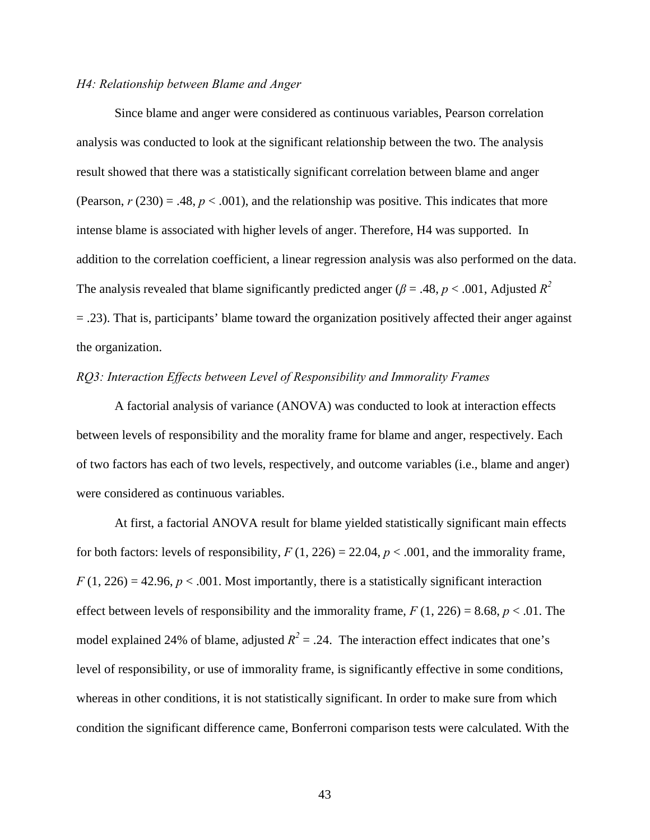# *H4: Relationship between Blame and Anger*

Since blame and anger were considered as continuous variables, Pearson correlation analysis was conducted to look at the significant relationship between the two. The analysis result showed that there was a statistically significant correlation between blame and anger (Pearson,  $r(230) = .48$ ,  $p < .001$ ), and the relationship was positive. This indicates that more intense blame is associated with higher levels of anger. Therefore, H4 was supported. In addition to the correlation coefficient, a linear regression analysis was also performed on the data. The analysis revealed that blame significantly predicted anger ( $\beta$  = .48,  $p$  < .001, Adjusted  $R^2$ = .23). That is, participants' blame toward the organization positively affected their anger against the organization.

# *RQ3: Interaction Effects between Level of Responsibility and Immorality Frames*

A factorial analysis of variance (ANOVA) was conducted to look at interaction effects between levels of responsibility and the morality frame for blame and anger, respectively. Each of two factors has each of two levels, respectively, and outcome variables (i.e., blame and anger) were considered as continuous variables.

At first, a factorial ANOVA result for blame yielded statistically significant main effects for both factors: levels of responsibility,  $F(1, 226) = 22.04$ ,  $p < .001$ , and the immorality frame,  $F(1, 226) = 42.96$ ,  $p < .001$ . Most importantly, there is a statistically significant interaction effect between levels of responsibility and the immorality frame,  $F(1, 226) = 8.68$ ,  $p < .01$ . The model explained 24% of blame, adjusted  $R^2 = .24$ . The interaction effect indicates that one's level of responsibility, or use of immorality frame, is significantly effective in some conditions, whereas in other conditions, it is not statistically significant. In order to make sure from which condition the significant difference came, Bonferroni comparison tests were calculated. With the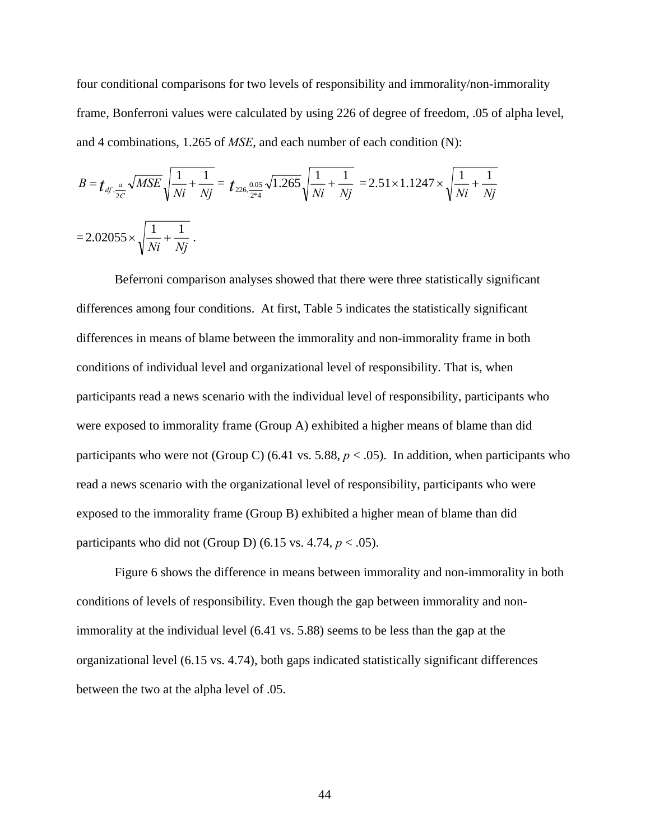four conditional comparisons for two levels of responsibility and immorality/non-immorality frame, Bonferroni values were calculated by using 226 of degree of freedom, .05 of alpha level, and 4 combinations, 1.265 of *MSE*, and each number of each condition (N):

$$
B = t_{df, \frac{a}{2C}} \sqrt{MSE} \sqrt{\frac{1}{Ni} + \frac{1}{Nj}} = t_{226, \frac{0.05}{2*4}} \sqrt{1.265} \sqrt{\frac{1}{Ni} + \frac{1}{Nj}} = 2.51 \times 1.1247 \times \sqrt{\frac{1}{Ni} + \frac{1}{Nj}}
$$
  
= 2.02055 ×  $\sqrt{\frac{1}{Ni} + \frac{1}{Nj}}$ .

Beferroni comparison analyses showed that there were three statistically significant differences among four conditions. At first, Table 5 indicates the statistically significant differences in means of blame between the immorality and non-immorality frame in both conditions of individual level and organizational level of responsibility. That is, when participants read a news scenario with the individual level of responsibility, participants who were exposed to immorality frame (Group A) exhibited a higher means of blame than did participants who were not (Group C) (6.41 vs. 5.88,  $p < .05$ ). In addition, when participants who read a news scenario with the organizational level of responsibility, participants who were exposed to the immorality frame (Group B) exhibited a higher mean of blame than did participants who did not (Group D) (6.15 vs.  $4.74$ ,  $p < .05$ ).

Figure 6 shows the difference in means between immorality and non-immorality in both conditions of levels of responsibility. Even though the gap between immorality and nonimmorality at the individual level (6.41 vs. 5.88) seems to be less than the gap at the organizational level (6.15 vs. 4.74), both gaps indicated statistically significant differences between the two at the alpha level of .05.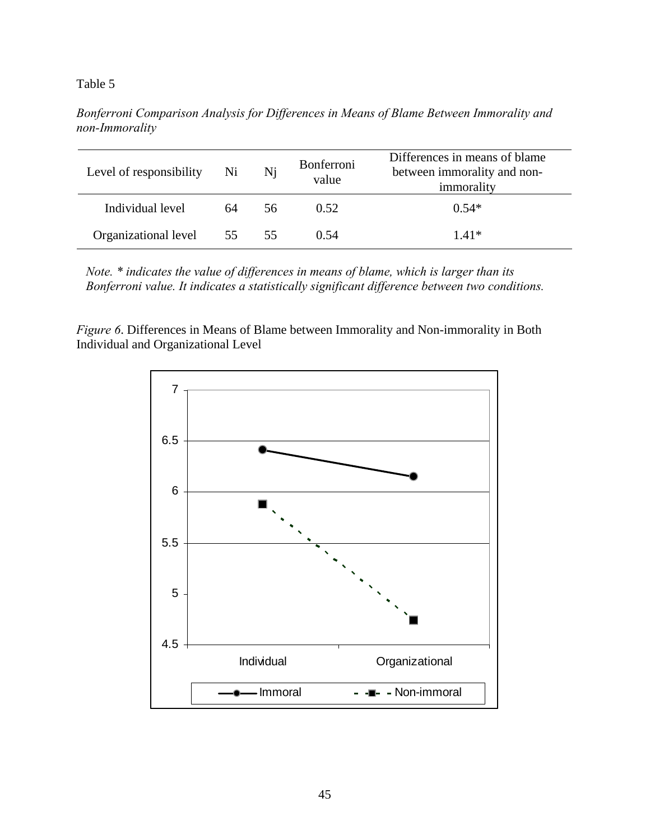# Table 5

| Level of responsibility | Ni | Ni | Bonferroni<br>value | Differences in means of blame<br>between immorality and non-<br>immorality |
|-------------------------|----|----|---------------------|----------------------------------------------------------------------------|
| Individual level        | 64 | 56 | 0.52                | $0.54*$                                                                    |
| Organizational level 55 |    | 55 | 0.54                | $1.41*$                                                                    |

*Bonferroni Comparison Analysis for Differences in Means of Blame Between Immorality and non-Immorality* 

*Note. \* indicates the value of differences in means of blame, which is larger than its Bonferroni value. It indicates a statistically significant difference between two conditions.* 

*Figure 6*. Differences in Means of Blame between Immorality and Non-immorality in Both Individual and Organizational Level

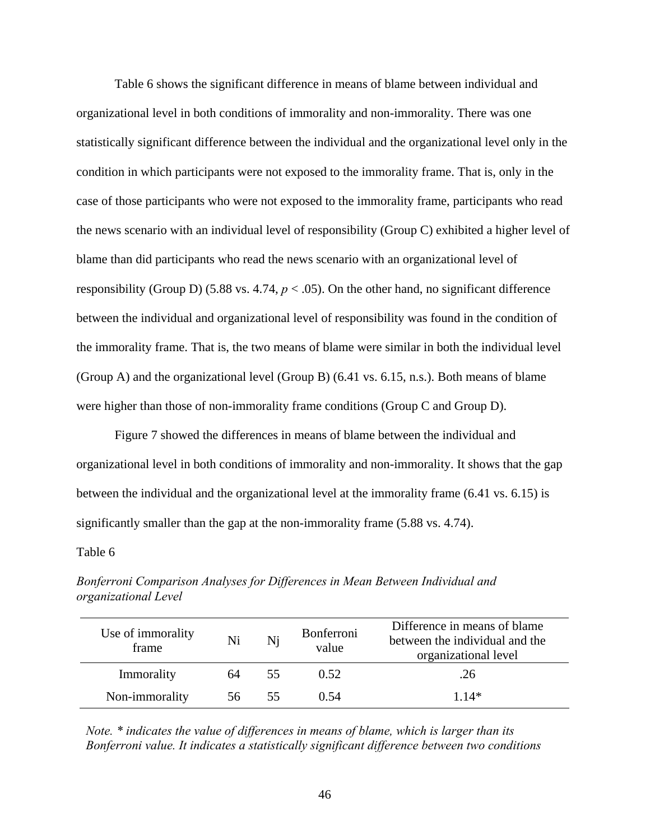Table 6 shows the significant difference in means of blame between individual and organizational level in both conditions of immorality and non-immorality. There was one statistically significant difference between the individual and the organizational level only in the condition in which participants were not exposed to the immorality frame. That is, only in the case of those participants who were not exposed to the immorality frame, participants who read the news scenario with an individual level of responsibility (Group C) exhibited a higher level of blame than did participants who read the news scenario with an organizational level of responsibility (Group D) (5.88 vs. 4.74,  $p < .05$ ). On the other hand, no significant difference between the individual and organizational level of responsibility was found in the condition of the immorality frame. That is, the two means of blame were similar in both the individual level (Group A) and the organizational level (Group B) (6.41 vs. 6.15, n.s.). Both means of blame were higher than those of non-immorality frame conditions (Group C and Group D).

Figure 7 showed the differences in means of blame between the individual and organizational level in both conditions of immorality and non-immorality. It shows that the gap between the individual and the organizational level at the immorality frame (6.41 vs. 6.15) is significantly smaller than the gap at the non-immorality frame (5.88 vs. 4.74).

#### Table 6

| Use of immorality<br>frame | Ni  | Ni  | <b>Bonferroni</b><br>value | Difference in means of blame<br>between the individual and the<br>organizational level |
|----------------------------|-----|-----|----------------------------|----------------------------------------------------------------------------------------|
| Immorality                 | 64  | 55. | 0.52                       | .26                                                                                    |
| Non-immorality             | 56. | 55  | 0.54                       | $1.14*$                                                                                |

*Bonferroni Comparison Analyses for Differences in Mean Between Individual and organizational Level* 

*Note. \* indicates the value of differences in means of blame, which is larger than its Bonferroni value. It indicates a statistically significant difference between two conditions*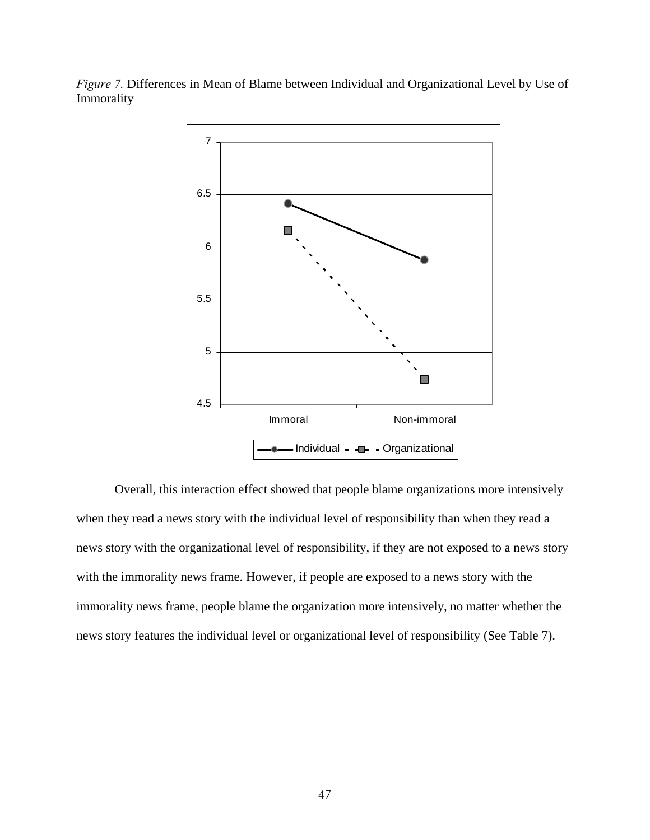*Figure 7.* Differences in Mean of Blame between Individual and Organizational Level by Use of Immorality



Overall, this interaction effect showed that people blame organizations more intensively when they read a news story with the individual level of responsibility than when they read a news story with the organizational level of responsibility, if they are not exposed to a news story with the immorality news frame. However, if people are exposed to a news story with the immorality news frame, people blame the organization more intensively, no matter whether the news story features the individual level or organizational level of responsibility (See Table 7).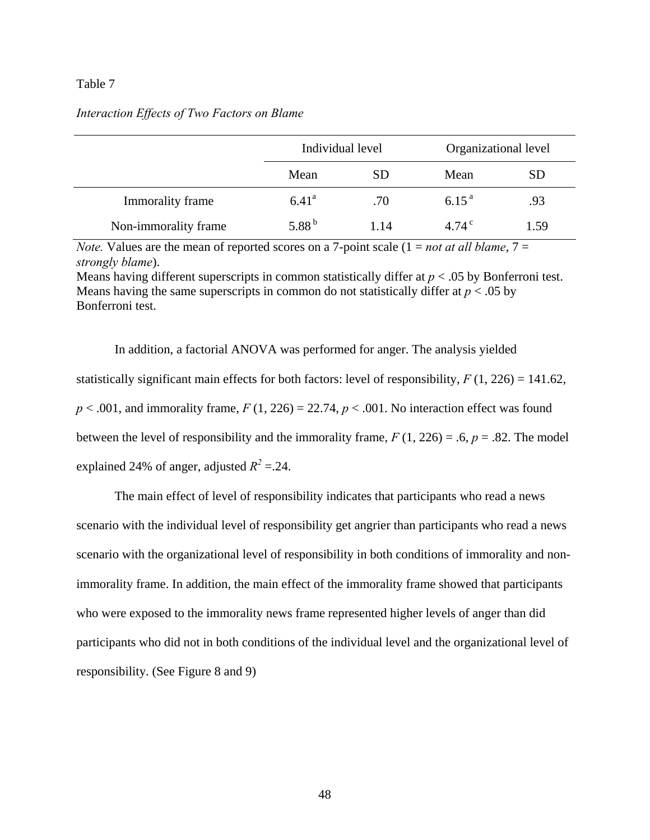### Table 7

### *Interaction Effects of Two Factors on Blame*

|                      | Individual level |           | Organizational level |           |
|----------------------|------------------|-----------|----------------------|-----------|
|                      | Mean             | <b>SD</b> | Mean                 | <b>SD</b> |
| Immorality frame     | $6.41^{\circ}$   | .70       | $6.15^{a}$           | .93       |
| Non-immorality frame | 5.88 $^{\rm b}$  | 1.14      | 4.74 $^{\circ}$      | 1.59      |

*Note.* Values are the mean of reported scores on a 7-point scale  $(1 = not at all blame, 7 = 1)$ *strongly blame*).

Means having different superscripts in common statistically differ at *p* < .05 by Bonferroni test. Means having the same superscripts in common do not statistically differ at *p* < .05 by Bonferroni test.

In addition, a factorial ANOVA was performed for anger. The analysis yielded statistically significant main effects for both factors: level of responsibility,  $F(1, 226) = 141.62$ ,  $p < .001$ , and immorality frame,  $F(1, 226) = 22.74$ ,  $p < .001$ . No interaction effect was found between the level of responsibility and the immorality frame,  $F(1, 226) = .6$ ,  $p = .82$ . The model explained 24% of anger, adjusted  $R^2 = 24$ .

The main effect of level of responsibility indicates that participants who read a news scenario with the individual level of responsibility get angrier than participants who read a news scenario with the organizational level of responsibility in both conditions of immorality and nonimmorality frame. In addition, the main effect of the immorality frame showed that participants who were exposed to the immorality news frame represented higher levels of anger than did participants who did not in both conditions of the individual level and the organizational level of responsibility. (See Figure 8 and 9)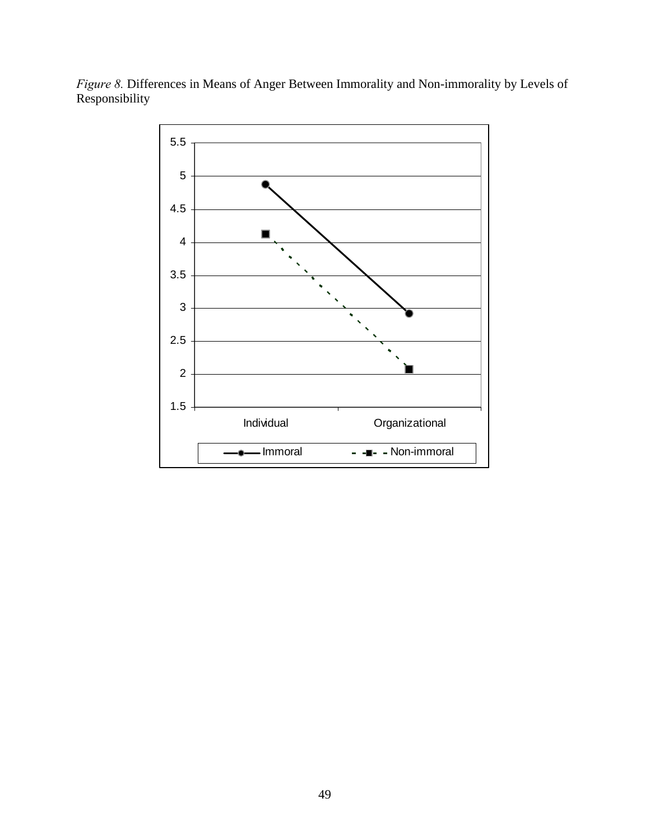*Figure 8.* Differences in Means of Anger Between Immorality and Non-immorality by Levels of Responsibility

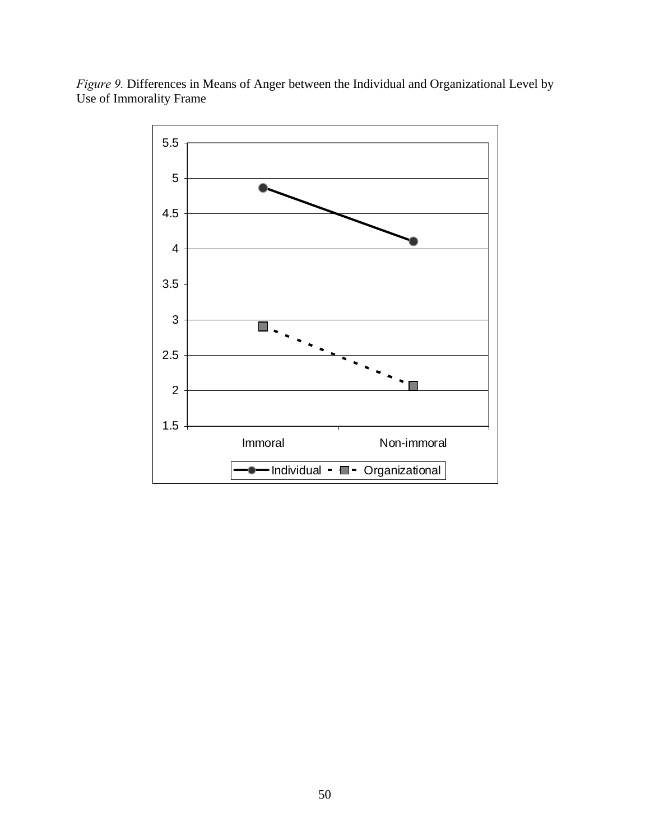

*Figure 9.* Differences in Means of Anger between the Individual and Organizational Level by Use of Immorality Frame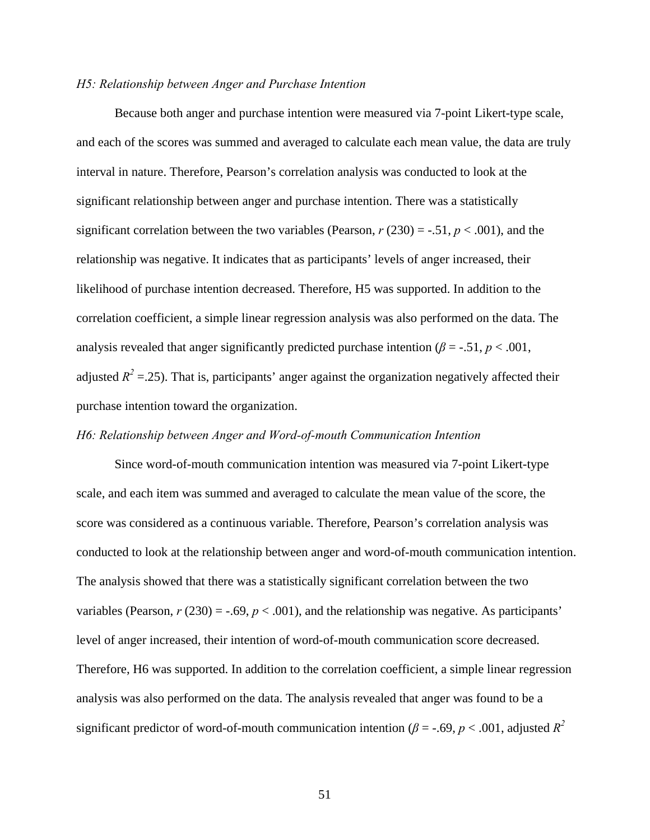#### *H5: Relationship between Anger and Purchase Intention*

Because both anger and purchase intention were measured via 7-point Likert-type scale, and each of the scores was summed and averaged to calculate each mean value, the data are truly interval in nature. Therefore, Pearson's correlation analysis was conducted to look at the significant relationship between anger and purchase intention. There was a statistically significant correlation between the two variables (Pearson,  $r(230) = -.51$ ,  $p < .001$ ), and the relationship was negative. It indicates that as participants' levels of anger increased, their likelihood of purchase intention decreased. Therefore, H5 was supported. In addition to the correlation coefficient, a simple linear regression analysis was also performed on the data. The analysis revealed that anger significantly predicted purchase intention ( $\beta$  = -.51,  $p$  < .001, adjusted  $R^2$  = 25). That is, participants' anger against the organization negatively affected their purchase intention toward the organization.

# *H6: Relationship between Anger and Word-of-mouth Communication Intention*

Since word-of-mouth communication intention was measured via 7-point Likert-type scale, and each item was summed and averaged to calculate the mean value of the score, the score was considered as a continuous variable. Therefore, Pearson's correlation analysis was conducted to look at the relationship between anger and word-of-mouth communication intention. The analysis showed that there was a statistically significant correlation between the two variables (Pearson,  $r$  (230) = -.69,  $p$  < .001), and the relationship was negative. As participants' level of anger increased, their intention of word-of-mouth communication score decreased. Therefore, H6 was supported. In addition to the correlation coefficient, a simple linear regression analysis was also performed on the data. The analysis revealed that anger was found to be a significant predictor of word-of-mouth communication intention ( $\beta$  = -.69,  $p$  < .001, adjusted  $R^2$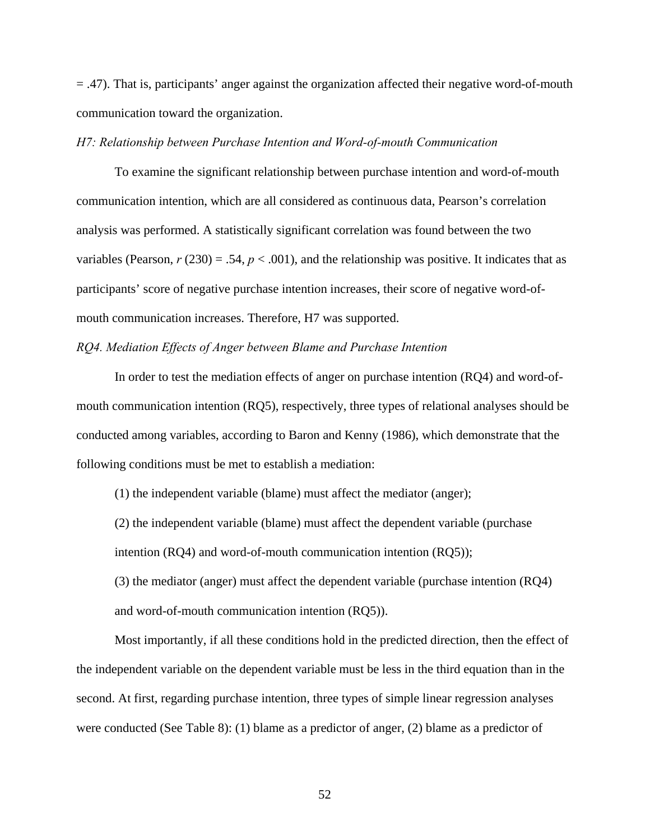= .47). That is, participants' anger against the organization affected their negative word-of-mouth communication toward the organization.

### *H7: Relationship between Purchase Intention and Word-of-mouth Communication*

To examine the significant relationship between purchase intention and word-of-mouth communication intention, which are all considered as continuous data, Pearson's correlation analysis was performed. A statistically significant correlation was found between the two variables (Pearson,  $r$  (230) = .54,  $p < .001$ ), and the relationship was positive. It indicates that as participants' score of negative purchase intention increases, their score of negative word-ofmouth communication increases. Therefore, H7 was supported.

# *RQ4. Mediation Effects of Anger between Blame and Purchase Intention*

In order to test the mediation effects of anger on purchase intention (RQ4) and word-ofmouth communication intention (RQ5), respectively, three types of relational analyses should be conducted among variables, according to Baron and Kenny (1986), which demonstrate that the following conditions must be met to establish a mediation:

(1) the independent variable (blame) must affect the mediator (anger);

(2) the independent variable (blame) must affect the dependent variable (purchase

intention (RQ4) and word-of-mouth communication intention (RQ5));

(3) the mediator (anger) must affect the dependent variable (purchase intention (RQ4) and word-of-mouth communication intention (RQ5)).

Most importantly, if all these conditions hold in the predicted direction, then the effect of the independent variable on the dependent variable must be less in the third equation than in the second. At first, regarding purchase intention, three types of simple linear regression analyses were conducted (See Table 8): (1) blame as a predictor of anger, (2) blame as a predictor of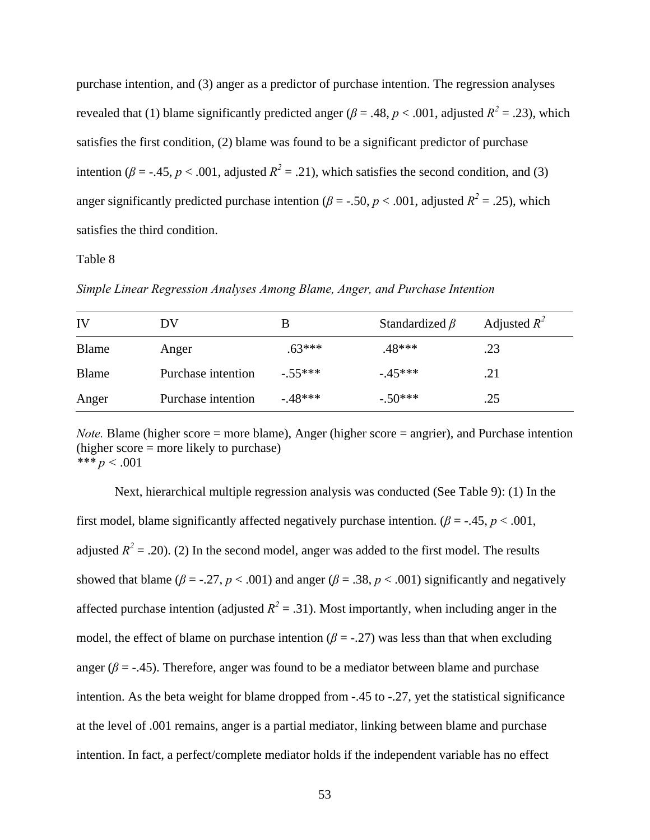purchase intention, and (3) anger as a predictor of purchase intention. The regression analyses revealed that (1) blame significantly predicted anger ( $\beta = .48$ ,  $p < .001$ , adjusted  $R^2 = .23$ ), which satisfies the first condition, (2) blame was found to be a significant predictor of purchase intention ( $\beta$  = -.45, *p* < .001, adjusted  $R^2$  = .21), which satisfies the second condition, and (3) anger significantly predicted purchase intention ( $\beta$  = -.50,  $p$  < .001, adjusted  $R^2$  = .25), which satisfies the third condition.

### Table 8

| IV           | DV                 |           | Standardized $\beta$ | Adjusted $R^2$ |
|--------------|--------------------|-----------|----------------------|----------------|
| <b>Blame</b> | Anger              | $.63***$  | .48***               | .23            |
| <b>Blame</b> | Purchase intention | $-.55***$ | $-45***$             | .21            |
| Anger        | Purchase intention | $-48***$  | $-.50***$            | .25            |

*Simple Linear Regression Analyses Among Blame, Anger, and Purchase Intention* 

*Note.* Blame (higher score = more blame), Anger (higher score = angrier), and Purchase intention (higher score = more likely to purchase)  $*** p < .001$ 

Next, hierarchical multiple regression analysis was conducted (See Table 9): (1) In the first model, blame significantly affected negatively purchase intention.  $(\beta = -0.45, p < 0.001,$ adjusted  $R^2 = .20$ ). (2) In the second model, anger was added to the first model. The results showed that blame ( $\beta$  = -.27,  $p < .001$ ) and anger ( $\beta$  = .38,  $p < .001$ ) significantly and negatively affected purchase intention (adjusted  $R^2 = .31$ ). Most importantly, when including anger in the model, the effect of blame on purchase intention ( $\beta$  = -.27) was less than that when excluding anger ( $\beta$  = -.45). Therefore, anger was found to be a mediator between blame and purchase intention. As the beta weight for blame dropped from -.45 to -.27, yet the statistical significance at the level of .001 remains, anger is a partial mediator, linking between blame and purchase intention. In fact, a perfect/complete mediator holds if the independent variable has no effect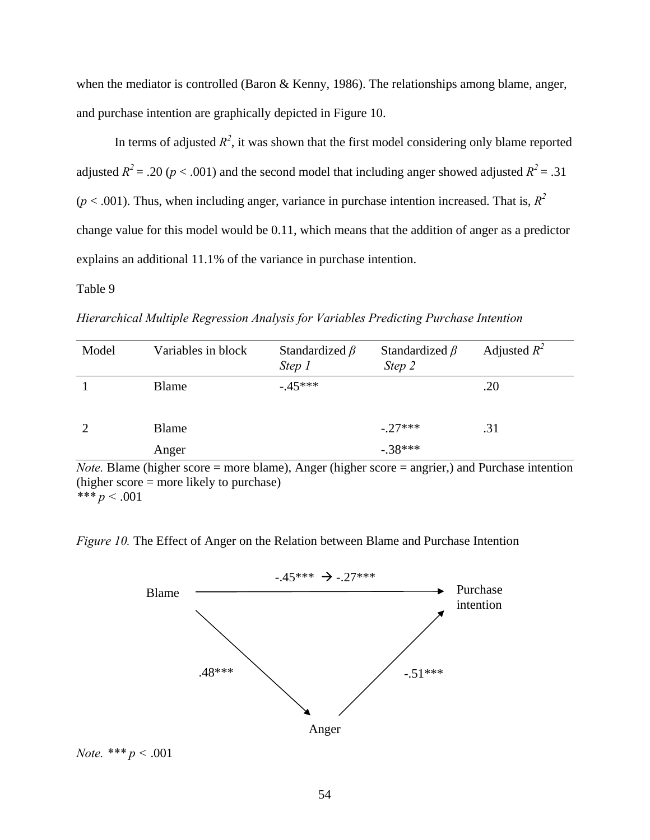when the mediator is controlled (Baron & Kenny, 1986). The relationships among blame, anger, and purchase intention are graphically depicted in Figure 10.

In terms of adjusted  $R^2$ , it was shown that the first model considering only blame reported adjusted  $R^2 = .20$  ( $p < .001$ ) and the second model that including anger showed adjusted  $R^2 = .31$  $(p < .001)$ . Thus, when including anger, variance in purchase intention increased. That is,  $R^2$ change value for this model would be 0.11, which means that the addition of anger as a predictor explains an additional 11.1% of the variance in purchase intention.

# Table 9

*Hierarchical Multiple Regression Analysis for Variables Predicting Purchase Intention* 

| Model         | Variables in block | Standardized $\beta$<br>Step 1 | Standardized $\beta$<br>Step 2 | Adjusted $R^2$ |
|---------------|--------------------|--------------------------------|--------------------------------|----------------|
|               | Blame              | $-.45***$                      |                                | .20            |
|               | <b>Blame</b>       |                                | $-.27***$                      | .31            |
| $\sim$ $\sim$ | Anger<br>- -       | .                              | $-.38***$                      |                |

*Note.* Blame (higher score = more blame), Anger (higher score = angrier,) and Purchase intention (higher score = more likely to purchase)  $*** p < .001$ 

*Figure 10.* The Effect of Anger on the Relation between Blame and Purchase Intention



*Note. \*\*\* p <* .001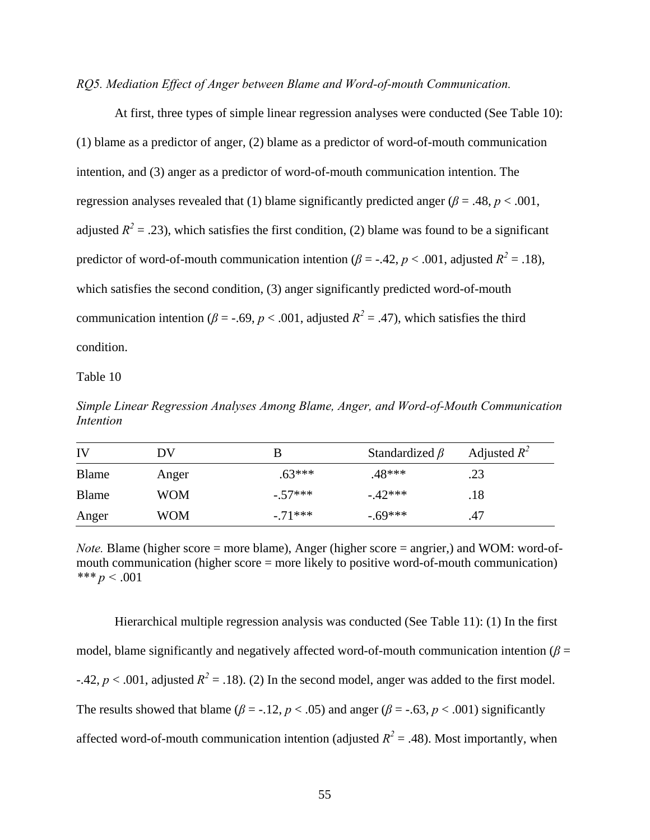#### *RQ5. Mediation Effect of Anger between Blame and Word-of-mouth Communication.*

At first, three types of simple linear regression analyses were conducted (See Table 10): (1) blame as a predictor of anger, (2) blame as a predictor of word-of-mouth communication intention, and (3) anger as a predictor of word-of-mouth communication intention. The regression analyses revealed that (1) blame significantly predicted anger ( $\beta$  = .48,  $p$  < .001, adjusted  $R^2 = .23$ ), which satisfies the first condition, (2) blame was found to be a significant predictor of word-of-mouth communication intention ( $\beta$  = -.42,  $p < .001$ , adjusted  $R^2 = .18$ ), which satisfies the second condition, (3) anger significantly predicted word-of-mouth communication intention ( $\beta$  = -.69,  $p$  < .001, adjusted  $R^2$  = .47), which satisfies the third condition.

#### Table 10

*Simple Linear Regression Analyses Among Blame, Anger, and Word-of-Mouth Communication Intention* 

| IV    | DV         |           | Standardized $\beta$ | Adjusted $R^2$ |
|-------|------------|-----------|----------------------|----------------|
| Blame | Anger      | $.63***$  | .48***               | .23            |
| Blame | WOM        | $-.57***$ | $-42***$             | .18            |
| Anger | <b>WOM</b> | $-.71***$ | $-69***$             | .47            |

*Note.* Blame (higher score = more blame), Anger (higher score = angrier,) and WOM: word-ofmouth communication (higher score = more likely to positive word-of-mouth communication) *\*\*\* p <* .001

Hierarchical multiple regression analysis was conducted (See Table 11): (1) In the first model, blame significantly and negatively affected word-of-mouth communication intention ( $\beta$  = -.42,  $p < .001$ , adjusted  $R^2 = .18$ ). (2) In the second model, anger was added to the first model. The results showed that blame ( $\beta$  = -.12,  $p$  < .05) and anger ( $\beta$  = -.63,  $p$  < .001) significantly affected word-of-mouth communication intention (adjusted  $R^2 = .48$ ). Most importantly, when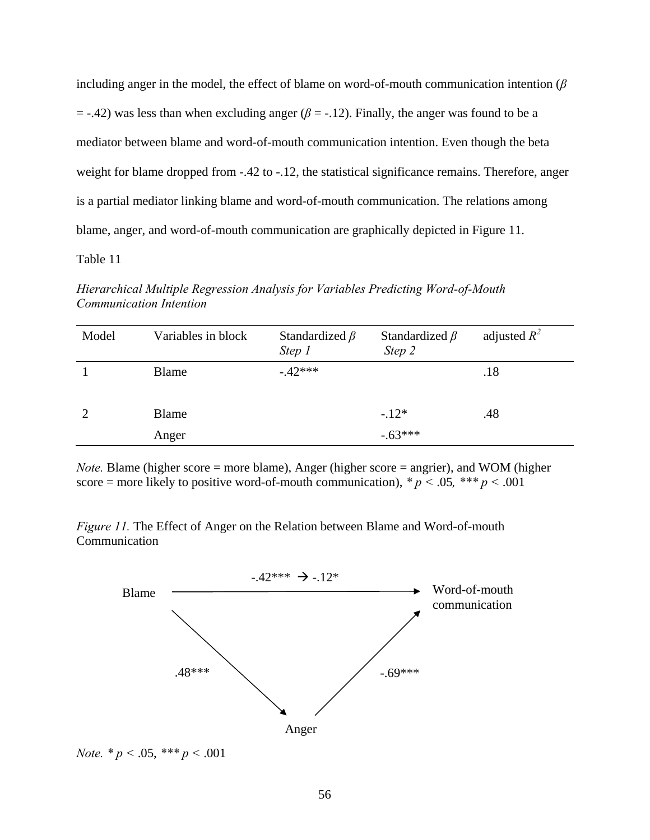including anger in the model, the effect of blame on word-of-mouth communication intention (*β*  $=$  -.42) was less than when excluding anger ( $\beta$  = -.12). Finally, the anger was found to be a mediator between blame and word-of-mouth communication intention. Even though the beta weight for blame dropped from -.42 to -.12, the statistical significance remains. Therefore, anger is a partial mediator linking blame and word-of-mouth communication. The relations among blame, anger, and word-of-mouth communication are graphically depicted in Figure 11.

# Table 11

*Hierarchical Multiple Regression Analysis for Variables Predicting Word-of-Mouth Communication Intention* 

| Model | Variables in block | Standardized $\beta$<br>Step 1 | Standardized $\beta$<br>Step 2 | adjusted $R^2$ |
|-------|--------------------|--------------------------------|--------------------------------|----------------|
|       | <b>Blame</b>       | $-42***$                       |                                | .18            |
|       | Blame              |                                | $-.12*$                        | .48            |
|       | Anger              |                                | $-.63***$                      |                |

*Note.* Blame (higher score = more blame), Anger (higher score = angrier), and WOM (higher score = more likely to positive word-of-mouth communication),  $p < .05$ ,  $p \cdot p < .001$ 

*Figure 11.* The Effect of Anger on the Relation between Blame and Word-of-mouth **Communication** 



*Note.*  $* p < .05$ ,  $** p < .001$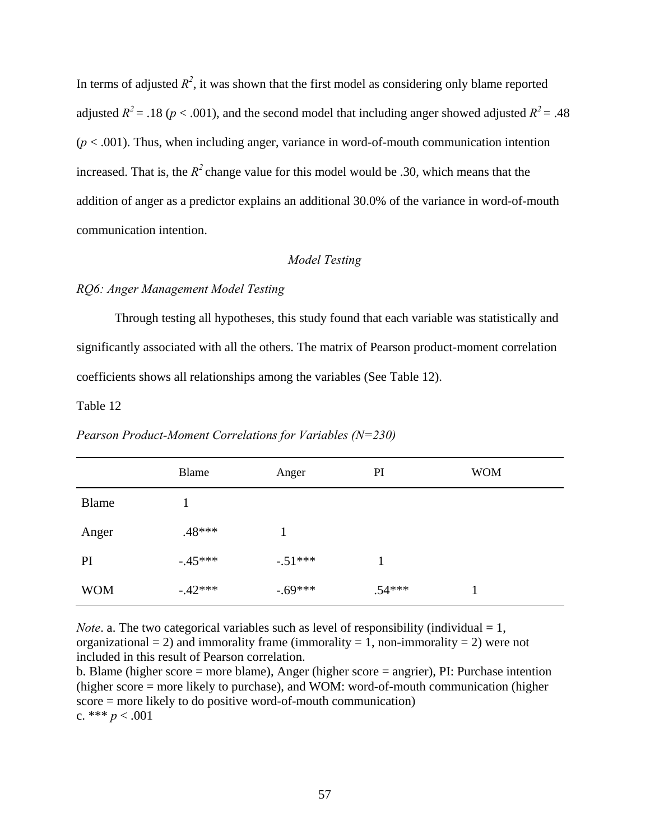In terms of adjusted  $R^2$ , it was shown that the first model as considering only blame reported adjusted  $R^2 = .18$  ( $p < .001$ ), and the second model that including anger showed adjusted  $R^2 = .48$  $(p < .001)$ . Thus, when including anger, variance in word-of-mouth communication intention increased. That is, the  $R^2$  change value for this model would be .30, which means that the addition of anger as a predictor explains an additional 30.0% of the variance in word-of-mouth communication intention.

# *Model Testing*

# *RQ6: Anger Management Model Testing*

Through testing all hypotheses, this study found that each variable was statistically and significantly associated with all the others. The matrix of Pearson product-moment correlation coefficients shows all relationships among the variables (See Table 12).

#### Table 12

|            | Blame     | Anger      | PI       | <b>WOM</b> |
|------------|-----------|------------|----------|------------|
| Blame      |           |            |          |            |
| Anger      | .48***    |            |          |            |
| PI         | $-45***$  | $-0.51***$ |          |            |
| <b>WOM</b> | $-.42***$ | $-0.69***$ | $.54***$ |            |

*Pearson Product-Moment Correlations for Variables (N=230)* 

*Note*. a. The two categorical variables such as level of responsibility (individual  $= 1$ , organizational  $= 2$ ) and immorality frame (immorality  $= 1$ , non-immorality  $= 2$ ) were not included in this result of Pearson correlation.

b. Blame (higher score = more blame), Anger (higher score = angrier), PI: Purchase intention (higher score = more likely to purchase), and WOM: word-of-mouth communication (higher score = more likely to do positive word-of-mouth communication) c. \*\*\*  $p < .001$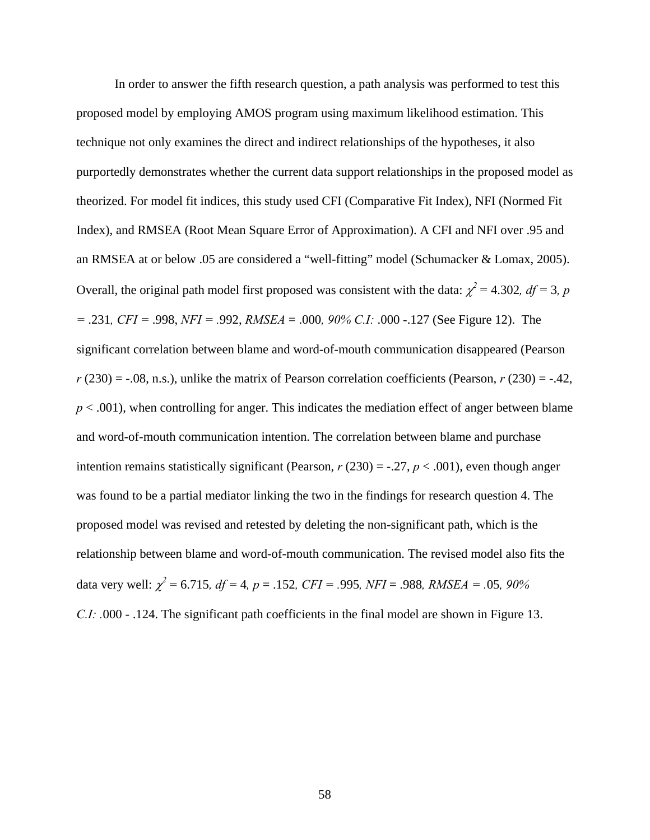In order to answer the fifth research question, a path analysis was performed to test this proposed model by employing AMOS program using maximum likelihood estimation. This technique not only examines the direct and indirect relationships of the hypotheses, it also purportedly demonstrates whether the current data support relationships in the proposed model as theorized. For model fit indices, this study used CFI (Comparative Fit Index), NFI (Normed Fit Index), and RMSEA (Root Mean Square Error of Approximation). A CFI and NFI over .95 and an RMSEA at or below .05 are considered a "well-fitting" model (Schumacker & Lomax, 2005). Overall, the original path model first proposed was consistent with the data:  $\chi^2$  = 4.302,  $df$  = 3, p *=* .231*, CFI =* .998, *NFI = .*992, *RMSEA* = .000*, 90% C.I:* .000 -.127 (See Figure 12). The significant correlation between blame and word-of-mouth communication disappeared (Pearson  $r(230) = -0.08$ , n.s.), unlike the matrix of Pearson correlation coefficients (Pearson,  $r(230) = -0.42$ ,  $p < .001$ ), when controlling for anger. This indicates the mediation effect of anger between blame and word-of-mouth communication intention. The correlation between blame and purchase intention remains statistically significant (Pearson,  $r(230) = -.27$ ,  $p < .001$ ), even though anger was found to be a partial mediator linking the two in the findings for research question 4. The proposed model was revised and retested by deleting the non-significant path, which is the relationship between blame and word-of-mouth communication. The revised model also fits the data very well:  $\chi^2 = 6.715$ *, df* = 4*, p* = .152*, CFI* = .995*, NFI* = .988*, RMSEA* = .05*, 90% C.I:* .000 - .124. The significant path coefficients in the final model are shown in Figure 13.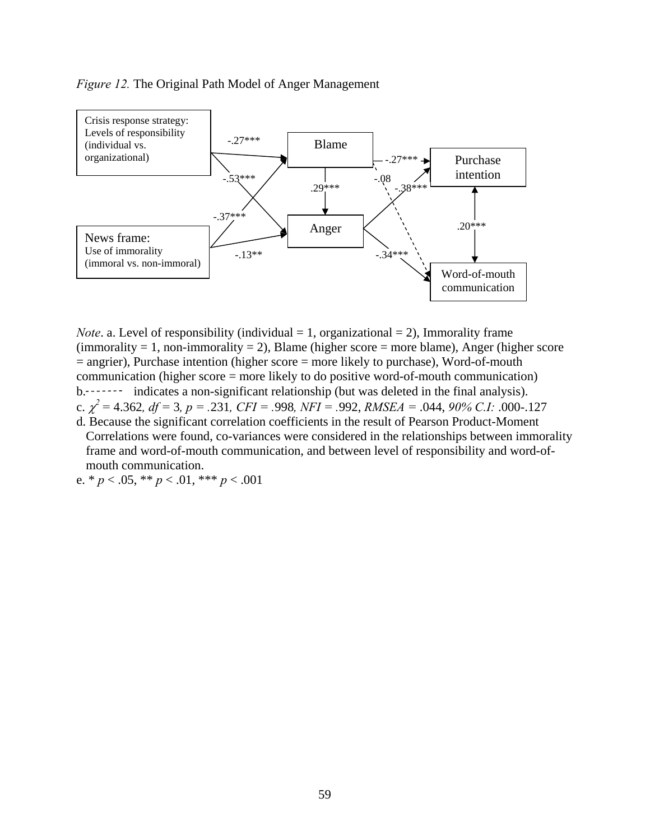# *Figure 12.* The Original Path Model of Anger Management



*Note*. a. Level of responsibility (individual  $= 1$ , organizational  $= 2$ ), Immorality frame  $(immorality = 1, non-immorality = 2)$ , Blame (higher score = more blame), Anger (higher score  $=$  angrier), Purchase intention (higher score  $=$  more likely to purchase), Word-of-mouth communication (higher score = more likely to do positive word-of-mouth communication) b.  $\cdots$  indicates a non-significant relationship (but was deleted in the final analysis). c.  $\chi^2$  = 4.362, df = 3, p = .231, CFI = .998, NFI = .992, RMSEA = .044, 90% C.I: .000-.127 d. Because the significant correlation coefficients in the result of Pearson Product-Moment Correlations were found, co-variances were considered in the relationships between immorality

frame and word-of-mouth communication, and between level of responsibility and word-ofmouth communication.

e. \* *p* < .05, \*\* *p* < .01, \*\*\* *p* < .001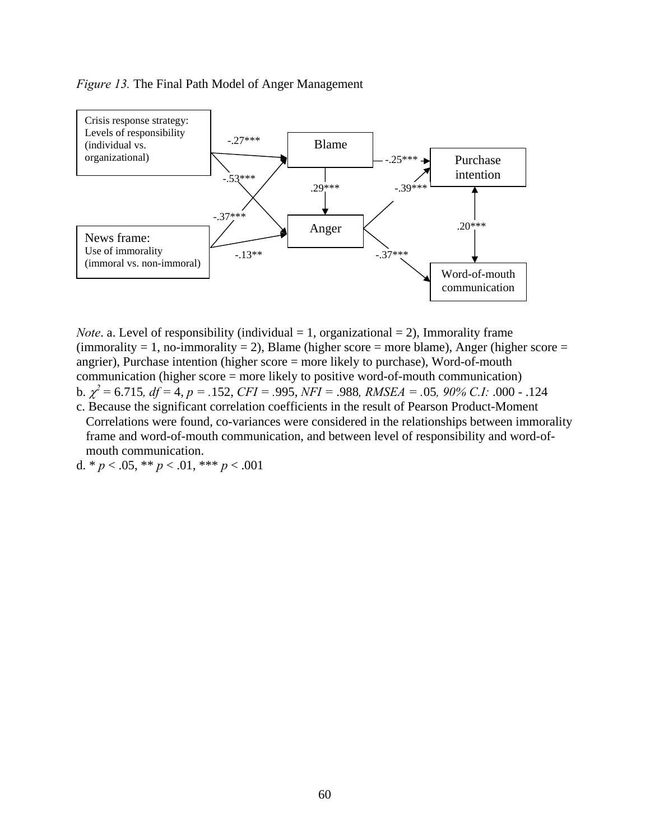### *Figure 13.* The Final Path Model of Anger Management



*Note*. a. Level of responsibility (individual  $= 1$ , organizational  $= 2$ ), Immorality frame  $(immorality = 1, no-immorality = 2)$ , Blame (higher score = more blame), Anger (higher score = angrier), Purchase intention (higher score = more likely to purchase), Word-of-mouth communication (higher score = more likely to positive word-of-mouth communication) b. <sup>χ</sup> *2 =* 6.715*, df =* 4, *p = .*152, *CFI = .*995, *NFI =* .988*, RMSEA = .*05*, 90% C.I:* .000 - .124

c. Because the significant correlation coefficients in the result of Pearson Product-Moment Correlations were found, co-variances were considered in the relationships between immorality frame and word-of-mouth communication, and between level of responsibility and word-ofmouth communication.

d.  $* p < .05, ** p < .01, ** p < .001$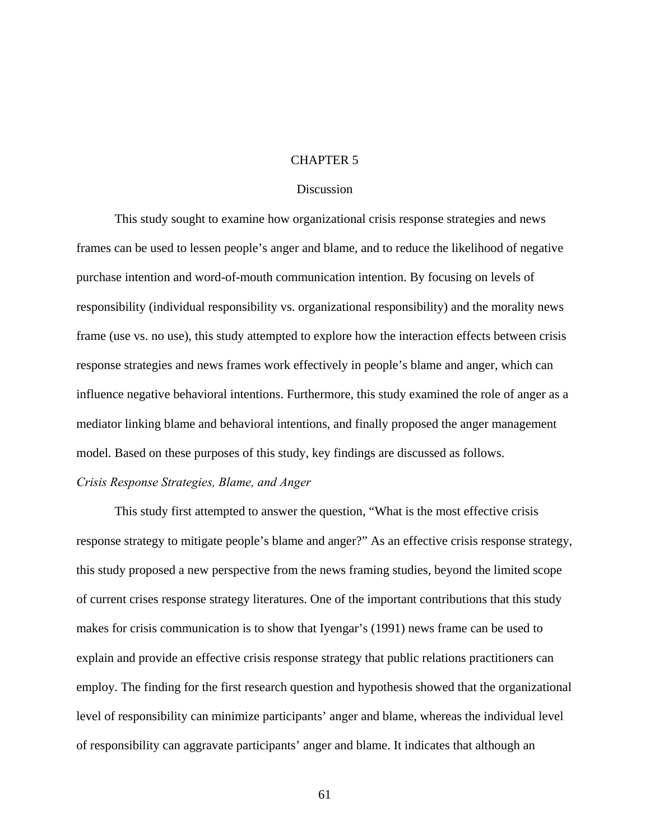### CHAPTER 5

### **Discussion**

This study sought to examine how organizational crisis response strategies and news frames can be used to lessen people's anger and blame, and to reduce the likelihood of negative purchase intention and word-of-mouth communication intention. By focusing on levels of responsibility (individual responsibility vs. organizational responsibility) and the morality news frame (use vs. no use), this study attempted to explore how the interaction effects between crisis response strategies and news frames work effectively in people's blame and anger, which can influence negative behavioral intentions. Furthermore, this study examined the role of anger as a mediator linking blame and behavioral intentions, and finally proposed the anger management model. Based on these purposes of this study, key findings are discussed as follows.

#### *Crisis Response Strategies, Blame, and Anger*

This study first attempted to answer the question, "What is the most effective crisis response strategy to mitigate people's blame and anger?" As an effective crisis response strategy, this study proposed a new perspective from the news framing studies, beyond the limited scope of current crises response strategy literatures. One of the important contributions that this study makes for crisis communication is to show that Iyengar's (1991) news frame can be used to explain and provide an effective crisis response strategy that public relations practitioners can employ. The finding for the first research question and hypothesis showed that the organizational level of responsibility can minimize participants' anger and blame, whereas the individual level of responsibility can aggravate participants' anger and blame. It indicates that although an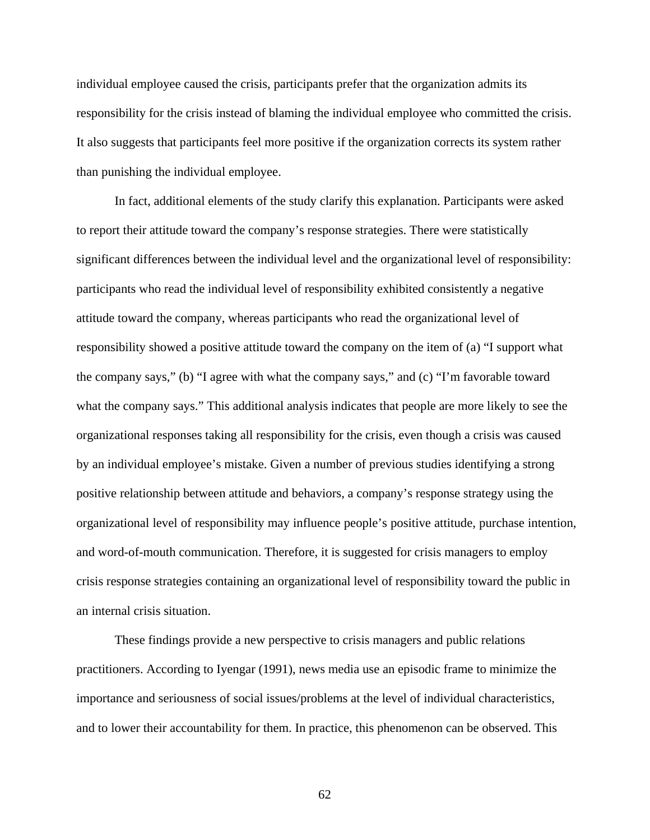individual employee caused the crisis, participants prefer that the organization admits its responsibility for the crisis instead of blaming the individual employee who committed the crisis. It also suggests that participants feel more positive if the organization corrects its system rather than punishing the individual employee.

In fact, additional elements of the study clarify this explanation. Participants were asked to report their attitude toward the company's response strategies. There were statistically significant differences between the individual level and the organizational level of responsibility: participants who read the individual level of responsibility exhibited consistently a negative attitude toward the company, whereas participants who read the organizational level of responsibility showed a positive attitude toward the company on the item of (a) "I support what the company says," (b) "I agree with what the company says," and (c) "I'm favorable toward what the company says." This additional analysis indicates that people are more likely to see the organizational responses taking all responsibility for the crisis, even though a crisis was caused by an individual employee's mistake. Given a number of previous studies identifying a strong positive relationship between attitude and behaviors, a company's response strategy using the organizational level of responsibility may influence people's positive attitude, purchase intention, and word-of-mouth communication. Therefore, it is suggested for crisis managers to employ crisis response strategies containing an organizational level of responsibility toward the public in an internal crisis situation.

These findings provide a new perspective to crisis managers and public relations practitioners. According to Iyengar (1991), news media use an episodic frame to minimize the importance and seriousness of social issues/problems at the level of individual characteristics, and to lower their accountability for them. In practice, this phenomenon can be observed. This

62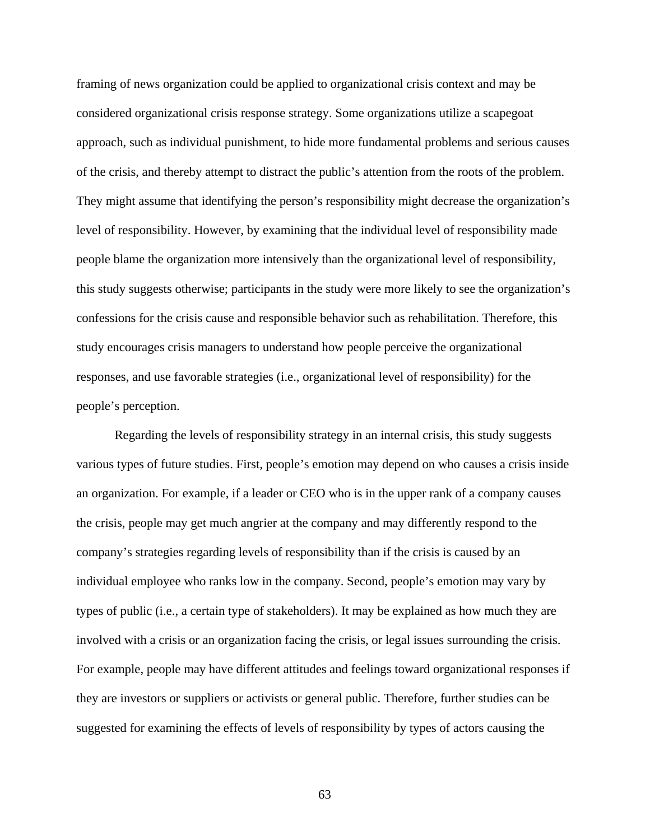framing of news organization could be applied to organizational crisis context and may be considered organizational crisis response strategy. Some organizations utilize a scapegoat approach, such as individual punishment, to hide more fundamental problems and serious causes of the crisis, and thereby attempt to distract the public's attention from the roots of the problem. They might assume that identifying the person's responsibility might decrease the organization's level of responsibility. However, by examining that the individual level of responsibility made people blame the organization more intensively than the organizational level of responsibility, this study suggests otherwise; participants in the study were more likely to see the organization's confessions for the crisis cause and responsible behavior such as rehabilitation. Therefore, this study encourages crisis managers to understand how people perceive the organizational responses, and use favorable strategies (i.e., organizational level of responsibility) for the people's perception.

Regarding the levels of responsibility strategy in an internal crisis, this study suggests various types of future studies. First, people's emotion may depend on who causes a crisis inside an organization. For example, if a leader or CEO who is in the upper rank of a company causes the crisis, people may get much angrier at the company and may differently respond to the company's strategies regarding levels of responsibility than if the crisis is caused by an individual employee who ranks low in the company. Second, people's emotion may vary by types of public (i.e., a certain type of stakeholders). It may be explained as how much they are involved with a crisis or an organization facing the crisis, or legal issues surrounding the crisis. For example, people may have different attitudes and feelings toward organizational responses if they are investors or suppliers or activists or general public. Therefore, further studies can be suggested for examining the effects of levels of responsibility by types of actors causing the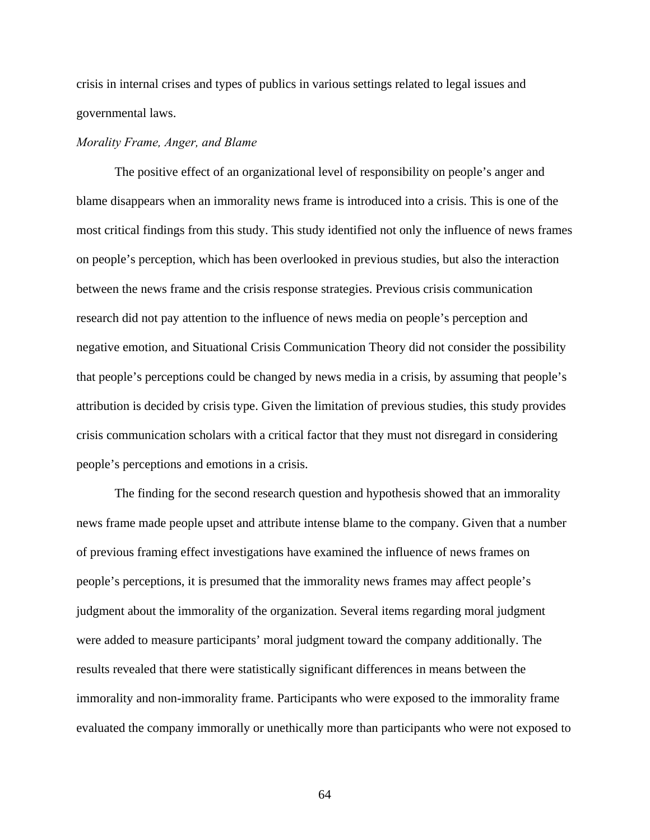crisis in internal crises and types of publics in various settings related to legal issues and governmental laws.

#### *Morality Frame, Anger, and Blame*

The positive effect of an organizational level of responsibility on people's anger and blame disappears when an immorality news frame is introduced into a crisis. This is one of the most critical findings from this study. This study identified not only the influence of news frames on people's perception, which has been overlooked in previous studies, but also the interaction between the news frame and the crisis response strategies. Previous crisis communication research did not pay attention to the influence of news media on people's perception and negative emotion, and Situational Crisis Communication Theory did not consider the possibility that people's perceptions could be changed by news media in a crisis, by assuming that people's attribution is decided by crisis type. Given the limitation of previous studies, this study provides crisis communication scholars with a critical factor that they must not disregard in considering people's perceptions and emotions in a crisis.

The finding for the second research question and hypothesis showed that an immorality news frame made people upset and attribute intense blame to the company. Given that a number of previous framing effect investigations have examined the influence of news frames on people's perceptions, it is presumed that the immorality news frames may affect people's judgment about the immorality of the organization. Several items regarding moral judgment were added to measure participants' moral judgment toward the company additionally. The results revealed that there were statistically significant differences in means between the immorality and non-immorality frame. Participants who were exposed to the immorality frame evaluated the company immorally or unethically more than participants who were not exposed to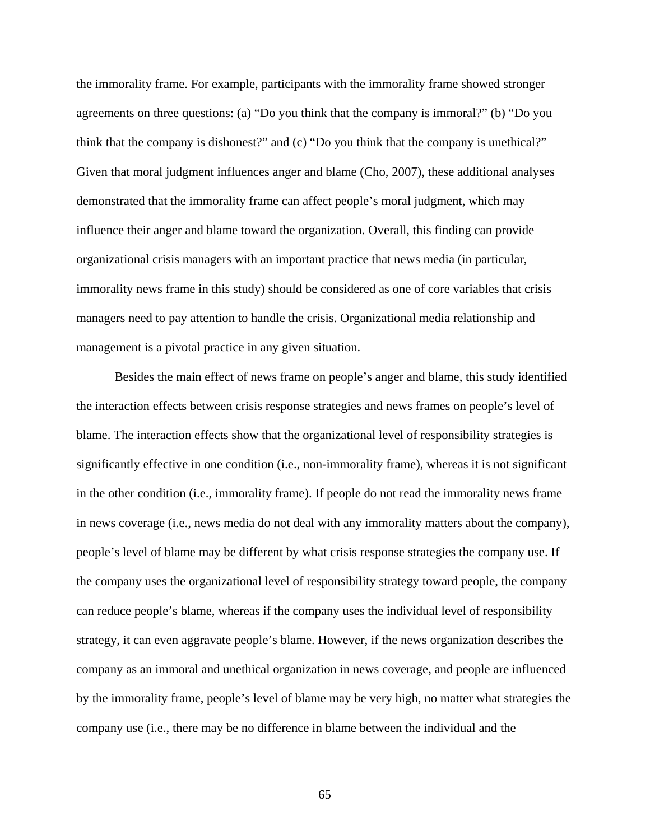the immorality frame. For example, participants with the immorality frame showed stronger agreements on three questions: (a) "Do you think that the company is immoral?" (b) "Do you think that the company is dishonest?" and (c) "Do you think that the company is unethical?" Given that moral judgment influences anger and blame (Cho, 2007), these additional analyses demonstrated that the immorality frame can affect people's moral judgment, which may influence their anger and blame toward the organization. Overall, this finding can provide organizational crisis managers with an important practice that news media (in particular, immorality news frame in this study) should be considered as one of core variables that crisis managers need to pay attention to handle the crisis. Organizational media relationship and management is a pivotal practice in any given situation.

Besides the main effect of news frame on people's anger and blame, this study identified the interaction effects between crisis response strategies and news frames on people's level of blame. The interaction effects show that the organizational level of responsibility strategies is significantly effective in one condition (i.e., non-immorality frame), whereas it is not significant in the other condition (i.e., immorality frame). If people do not read the immorality news frame in news coverage (i.e., news media do not deal with any immorality matters about the company), people's level of blame may be different by what crisis response strategies the company use. If the company uses the organizational level of responsibility strategy toward people, the company can reduce people's blame, whereas if the company uses the individual level of responsibility strategy, it can even aggravate people's blame. However, if the news organization describes the company as an immoral and unethical organization in news coverage, and people are influenced by the immorality frame, people's level of blame may be very high, no matter what strategies the company use (i.e., there may be no difference in blame between the individual and the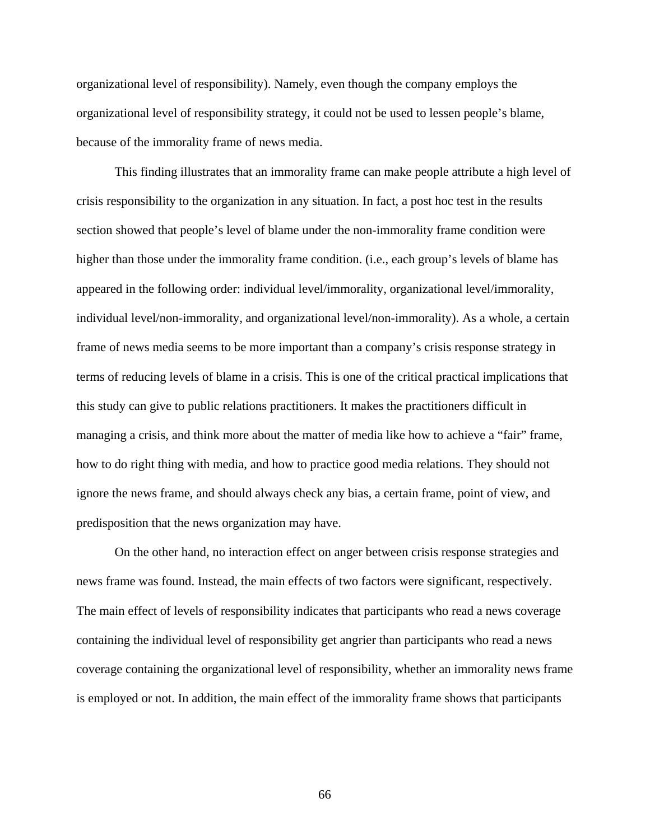organizational level of responsibility). Namely, even though the company employs the organizational level of responsibility strategy, it could not be used to lessen people's blame, because of the immorality frame of news media.

This finding illustrates that an immorality frame can make people attribute a high level of crisis responsibility to the organization in any situation. In fact, a post hoc test in the results section showed that people's level of blame under the non-immorality frame condition were higher than those under the immorality frame condition. (i.e., each group's levels of blame has appeared in the following order: individual level/immorality, organizational level/immorality, individual level/non-immorality, and organizational level/non-immorality). As a whole, a certain frame of news media seems to be more important than a company's crisis response strategy in terms of reducing levels of blame in a crisis. This is one of the critical practical implications that this study can give to public relations practitioners. It makes the practitioners difficult in managing a crisis, and think more about the matter of media like how to achieve a "fair" frame, how to do right thing with media, and how to practice good media relations. They should not ignore the news frame, and should always check any bias, a certain frame, point of view, and predisposition that the news organization may have.

On the other hand, no interaction effect on anger between crisis response strategies and news frame was found. Instead, the main effects of two factors were significant, respectively. The main effect of levels of responsibility indicates that participants who read a news coverage containing the individual level of responsibility get angrier than participants who read a news coverage containing the organizational level of responsibility, whether an immorality news frame is employed or not. In addition, the main effect of the immorality frame shows that participants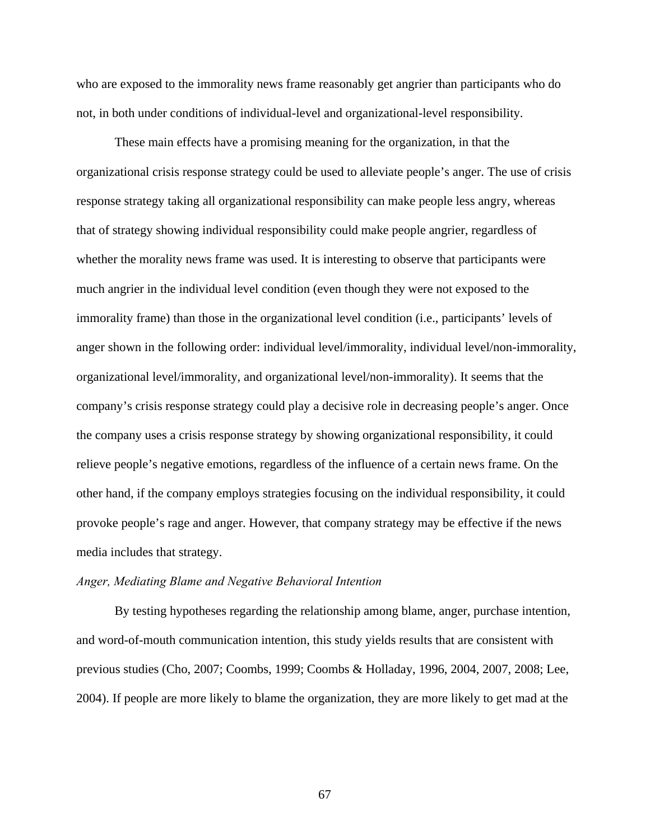who are exposed to the immorality news frame reasonably get angrier than participants who do not, in both under conditions of individual-level and organizational-level responsibility.

These main effects have a promising meaning for the organization, in that the organizational crisis response strategy could be used to alleviate people's anger. The use of crisis response strategy taking all organizational responsibility can make people less angry, whereas that of strategy showing individual responsibility could make people angrier, regardless of whether the morality news frame was used. It is interesting to observe that participants were much angrier in the individual level condition (even though they were not exposed to the immorality frame) than those in the organizational level condition (i.e., participants' levels of anger shown in the following order: individual level/immorality, individual level/non-immorality, organizational level/immorality, and organizational level/non-immorality). It seems that the company's crisis response strategy could play a decisive role in decreasing people's anger. Once the company uses a crisis response strategy by showing organizational responsibility, it could relieve people's negative emotions, regardless of the influence of a certain news frame. On the other hand, if the company employs strategies focusing on the individual responsibility, it could provoke people's rage and anger. However, that company strategy may be effective if the news media includes that strategy.

#### *Anger, Mediating Blame and Negative Behavioral Intention*

By testing hypotheses regarding the relationship among blame, anger, purchase intention, and word-of-mouth communication intention, this study yields results that are consistent with previous studies (Cho, 2007; Coombs, 1999; Coombs & Holladay, 1996, 2004, 2007, 2008; Lee, 2004). If people are more likely to blame the organization, they are more likely to get mad at the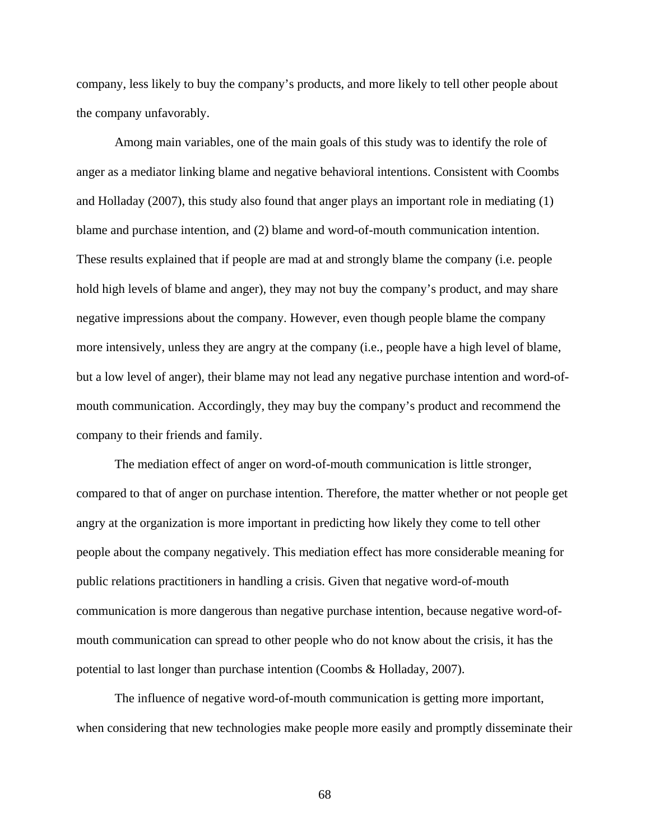company, less likely to buy the company's products, and more likely to tell other people about the company unfavorably.

Among main variables, one of the main goals of this study was to identify the role of anger as a mediator linking blame and negative behavioral intentions. Consistent with Coombs and Holladay (2007), this study also found that anger plays an important role in mediating (1) blame and purchase intention, and (2) blame and word-of-mouth communication intention. These results explained that if people are mad at and strongly blame the company (i.e. people hold high levels of blame and anger), they may not buy the company's product, and may share negative impressions about the company. However, even though people blame the company more intensively, unless they are angry at the company (i.e., people have a high level of blame, but a low level of anger), their blame may not lead any negative purchase intention and word-ofmouth communication. Accordingly, they may buy the company's product and recommend the company to their friends and family.

The mediation effect of anger on word-of-mouth communication is little stronger, compared to that of anger on purchase intention. Therefore, the matter whether or not people get angry at the organization is more important in predicting how likely they come to tell other people about the company negatively. This mediation effect has more considerable meaning for public relations practitioners in handling a crisis. Given that negative word-of-mouth communication is more dangerous than negative purchase intention, because negative word-ofmouth communication can spread to other people who do not know about the crisis, it has the potential to last longer than purchase intention (Coombs & Holladay, 2007).

The influence of negative word-of-mouth communication is getting more important, when considering that new technologies make people more easily and promptly disseminate their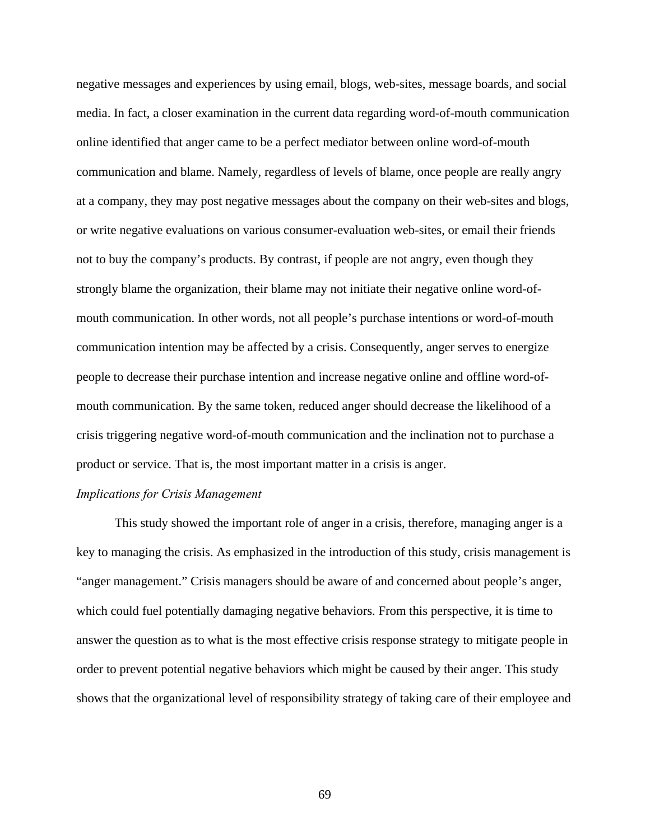negative messages and experiences by using email, blogs, web-sites, message boards, and social media. In fact, a closer examination in the current data regarding word-of-mouth communication online identified that anger came to be a perfect mediator between online word-of-mouth communication and blame. Namely, regardless of levels of blame, once people are really angry at a company, they may post negative messages about the company on their web-sites and blogs, or write negative evaluations on various consumer-evaluation web-sites, or email their friends not to buy the company's products. By contrast, if people are not angry, even though they strongly blame the organization, their blame may not initiate their negative online word-ofmouth communication. In other words, not all people's purchase intentions or word-of-mouth communication intention may be affected by a crisis. Consequently, anger serves to energize people to decrease their purchase intention and increase negative online and offline word-ofmouth communication. By the same token, reduced anger should decrease the likelihood of a crisis triggering negative word-of-mouth communication and the inclination not to purchase a product or service. That is, the most important matter in a crisis is anger.

#### *Implications for Crisis Management*

This study showed the important role of anger in a crisis, therefore, managing anger is a key to managing the crisis. As emphasized in the introduction of this study, crisis management is "anger management." Crisis managers should be aware of and concerned about people's anger, which could fuel potentially damaging negative behaviors. From this perspective, it is time to answer the question as to what is the most effective crisis response strategy to mitigate people in order to prevent potential negative behaviors which might be caused by their anger. This study shows that the organizational level of responsibility strategy of taking care of their employee and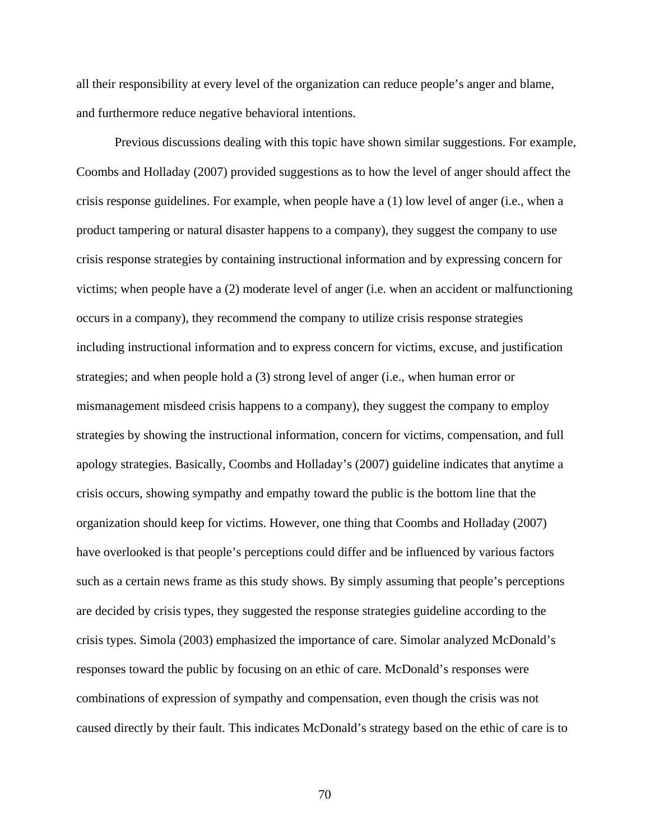all their responsibility at every level of the organization can reduce people's anger and blame, and furthermore reduce negative behavioral intentions.

Previous discussions dealing with this topic have shown similar suggestions. For example, Coombs and Holladay (2007) provided suggestions as to how the level of anger should affect the crisis response guidelines. For example, when people have a (1) low level of anger (i.e., when a product tampering or natural disaster happens to a company), they suggest the company to use crisis response strategies by containing instructional information and by expressing concern for victims; when people have a (2) moderate level of anger (i.e. when an accident or malfunctioning occurs in a company), they recommend the company to utilize crisis response strategies including instructional information and to express concern for victims, excuse, and justification strategies; and when people hold a (3) strong level of anger (i.e., when human error or mismanagement misdeed crisis happens to a company), they suggest the company to employ strategies by showing the instructional information, concern for victims, compensation, and full apology strategies. Basically, Coombs and Holladay's (2007) guideline indicates that anytime a crisis occurs, showing sympathy and empathy toward the public is the bottom line that the organization should keep for victims. However, one thing that Coombs and Holladay (2007) have overlooked is that people's perceptions could differ and be influenced by various factors such as a certain news frame as this study shows. By simply assuming that people's perceptions are decided by crisis types, they suggested the response strategies guideline according to the crisis types. Simola (2003) emphasized the importance of care. Simolar analyzed McDonald's responses toward the public by focusing on an ethic of care. McDonald's responses were combinations of expression of sympathy and compensation, even though the crisis was not caused directly by their fault. This indicates McDonald's strategy based on the ethic of care is to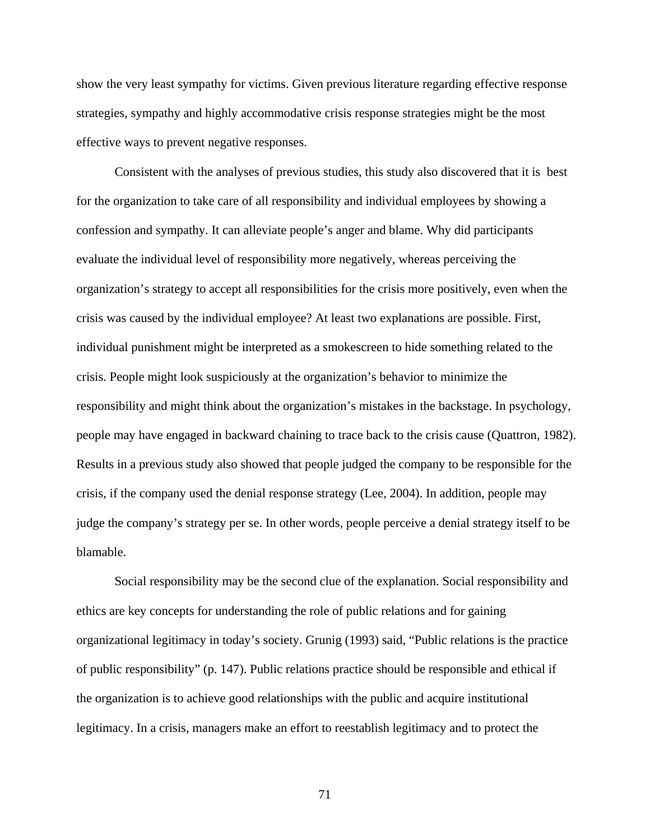show the very least sympathy for victims. Given previous literature regarding effective response strategies, sympathy and highly accommodative crisis response strategies might be the most effective ways to prevent negative responses.

Consistent with the analyses of previous studies, this study also discovered that it is best for the organization to take care of all responsibility and individual employees by showing a confession and sympathy. It can alleviate people's anger and blame. Why did participants evaluate the individual level of responsibility more negatively, whereas perceiving the organization's strategy to accept all responsibilities for the crisis more positively, even when the crisis was caused by the individual employee? At least two explanations are possible. First, individual punishment might be interpreted as a smokescreen to hide something related to the crisis. People might look suspiciously at the organization's behavior to minimize the responsibility and might think about the organization's mistakes in the backstage. In psychology, people may have engaged in backward chaining to trace back to the crisis cause (Quattron, 1982). Results in a previous study also showed that people judged the company to be responsible for the crisis, if the company used the denial response strategy (Lee, 2004). In addition, people may judge the company's strategy per se. In other words, people perceive a denial strategy itself to be blamable.

Social responsibility may be the second clue of the explanation. Social responsibility and ethics are key concepts for understanding the role of public relations and for gaining organizational legitimacy in today's society. Grunig (1993) said, "Public relations is the practice of public responsibility" (p. 147). Public relations practice should be responsible and ethical if the organization is to achieve good relationships with the public and acquire institutional legitimacy. In a crisis, managers make an effort to reestablish legitimacy and to protect the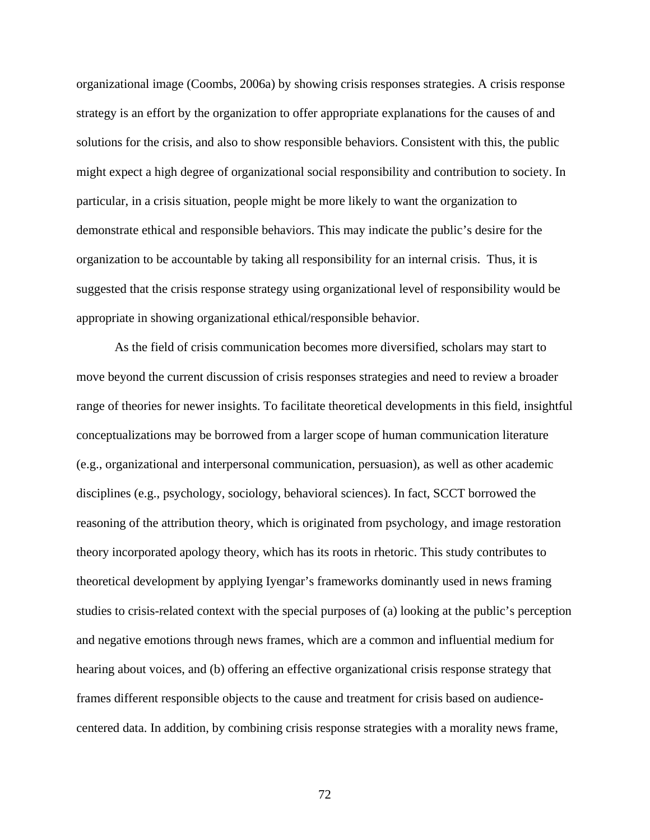organizational image (Coombs, 2006a) by showing crisis responses strategies. A crisis response strategy is an effort by the organization to offer appropriate explanations for the causes of and solutions for the crisis, and also to show responsible behaviors. Consistent with this, the public might expect a high degree of organizational social responsibility and contribution to society. In particular, in a crisis situation, people might be more likely to want the organization to demonstrate ethical and responsible behaviors. This may indicate the public's desire for the organization to be accountable by taking all responsibility for an internal crisis. Thus, it is suggested that the crisis response strategy using organizational level of responsibility would be appropriate in showing organizational ethical/responsible behavior.

As the field of crisis communication becomes more diversified, scholars may start to move beyond the current discussion of crisis responses strategies and need to review a broader range of theories for newer insights. To facilitate theoretical developments in this field, insightful conceptualizations may be borrowed from a larger scope of human communication literature (e.g., organizational and interpersonal communication, persuasion), as well as other academic disciplines (e.g., psychology, sociology, behavioral sciences). In fact, SCCT borrowed the reasoning of the attribution theory, which is originated from psychology, and image restoration theory incorporated apology theory, which has its roots in rhetoric. This study contributes to theoretical development by applying Iyengar's frameworks dominantly used in news framing studies to crisis-related context with the special purposes of (a) looking at the public's perception and negative emotions through news frames, which are a common and influential medium for hearing about voices, and (b) offering an effective organizational crisis response strategy that frames different responsible objects to the cause and treatment for crisis based on audiencecentered data. In addition, by combining crisis response strategies with a morality news frame,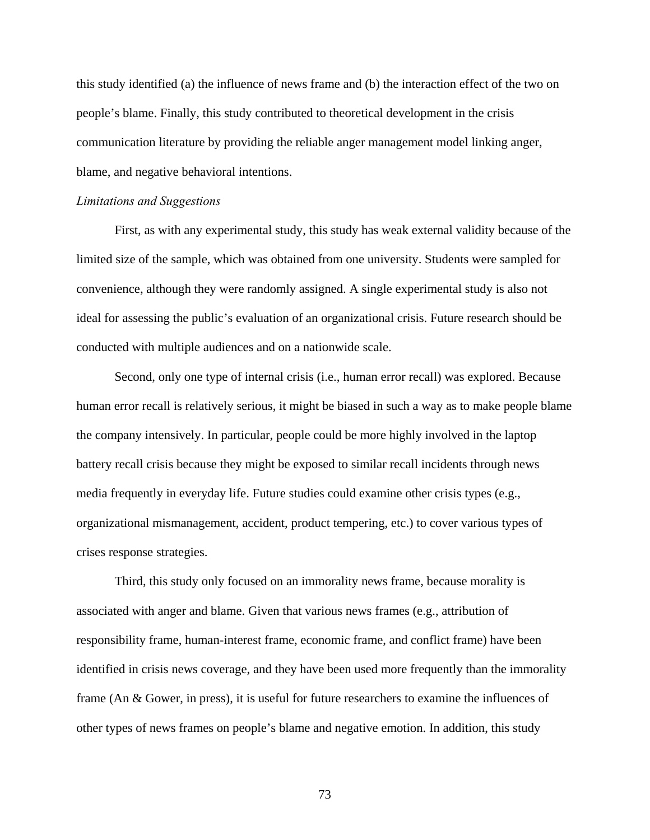this study identified (a) the influence of news frame and (b) the interaction effect of the two on people's blame. Finally, this study contributed to theoretical development in the crisis communication literature by providing the reliable anger management model linking anger, blame, and negative behavioral intentions.

#### *Limitations and Suggestions*

First, as with any experimental study, this study has weak external validity because of the limited size of the sample, which was obtained from one university. Students were sampled for convenience, although they were randomly assigned. A single experimental study is also not ideal for assessing the public's evaluation of an organizational crisis. Future research should be conducted with multiple audiences and on a nationwide scale.

Second, only one type of internal crisis (i.e., human error recall) was explored. Because human error recall is relatively serious, it might be biased in such a way as to make people blame the company intensively. In particular, people could be more highly involved in the laptop battery recall crisis because they might be exposed to similar recall incidents through news media frequently in everyday life. Future studies could examine other crisis types (e.g., organizational mismanagement, accident, product tempering, etc.) to cover various types of crises response strategies.

Third, this study only focused on an immorality news frame, because morality is associated with anger and blame. Given that various news frames (e.g., attribution of responsibility frame, human-interest frame, economic frame, and conflict frame) have been identified in crisis news coverage, and they have been used more frequently than the immorality frame (An & Gower, in press), it is useful for future researchers to examine the influences of other types of news frames on people's blame and negative emotion. In addition, this study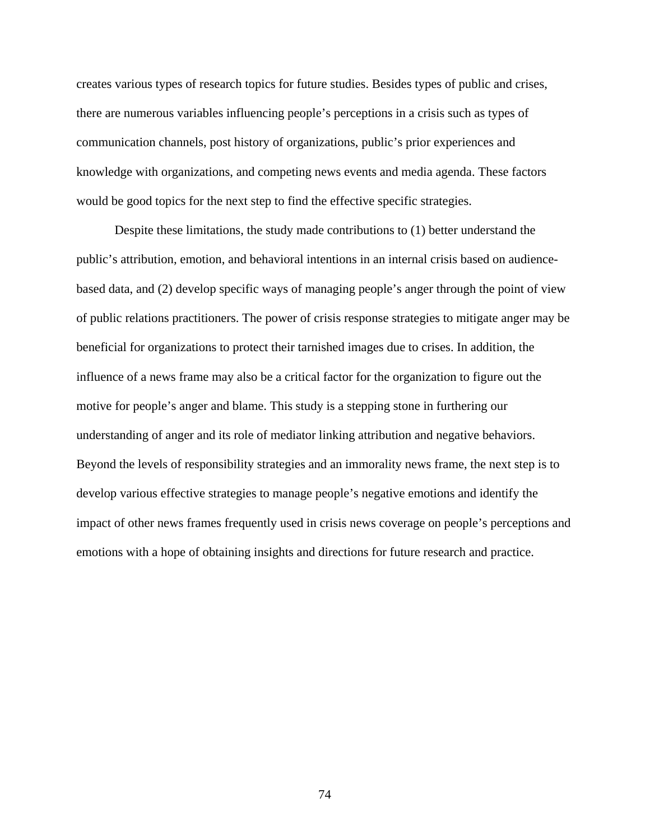creates various types of research topics for future studies. Besides types of public and crises, there are numerous variables influencing people's perceptions in a crisis such as types of communication channels, post history of organizations, public's prior experiences and knowledge with organizations, and competing news events and media agenda. These factors would be good topics for the next step to find the effective specific strategies.

Despite these limitations, the study made contributions to (1) better understand the public's attribution, emotion, and behavioral intentions in an internal crisis based on audiencebased data, and (2) develop specific ways of managing people's anger through the point of view of public relations practitioners. The power of crisis response strategies to mitigate anger may be beneficial for organizations to protect their tarnished images due to crises. In addition, the influence of a news frame may also be a critical factor for the organization to figure out the motive for people's anger and blame. This study is a stepping stone in furthering our understanding of anger and its role of mediator linking attribution and negative behaviors. Beyond the levels of responsibility strategies and an immorality news frame, the next step is to develop various effective strategies to manage people's negative emotions and identify the impact of other news frames frequently used in crisis news coverage on people's perceptions and emotions with a hope of obtaining insights and directions for future research and practice.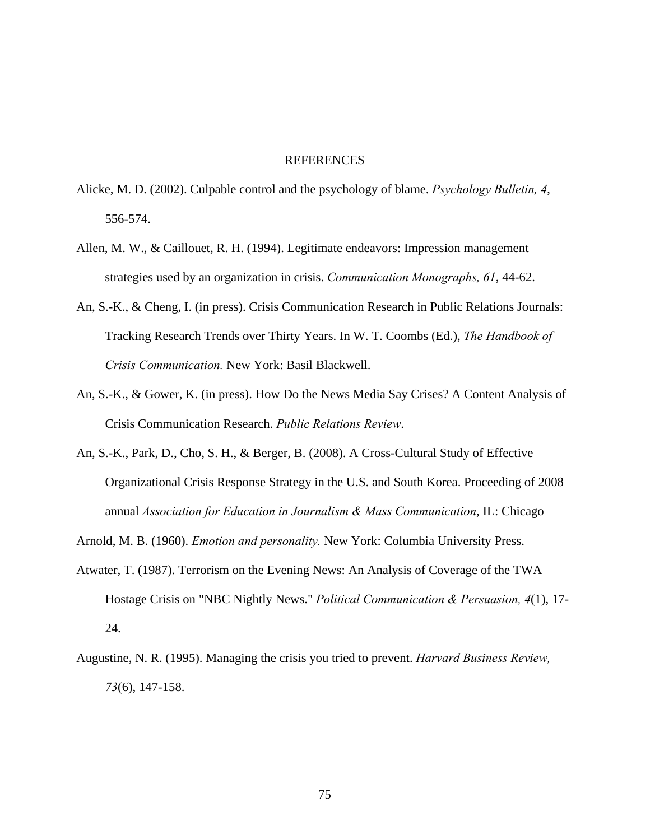#### REFERENCES

- Alicke, M. D. (2002). Culpable control and the psychology of blame. *Psychology Bulletin, 4*, 556-574.
- Allen, M. W., & Caillouet, R. H. (1994). Legitimate endeavors: Impression management strategies used by an organization in crisis. *Communication Monographs, 61*, 44-62.
- An, S.-K., & Cheng, I. (in press). Crisis Communication Research in Public Relations Journals: Tracking Research Trends over Thirty Years. In W. T. Coombs (Ed.), *The Handbook of Crisis Communication.* New York: Basil Blackwell.
- An, S.-K., & Gower, K. (in press). How Do the News Media Say Crises? A Content Analysis of Crisis Communication Research. *Public Relations Review*.
- An, S.-K., Park, D., Cho, S. H., & Berger, B. (2008). A Cross-Cultural Study of Effective Organizational Crisis Response Strategy in the U.S. and South Korea. Proceeding of 2008 annual *Association for Education in Journalism & Mass Communication*, IL: Chicago
- Arnold, M. B. (1960). *Emotion and personality.* New York: Columbia University Press.
- Atwater, T. (1987). Terrorism on the Evening News: An Analysis of Coverage of the TWA Hostage Crisis on "NBC Nightly News." *Political Communication & Persuasion, 4*(1), 17- 24.
- Augustine, N. R. (1995). Managing the crisis you tried to prevent. *Harvard Business Review, 73*(6), 147-158.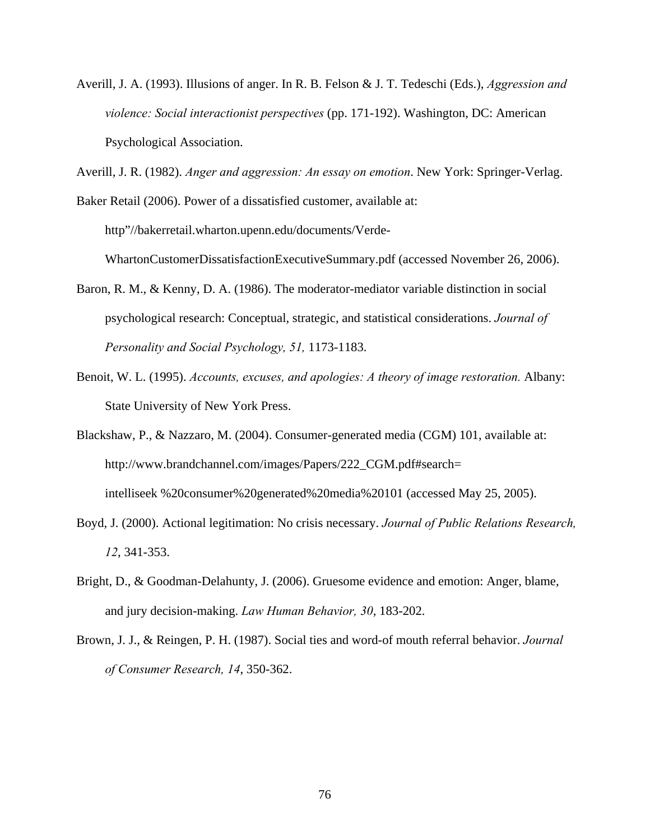Averill, J. A. (1993). Illusions of anger. In R. B. Felson & J. T. Tedeschi (Eds.), *Aggression and violence: Social interactionist perspectives* (pp. 171-192). Washington, DC: American Psychological Association.

Averill, J. R. (1982). *Anger and aggression: An essay on emotion*. New York: Springer-Verlag.

Baker Retail (2006). Power of a dissatisfied customer, available at: http"//bakerretail.wharton.upenn.edu/documents/Verde-

WhartonCustomerDissatisfactionExecutiveSummary.pdf (accessed November 26, 2006).

- Baron, R. M., & Kenny, D. A. (1986). The moderator-mediator variable distinction in social psychological research: Conceptual, strategic, and statistical considerations. *Journal of Personality and Social Psychology, 51,* 1173-1183.
- Benoit, W. L. (1995). *Accounts, excuses, and apologies: A theory of image restoration.* Albany: State University of New York Press.
- Blackshaw, P., & Nazzaro, M. (2004). Consumer-generated media (CGM) 101, available at: http://www.brandchannel.com/images/Papers/222\_CGM.pdf#search= intelliseek %20consumer%20generated%20media%20101 (accessed May 25, 2005).
- Boyd, J. (2000). Actional legitimation: No crisis necessary. *Journal of Public Relations Research, 12*, 341-353.
- Bright, D., & Goodman-Delahunty, J. (2006). Gruesome evidence and emotion: Anger, blame, and jury decision-making. *Law Human Behavior, 30*, 183-202.
- Brown, J. J., & Reingen, P. H. (1987). Social ties and word-of mouth referral behavior. *Journal of Consumer Research, 14*, 350-362.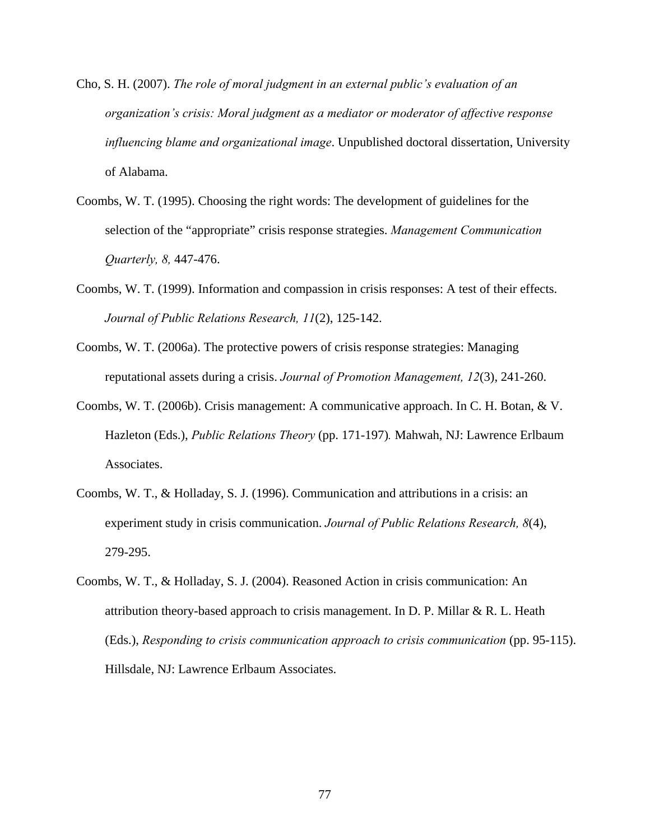- Cho, S. H. (2007). *The role of moral judgment in an external public's evaluation of an organization's crisis: Moral judgment as a mediator or moderator of affective response influencing blame and organizational image*. Unpublished doctoral dissertation, University of Alabama.
- Coombs, W. T. (1995). Choosing the right words: The development of guidelines for the selection of the "appropriate" crisis response strategies. *Management Communication Quarterly, 8,* 447-476.
- Coombs, W. T. (1999). Information and compassion in crisis responses: A test of their effects. *Journal of Public Relations Research, 11*(2), 125-142.
- Coombs, W. T. (2006a). The protective powers of crisis response strategies: Managing reputational assets during a crisis. *Journal of Promotion Management, 12*(3), 241-260.
- Coombs, W. T. (2006b). Crisis management: A communicative approach. In C. H. Botan, & V. Hazleton (Eds.), *Public Relations Theory* (pp. 171-197)*.* Mahwah, NJ: Lawrence Erlbaum Associates.
- Coombs, W. T., & Holladay, S. J. (1996). Communication and attributions in a crisis: an experiment study in crisis communication. *Journal of Public Relations Research, 8*(4), 279-295.
- Coombs, W. T., & Holladay, S. J. (2004). Reasoned Action in crisis communication: An attribution theory-based approach to crisis management. In D. P. Millar  $\& R$ . L. Heath (Eds.), *Responding to crisis communication approach to crisis communication* (pp. 95-115). Hillsdale, NJ: Lawrence Erlbaum Associates.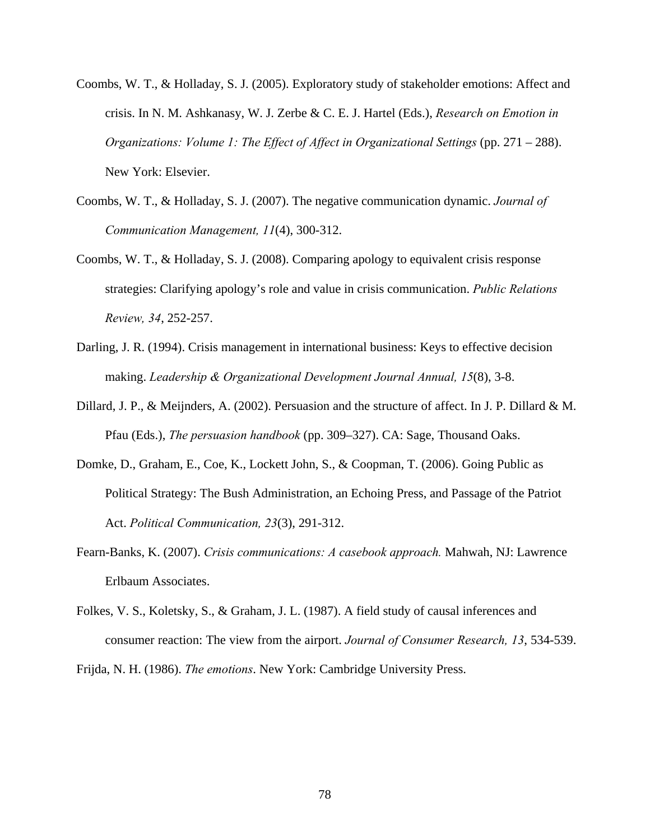- Coombs, W. T., & Holladay, S. J. (2005). Exploratory study of stakeholder emotions: Affect and crisis. In N. M. Ashkanasy, W. J. Zerbe & C. E. J. Hartel (Eds.), *Research on Emotion in Organizations: Volume 1: The Effect of Affect in Organizational Settings* (pp. 271 – 288). New York: Elsevier.
- Coombs, W. T., & Holladay, S. J. (2007). The negative communication dynamic. *Journal of Communication Management, 11*(4), 300-312.
- Coombs, W. T., & Holladay, S. J. (2008). Comparing apology to equivalent crisis response strategies: Clarifying apology's role and value in crisis communication. *Public Relations Review, 34*, 252-257.
- Darling, J. R. (1994). Crisis management in international business: Keys to effective decision making. *Leadership & Organizational Development Journal Annual, 15*(8), 3-8.
- Dillard, J. P., & Meijnders, A. (2002). Persuasion and the structure of affect. In J. P. Dillard & M. Pfau (Eds.), *The persuasion handbook* (pp. 309–327). CA: Sage, Thousand Oaks.
- Domke, D., Graham, E., Coe, K., Lockett John, S., & Coopman, T. (2006). Going Public as Political Strategy: The Bush Administration, an Echoing Press, and Passage of the Patriot Act. *Political Communication, 23*(3), 291-312.
- Fearn-Banks, K. (2007). *Crisis communications: A casebook approach.* Mahwah, NJ: Lawrence Erlbaum Associates.
- Folkes, V. S., Koletsky, S., & Graham, J. L. (1987). A field study of causal inferences and consumer reaction: The view from the airport. *Journal of Consumer Research, 13*, 534-539.

Frijda, N. H. (1986). *The emotions*. New York: Cambridge University Press.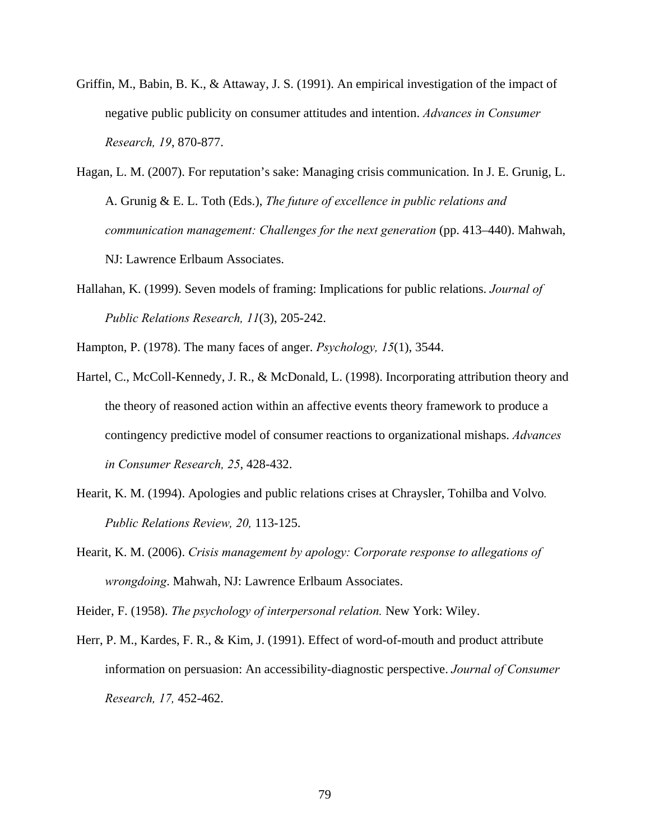- Griffin, M., Babin, B. K., & Attaway, J. S. (1991). An empirical investigation of the impact of negative public publicity on consumer attitudes and intention. *Advances in Consumer Research, 19*, 870-877.
- Hagan, L. M. (2007). For reputation's sake: Managing crisis communication. In J. E. Grunig, L. A. Grunig & E. L. Toth (Eds.), *The future of excellence in public relations and communication management: Challenges for the next generation* (pp. 413–440). Mahwah, NJ: Lawrence Erlbaum Associates.
- Hallahan, K. (1999). Seven models of framing: Implications for public relations. *Journal of Public Relations Research, 11*(3), 205-242.

Hampton, P. (1978). The many faces of anger. *Psychology, 15*(1), 3544.

- Hartel, C., McColl-Kennedy, J. R., & McDonald, L. (1998). Incorporating attribution theory and the theory of reasoned action within an affective events theory framework to produce a contingency predictive model of consumer reactions to organizational mishaps. *Advances in Consumer Research, 25*, 428-432.
- Hearit, K. M. (1994). Apologies and public relations crises at Chraysler, Tohilba and Volvo*. Public Relations Review, 20,* 113-125.
- Hearit, K. M. (2006). *Crisis management by apology: Corporate response to allegations of wrongdoing*. Mahwah, NJ: Lawrence Erlbaum Associates.

Heider, F. (1958). *The psychology of interpersonal relation.* New York: Wiley.

Herr, P. M., Kardes, F. R., & Kim, J. (1991). Effect of word-of-mouth and product attribute information on persuasion: An accessibility-diagnostic perspective. *Journal of Consumer Research, 17,* 452-462.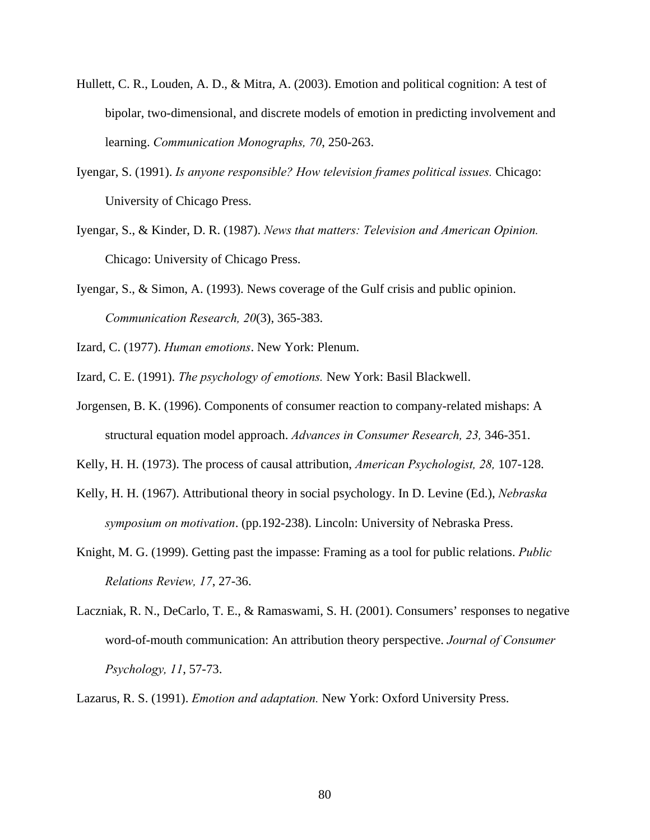- Hullett, C. R., Louden, A. D., & Mitra, A. (2003). Emotion and political cognition: A test of bipolar, two-dimensional, and discrete models of emotion in predicting involvement and learning. *Communication Monographs, 70*, 250-263.
- Iyengar, S. (1991). *Is anyone responsible? How television frames political issues.* Chicago: University of Chicago Press.
- Iyengar, S., & Kinder, D. R. (1987). *News that matters: Television and American Opinion.* Chicago: University of Chicago Press.
- Iyengar, S., & Simon, A. (1993). News coverage of the Gulf crisis and public opinion. *Communication Research, 20*(3), 365-383.

Izard, C. (1977). *Human emotions*. New York: Plenum.

Izard, C. E. (1991). *The psychology of emotions.* New York: Basil Blackwell.

Jorgensen, B. K. (1996). Components of consumer reaction to company-related mishaps: A structural equation model approach. *Advances in Consumer Research, 23,* 346-351.

Kelly, H. H. (1973). The process of causal attribution, *American Psychologist, 28,* 107-128.

- Kelly, H. H. (1967). Attributional theory in social psychology. In D. Levine (Ed.), *Nebraska symposium on motivation*. (pp.192-238). Lincoln: University of Nebraska Press.
- Knight, M. G. (1999). Getting past the impasse: Framing as a tool for public relations. *Public Relations Review, 17*, 27-36.
- Laczniak, R. N., DeCarlo, T. E., & Ramaswami, S. H. (2001). Consumers' responses to negative word-of-mouth communication: An attribution theory perspective. *Journal of Consumer Psychology, 11*, 57-73.

Lazarus, R. S. (1991). *Emotion and adaptation.* New York: Oxford University Press.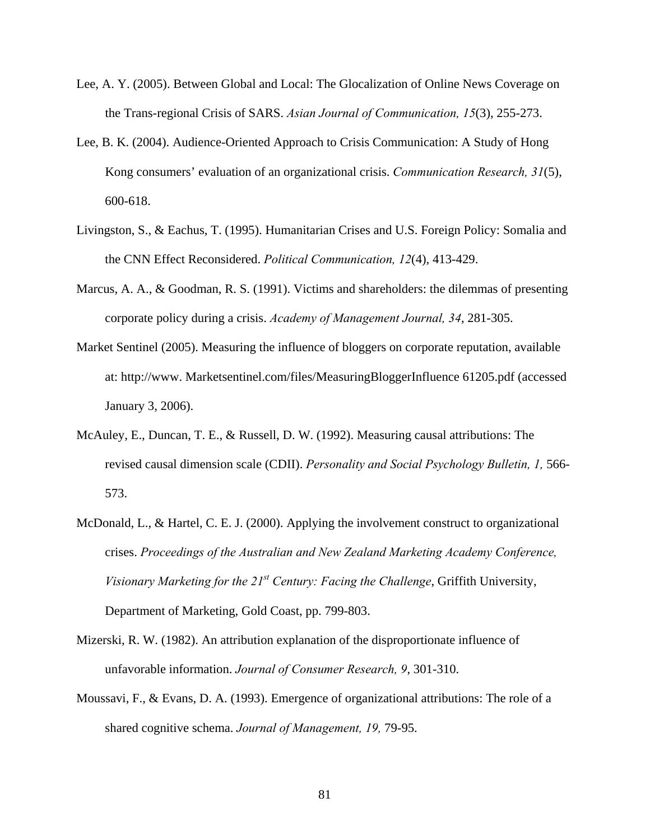- Lee, A. Y. (2005). Between Global and Local: The Glocalization of Online News Coverage on the Trans-regional Crisis of SARS. *Asian Journal of Communication, 15*(3), 255-273.
- Lee, B. K. (2004). Audience-Oriented Approach to Crisis Communication: A Study of Hong Kong consumers' evaluation of an organizational crisis. *Communication Research, 31*(5), 600-618.
- Livingston, S., & Eachus, T. (1995). Humanitarian Crises and U.S. Foreign Policy: Somalia and the CNN Effect Reconsidered. *Political Communication, 12*(4), 413-429.
- Marcus, A. A., & Goodman, R. S. (1991). Victims and shareholders: the dilemmas of presenting corporate policy during a crisis. *Academy of Management Journal, 34*, 281-305.
- Market Sentinel (2005). Measuring the influence of bloggers on corporate reputation, available at: http://www. Marketsentinel.com/files/MeasuringBloggerInfluence 61205.pdf (accessed January 3, 2006).
- McAuley, E., Duncan, T. E., & Russell, D. W. (1992). Measuring causal attributions: The revised causal dimension scale (CDII). *Personality and Social Psychology Bulletin, 1,* 566- 573.
- McDonald, L., & Hartel, C. E. J. (2000). Applying the involvement construct to organizational crises. *Proceedings of the Australian and New Zealand Marketing Academy Conference, Visionary Marketing for the 21st Century: Facing the Challenge*, Griffith University, Department of Marketing, Gold Coast, pp. 799-803.
- Mizerski, R. W. (1982). An attribution explanation of the disproportionate influence of unfavorable information. *Journal of Consumer Research, 9*, 301-310.
- Moussavi, F., & Evans, D. A. (1993). Emergence of organizational attributions: The role of a shared cognitive schema. *Journal of Management, 19,* 79-95.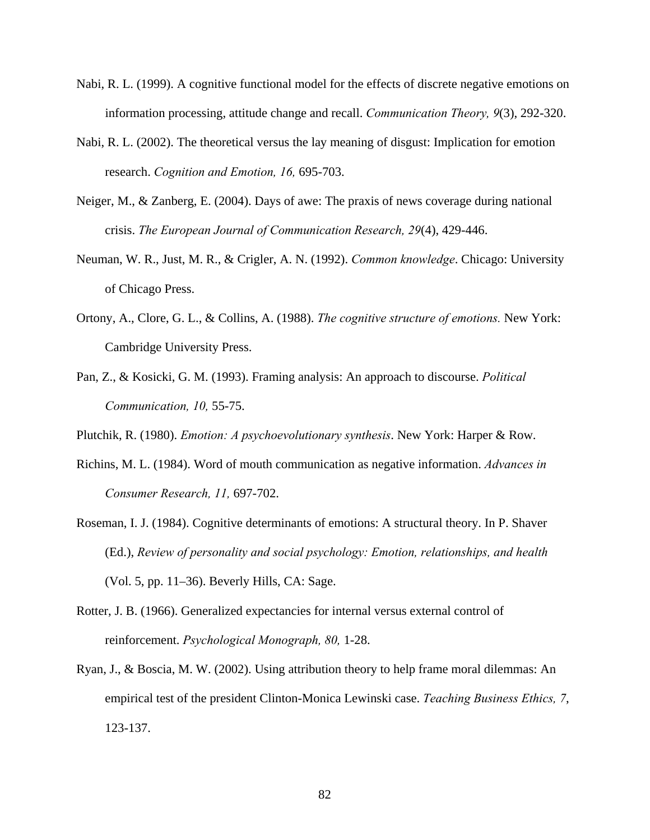- Nabi, R. L. (1999). A cognitive functional model for the effects of discrete negative emotions on information processing, attitude change and recall. *Communication Theory, 9*(3), 292-320.
- Nabi, R. L. (2002). The theoretical versus the lay meaning of disgust: Implication for emotion research. *Cognition and Emotion, 16,* 695-703.
- Neiger, M., & Zanberg, E. (2004). Days of awe: The praxis of news coverage during national crisis. *The European Journal of Communication Research, 29*(4), 429-446.
- Neuman, W. R., Just, M. R., & Crigler, A. N. (1992). *Common knowledge*. Chicago: University of Chicago Press.
- Ortony, A., Clore, G. L., & Collins, A. (1988). *The cognitive structure of emotions.* New York: Cambridge University Press.
- Pan, Z., & Kosicki, G. M. (1993). Framing analysis: An approach to discourse. *Political Communication, 10,* 55-75.

Plutchik, R. (1980). *Emotion: A psychoevolutionary synthesis*. New York: Harper & Row.

- Richins, M. L. (1984). Word of mouth communication as negative information. *Advances in Consumer Research, 11,* 697-702.
- Roseman, I. J. (1984). Cognitive determinants of emotions: A structural theory. In P. Shaver (Ed.), *Review of personality and social psychology: Emotion, relationships, and health*  (Vol. 5, pp. 11–36). Beverly Hills, CA: Sage.
- Rotter, J. B. (1966). Generalized expectancies for internal versus external control of reinforcement. *Psychological Monograph, 80,* 1-28.
- Ryan, J., & Boscia, M. W. (2002). Using attribution theory to help frame moral dilemmas: An empirical test of the president Clinton-Monica Lewinski case. *Teaching Business Ethics, 7*, 123-137.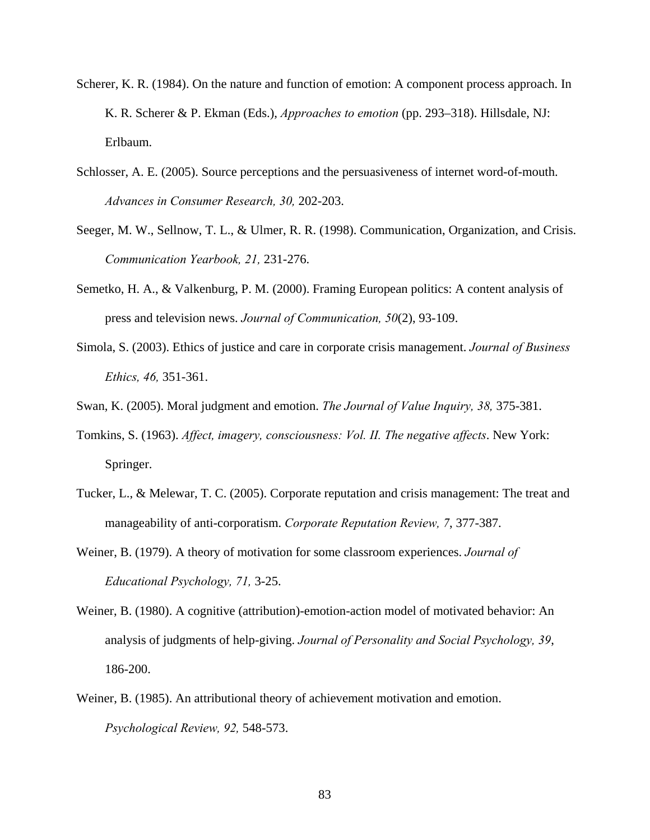- Scherer, K. R. (1984). On the nature and function of emotion: A component process approach. In K. R. Scherer & P. Ekman (Eds.), *Approaches to emotion* (pp. 293–318). Hillsdale, NJ: Erlbaum.
- Schlosser, A. E. (2005). Source perceptions and the persuasiveness of internet word-of-mouth. *Advances in Consumer Research, 30,* 202-203.
- Seeger, M. W., Sellnow, T. L., & Ulmer, R. R. (1998). Communication, Organization, and Crisis. *Communication Yearbook, 21,* 231-276.
- Semetko, H. A., & Valkenburg, P. M. (2000). Framing European politics: A content analysis of press and television news. *Journal of Communication, 50*(2), 93-109.
- Simola, S. (2003). Ethics of justice and care in corporate crisis management. *Journal of Business Ethics, 46,* 351-361.
- Swan, K. (2005). Moral judgment and emotion. *The Journal of Value Inquiry, 38,* 375-381.
- Tomkins, S. (1963). *Affect, imagery, consciousness: Vol. II. The negative affects*. New York: Springer.
- Tucker, L., & Melewar, T. C. (2005). Corporate reputation and crisis management: The treat and manageability of anti-corporatism. *Corporate Reputation Review, 7*, 377-387.
- Weiner, B. (1979). A theory of motivation for some classroom experiences. *Journal of Educational Psychology, 71,* 3-25.
- Weiner, B. (1980). A cognitive (attribution)-emotion-action model of motivated behavior: An analysis of judgments of help-giving. *Journal of Personality and Social Psychology, 39*, 186-200.
- Weiner, B. (1985). An attributional theory of achievement motivation and emotion. *Psychological Review, 92,* 548-573.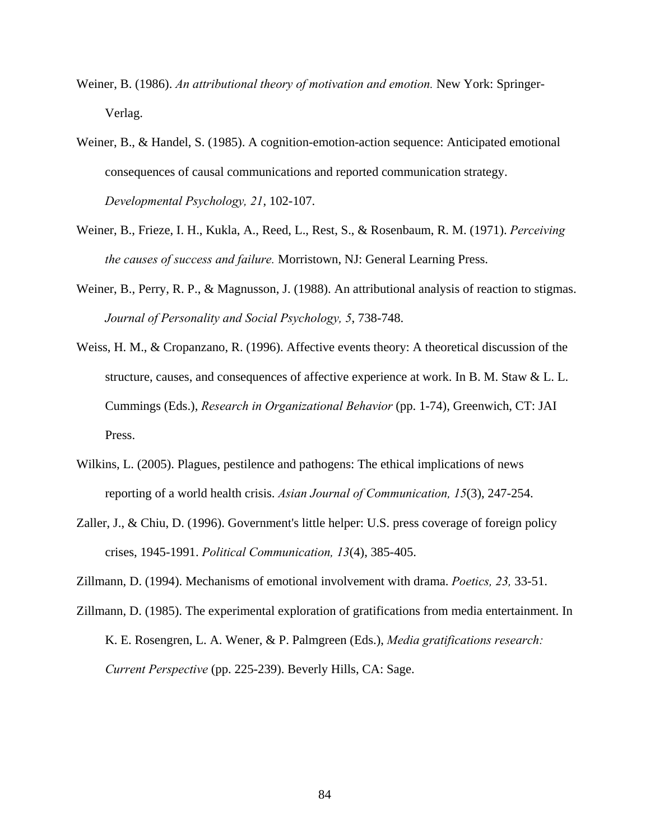- Weiner, B. (1986). *An attributional theory of motivation and emotion.* New York: Springer-Verlag.
- Weiner, B., & Handel, S. (1985). A cognition-emotion-action sequence: Anticipated emotional consequences of causal communications and reported communication strategy. *Developmental Psychology, 21*, 102-107.
- Weiner, B., Frieze, I. H., Kukla, A., Reed, L., Rest, S., & Rosenbaum, R. M. (1971). *Perceiving the causes of success and failure.* Morristown, NJ: General Learning Press.
- Weiner, B., Perry, R. P., & Magnusson, J. (1988). An attributional analysis of reaction to stigmas. *Journal of Personality and Social Psychology, 5*, 738-748.
- Weiss, H. M., & Cropanzano, R. (1996). Affective events theory: A theoretical discussion of the structure, causes, and consequences of affective experience at work. In B. M. Staw & L. L. Cummings (Eds.), *Research in Organizational Behavior* (pp. 1-74), Greenwich, CT: JAI Press.
- Wilkins, L. (2005). Plagues, pestilence and pathogens: The ethical implications of news reporting of a world health crisis. *Asian Journal of Communication, 15*(3), 247-254.
- Zaller, J., & Chiu, D. (1996). Government's little helper: U.S. press coverage of foreign policy crises, 1945-1991. *Political Communication, 13*(4), 385-405.
- Zillmann, D. (1994). Mechanisms of emotional involvement with drama. *Poetics, 23,* 33-51.
- Zillmann, D. (1985). The experimental exploration of gratifications from media entertainment. In K. E. Rosengren, L. A. Wener, & P. Palmgreen (Eds.), *Media gratifications research: Current Perspective* (pp. 225-239). Beverly Hills, CA: Sage.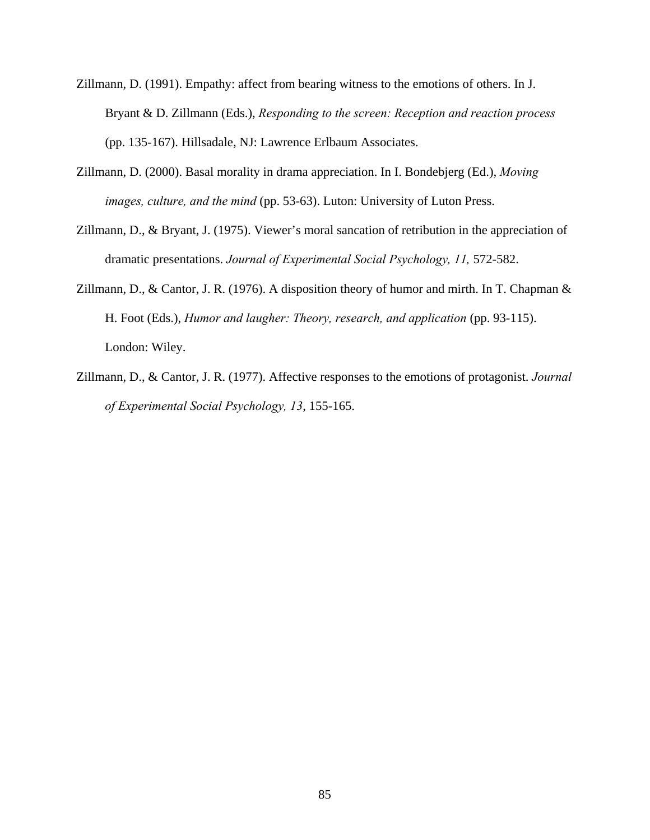- Zillmann, D. (1991). Empathy: affect from bearing witness to the emotions of others. In J. Bryant & D. Zillmann (Eds.), *Responding to the screen: Reception and reaction process* (pp. 135-167). Hillsadale, NJ: Lawrence Erlbaum Associates.
- Zillmann, D. (2000). Basal morality in drama appreciation. In I. Bondebjerg (Ed.), *Moving images, culture, and the mind* (pp. 53-63). Luton: University of Luton Press.
- Zillmann, D., & Bryant, J. (1975). Viewer's moral sancation of retribution in the appreciation of dramatic presentations. *Journal of Experimental Social Psychology, 11,* 572-582.
- Zillmann, D., & Cantor, J. R. (1976). A disposition theory of humor and mirth. In T. Chapman & H. Foot (Eds.), *Humor and laugher: Theory, research, and application* (pp. 93-115). London: Wiley.
- Zillmann, D., & Cantor, J. R. (1977). Affective responses to the emotions of protagonist. *Journal of Experimental Social Psychology, 13*, 155-165.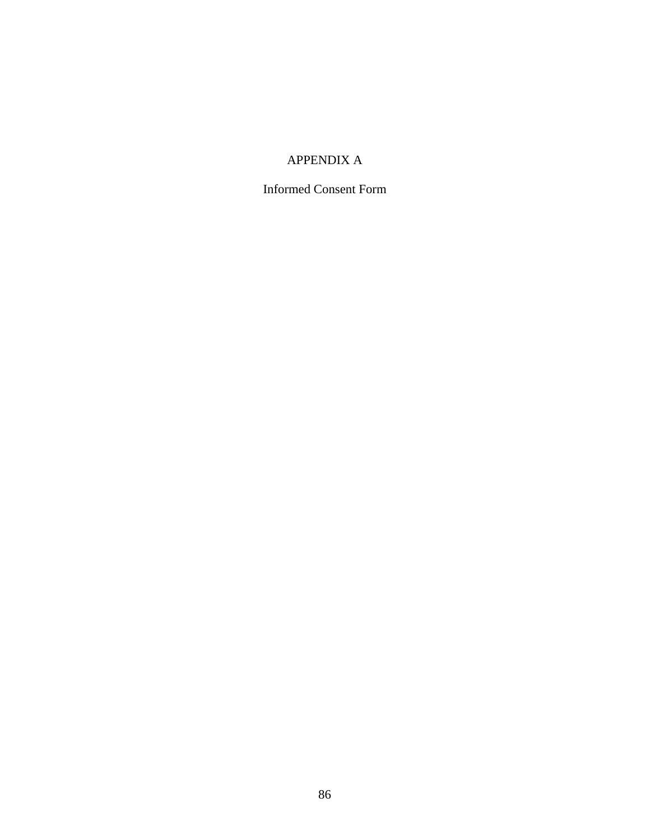## APPENDIX A

Informed Consent Form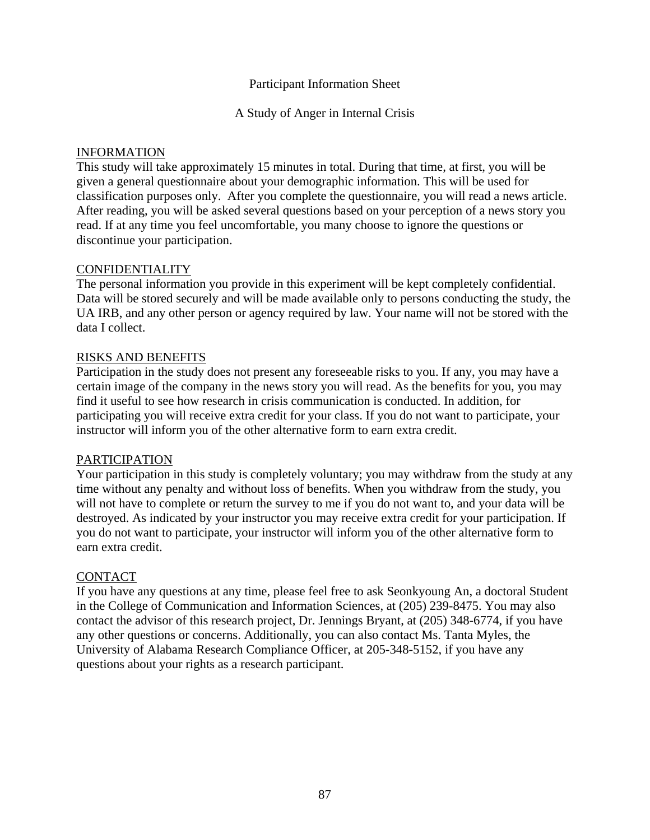### Participant Information Sheet

A Study of Anger in Internal Crisis

### INFORMATION

This study will take approximately 15 minutes in total. During that time, at first, you will be given a general questionnaire about your demographic information. This will be used for classification purposes only. After you complete the questionnaire, you will read a news article. After reading, you will be asked several questions based on your perception of a news story you read. If at any time you feel uncomfortable, you many choose to ignore the questions or discontinue your participation.

### CONFIDENTIALITY

The personal information you provide in this experiment will be kept completely confidential. Data will be stored securely and will be made available only to persons conducting the study, the UA IRB, and any other person or agency required by law. Your name will not be stored with the data I collect.

### RISKS AND BENEFITS

Participation in the study does not present any foreseeable risks to you. If any, you may have a certain image of the company in the news story you will read. As the benefits for you, you may find it useful to see how research in crisis communication is conducted. In addition, for participating you will receive extra credit for your class. If you do not want to participate, your instructor will inform you of the other alternative form to earn extra credit.

### PARTICIPATION

Your participation in this study is completely voluntary; you may withdraw from the study at any time without any penalty and without loss of benefits. When you withdraw from the study, you will not have to complete or return the survey to me if you do not want to, and your data will be destroyed. As indicated by your instructor you may receive extra credit for your participation. If you do not want to participate, your instructor will inform you of the other alternative form to earn extra credit.

### CONTACT

If you have any questions at any time, please feel free to ask Seonkyoung An, a doctoral Student in the College of Communication and Information Sciences, at (205) 239-8475. You may also contact the advisor of this research project, Dr. Jennings Bryant, at (205) 348-6774, if you have any other questions or concerns. Additionally, you can also contact Ms. Tanta Myles, the University of Alabama Research Compliance Officer, at 205-348-5152, if you have any questions about your rights as a research participant.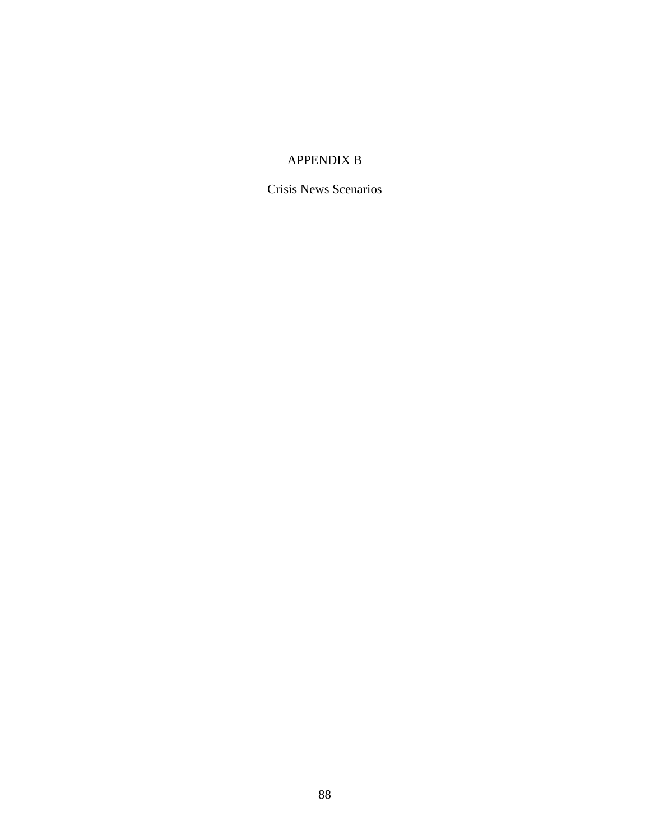## APPENDIX B

Crisis News Scenarios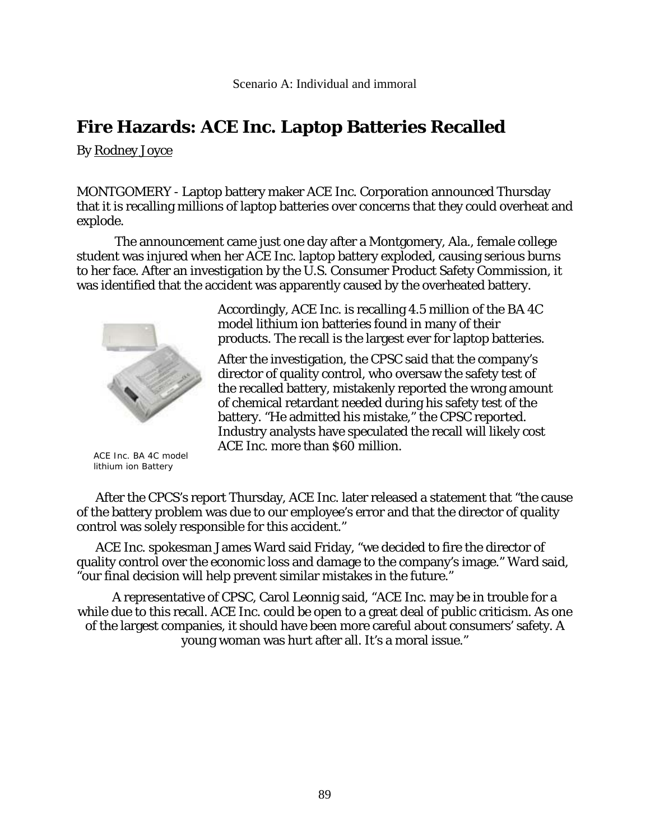By Rodney Joyce

MONTGOMERY - Laptop battery maker ACE Inc. Corporation announced Thursday that it is recalling millions of laptop batteries over concerns that they could overheat and explode.

The announcement came just one day after a Montgomery, Ala., female college student was injured when her ACE Inc. laptop battery exploded, causing serious burns to her face. After an investigation by the U.S. Consumer Product Safety Commission, it was identified that the accident was apparently caused by the overheated battery.



 ACE Inc. BA 4C model lithium ion Battery

Accordingly, ACE Inc. is recalling 4.5 million of the BA 4C model lithium ion batteries found in many of their products. The recall is the largest ever for laptop batteries.

After the investigation, the CPSC said that the company's director of quality control, who oversaw the safety test of the recalled battery, mistakenly reported the wrong amount of chemical retardant needed during his safety test of the battery. "He admitted his mistake," the CPSC reported. Industry analysts have speculated the recall will likely cost ACE Inc. more than \$60 million.

After the CPCS's report Thursday, ACE Inc. later released a statement that "the cause of the battery problem was due to our employee's error and that the director of quality control was solely responsible for this accident."

ACE Inc. spokesman James Ward said Friday, "we decided to fire the director of quality control over the economic loss and damage to the company's image." Ward said, "our final decision will help prevent similar mistakes in the future."

A representative of CPSC, Carol Leonnig said, "ACE Inc. may be in trouble for a while due to this recall. ACE Inc. could be open to a great deal of public criticism. As one of the largest companies, it should have been more careful about consumers' safety. A young woman was hurt after all. It's a moral issue."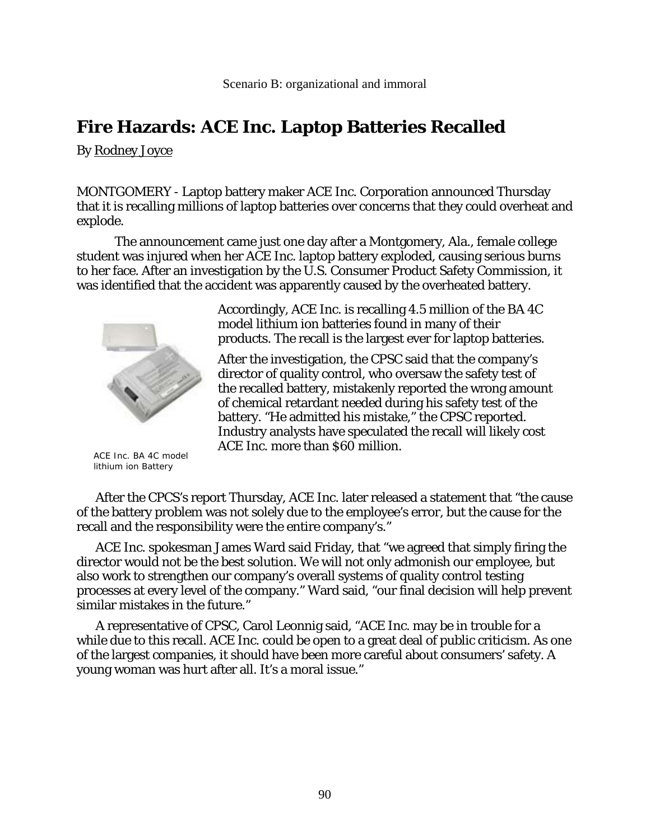By Rodney Joyce

MONTGOMERY - Laptop battery maker ACE Inc. Corporation announced Thursday that it is recalling millions of laptop batteries over concerns that they could overheat and explode.

The announcement came just one day after a Montgomery, Ala., female college student was injured when her ACE Inc. laptop battery exploded, causing serious burns to her face. After an investigation by the U.S. Consumer Product Safety Commission, it was identified that the accident was apparently caused by the overheated battery.



 ACE Inc. BA 4C model lithium ion Battery

Accordingly, ACE Inc. is recalling 4.5 million of the BA 4C model lithium ion batteries found in many of their products. The recall is the largest ever for laptop batteries.

After the investigation, the CPSC said that the company's director of quality control, who oversaw the safety test of the recalled battery, mistakenly reported the wrong amount of chemical retardant needed during his safety test of the battery. "He admitted his mistake," the CPSC reported. Industry analysts have speculated the recall will likely cost ACE Inc. more than \$60 million.

After the CPCS's report Thursday, ACE Inc. later released a statement that "the cause of the battery problem was not solely due to the employee's error, but the cause for the recall and the responsibility were the entire company's."

ACE Inc. spokesman James Ward said Friday, that "we agreed that simply firing the director would not be the best solution. We will not only admonish our employee, but also work to strengthen our company's overall systems of quality control testing processes at every level of the company." Ward said, "our final decision will help prevent similar mistakes in the future."

A representative of CPSC, Carol Leonnig said, "ACE Inc. may be in trouble for a while due to this recall. ACE Inc. could be open to a great deal of public criticism. As one of the largest companies, it should have been more careful about consumers' safety. A young woman was hurt after all. It's a moral issue."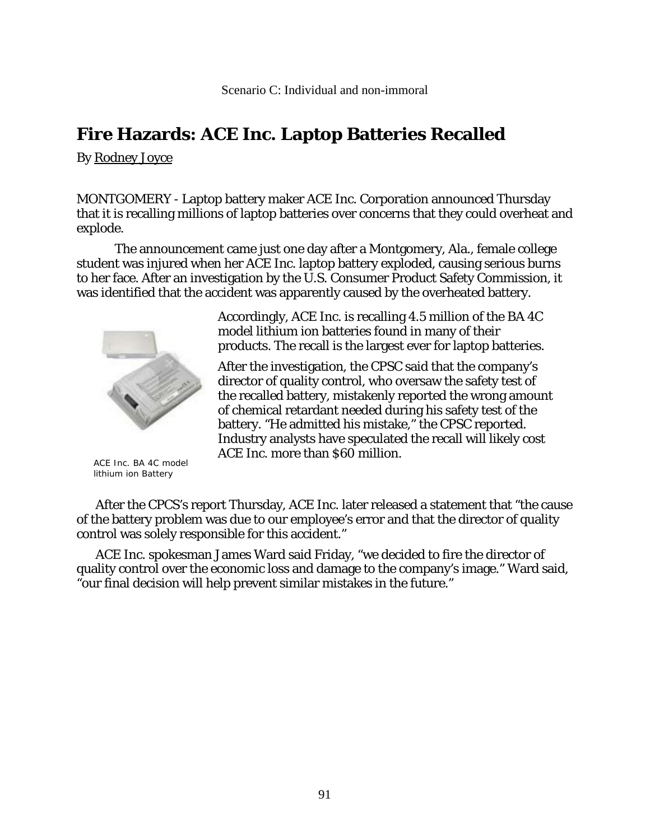By Rodney Joyce

MONTGOMERY - Laptop battery maker ACE Inc. Corporation announced Thursday that it is recalling millions of laptop batteries over concerns that they could overheat and explode.

The announcement came just one day after a Montgomery, Ala., female college student was injured when her ACE Inc. laptop battery exploded, causing serious burns to her face. After an investigation by the U.S. Consumer Product Safety Commission, it was identified that the accident was apparently caused by the overheated battery.



 ACE Inc. BA 4C model lithium ion Battery

Accordingly, ACE Inc. is recalling 4.5 million of the BA 4C model lithium ion batteries found in many of their products. The recall is the largest ever for laptop batteries.

After the investigation, the CPSC said that the company's director of quality control, who oversaw the safety test of the recalled battery, mistakenly reported the wrong amount of chemical retardant needed during his safety test of the battery. "He admitted his mistake," the CPSC reported. Industry analysts have speculated the recall will likely cost ACE Inc. more than \$60 million.

After the CPCS's report Thursday, ACE Inc. later released a statement that "the cause of the battery problem was due to our employee's error and that the director of quality control was solely responsible for this accident."

ACE Inc. spokesman James Ward said Friday, "we decided to fire the director of quality control over the economic loss and damage to the company's image." Ward said, "our final decision will help prevent similar mistakes in the future."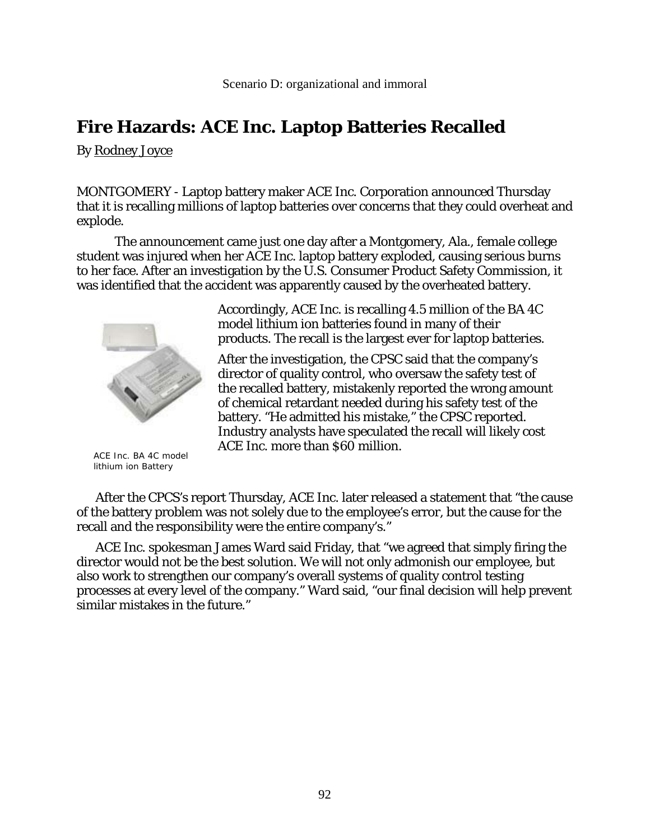By Rodney Joyce

MONTGOMERY - Laptop battery maker ACE Inc. Corporation announced Thursday that it is recalling millions of laptop batteries over concerns that they could overheat and explode.

The announcement came just one day after a Montgomery, Ala., female college student was injured when her ACE Inc. laptop battery exploded, causing serious burns to her face. After an investigation by the U.S. Consumer Product Safety Commission, it was identified that the accident was apparently caused by the overheated battery.



 ACE Inc. BA 4C model lithium ion Battery

Accordingly, ACE Inc. is recalling 4.5 million of the BA 4C model lithium ion batteries found in many of their products. The recall is the largest ever for laptop batteries.

After the investigation, the CPSC said that the company's director of quality control, who oversaw the safety test of the recalled battery, mistakenly reported the wrong amount of chemical retardant needed during his safety test of the battery. "He admitted his mistake," the CPSC reported. Industry analysts have speculated the recall will likely cost ACE Inc. more than \$60 million.

After the CPCS's report Thursday, ACE Inc. later released a statement that "the cause of the battery problem was not solely due to the employee's error, but the cause for the recall and the responsibility were the entire company's."

ACE Inc. spokesman James Ward said Friday, that "we agreed that simply firing the director would not be the best solution. We will not only admonish our employee, but also work to strengthen our company's overall systems of quality control testing processes at every level of the company." Ward said, "our final decision will help prevent similar mistakes in the future."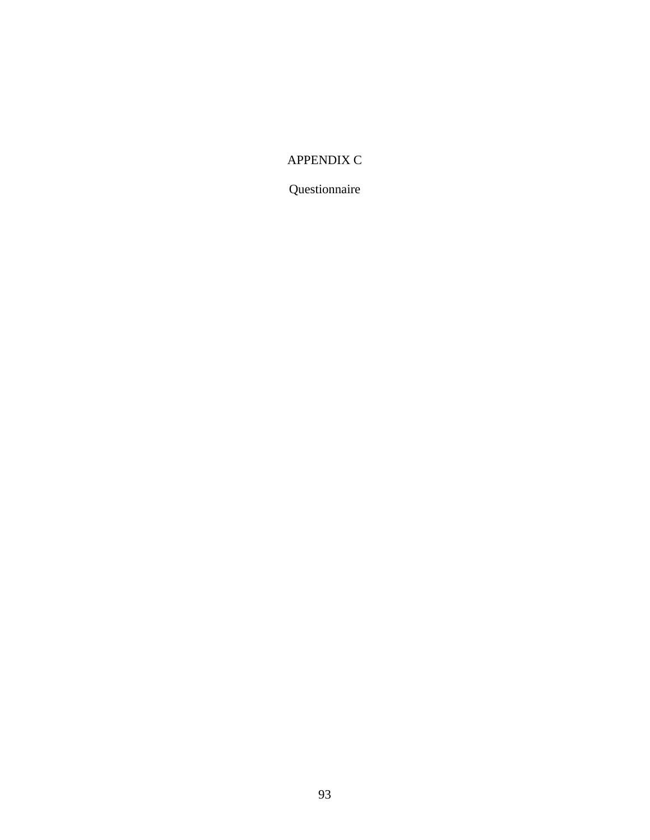## APPENDIX C

Questionnaire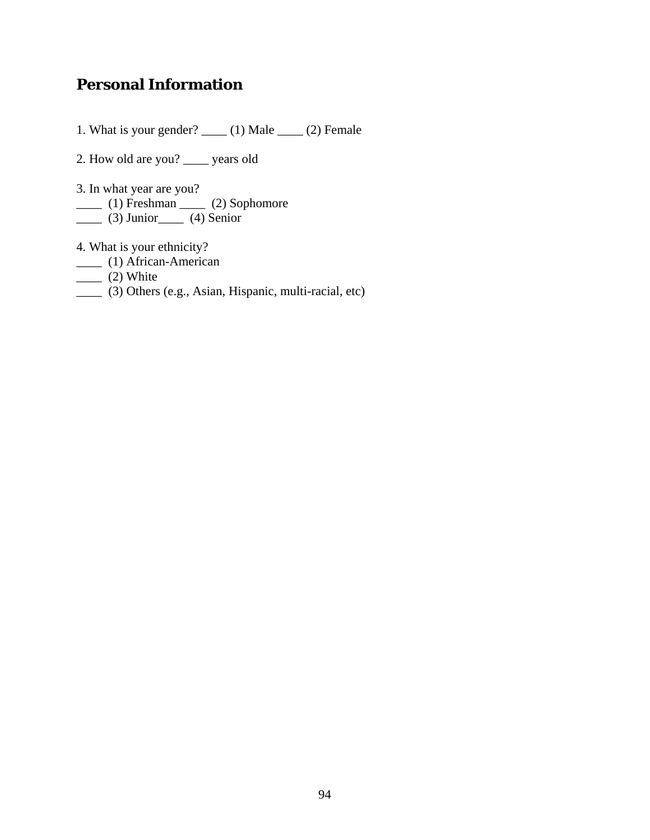# **Personal Information**

1. What is your gender? \_\_\_\_ (1) Male \_\_\_\_ (2) Female

- 2. How old are you? \_\_\_\_ years old
- 3. In what year are you?
- \_\_\_\_ (1) Freshman \_\_\_\_ (2) Sophomore
- \_\_\_\_ (3) Junior\_\_\_\_ (4) Senior
- 4. What is your ethnicity?
- \_\_\_\_ (1) African-American
- $\frac{1}{2}$  (2) White
- \_\_\_\_ (3) Others (e.g., Asian, Hispanic, multi-racial, etc)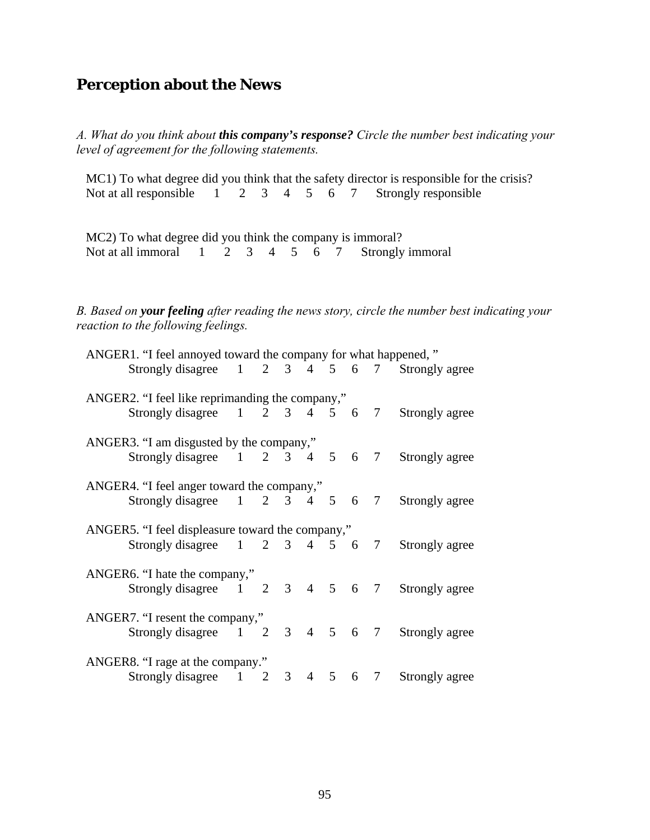## **Perception about the News**

*A. What do you think about this company's response? Circle the number best indicating your level of agreement for the following statements.* 

MC1) To what degree did you think that the safety director is responsible for the crisis?<br>Not at all responsible  $\begin{array}{ccc} 1 & 2 & 3 & 4 & 5 & 6 & 7 \end{array}$  Strongly responsible Not at all responsible  $\overline{1}$ 

MC2) To what degree did you think the company is immoral? Not at all immoral 1 2 3 4 5 6 7 Strongly immoral

*B. Based on your feeling after reading the news story, circle the number best indicating your reaction to the following feelings.* 

| ANGER1. "I feel annoyed toward the company for what happened," |  |  |  |  |  |  |  |  |  |  |
|----------------------------------------------------------------|--|--|--|--|--|--|--|--|--|--|
| Strongly disagree 1 2 3 4 5 6 7 Strongly agree                 |  |  |  |  |  |  |  |  |  |  |
| ANGER2. "I feel like reprimanding the company,"                |  |  |  |  |  |  |  |  |  |  |
| Strongly disagree 1 2 3 4 5 6 7 Strongly agree                 |  |  |  |  |  |  |  |  |  |  |
| ANGER3. "I am disgusted by the company,"                       |  |  |  |  |  |  |  |  |  |  |
| Strongly disagree 1 2 3 4 5 6 7 Strongly agree                 |  |  |  |  |  |  |  |  |  |  |
| ANGER4. "I feel anger toward the company,"                     |  |  |  |  |  |  |  |  |  |  |
| Strongly disagree 1 2 3 4 5 6 7 Strongly agree                 |  |  |  |  |  |  |  |  |  |  |
| ANGER5. "I feel displeasure toward the company,"               |  |  |  |  |  |  |  |  |  |  |
| Strongly disagree 1 2 3 4 5 6 7 Strongly agree                 |  |  |  |  |  |  |  |  |  |  |
| ANGER6. "I hate the company,"                                  |  |  |  |  |  |  |  |  |  |  |
| Strongly disagree 1 2 3 4 5 6 7 Strongly agree                 |  |  |  |  |  |  |  |  |  |  |
| ANGER7. "I resent the company,"                                |  |  |  |  |  |  |  |  |  |  |
| Strongly disagree 1 2 3 4 5 6 7 Strongly agree                 |  |  |  |  |  |  |  |  |  |  |
| ANGER8. "I rage at the company."                               |  |  |  |  |  |  |  |  |  |  |
| Strongly disagree 1 2 3 4 5 6 7 Strongly agree                 |  |  |  |  |  |  |  |  |  |  |
|                                                                |  |  |  |  |  |  |  |  |  |  |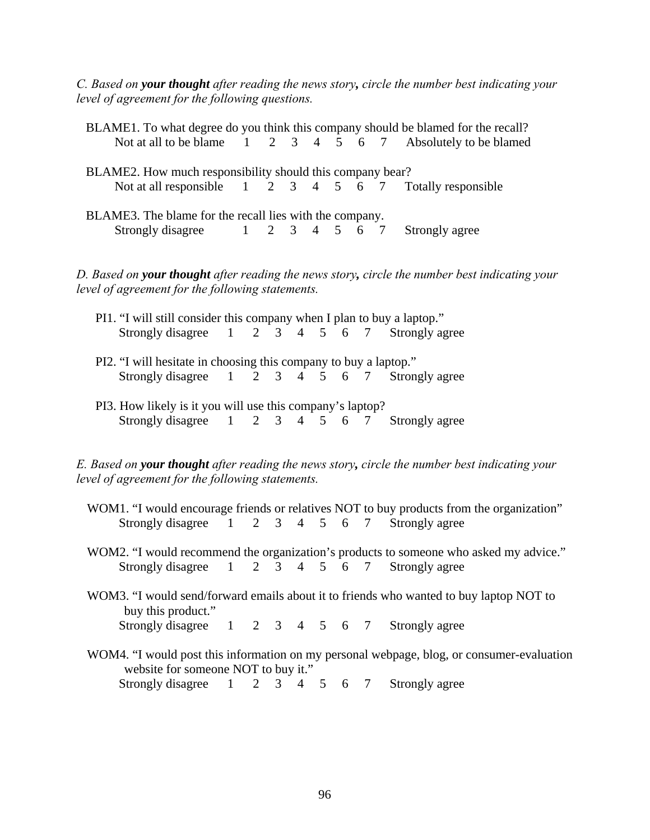*C. Based on your thought after reading the news story, circle the number best indicating your level of agreement for the following questions.*

|                                                                                                                                                   |                                                                                                                    |  |  |             |                |                |   |        |  | BLAME1. To what degree do you think this company should be blamed for the recall?             |
|---------------------------------------------------------------------------------------------------------------------------------------------------|--------------------------------------------------------------------------------------------------------------------|--|--|-------------|----------------|----------------|---|--------|--|-----------------------------------------------------------------------------------------------|
|                                                                                                                                                   |                                                                                                                    |  |  |             |                |                |   |        |  | Not at all to be blame 1 2 3 4 5 6 7 Absolutely to be blamed                                  |
|                                                                                                                                                   | BLAME2. How much responsibility should this company bear?                                                          |  |  |             |                |                |   |        |  |                                                                                               |
|                                                                                                                                                   |                                                                                                                    |  |  |             |                |                |   |        |  | Not at all responsible 1 2 3 4 5 6 7 Totally responsible                                      |
| BLAME3. The blame for the recall lies with the company.                                                                                           |                                                                                                                    |  |  |             |                |                |   |        |  |                                                                                               |
|                                                                                                                                                   | Strongly disagree $1 \t2 \t3 \t4 \t5 \t6 \t7$                                                                      |  |  |             |                |                |   |        |  | Strongly agree                                                                                |
|                                                                                                                                                   | level of agreement for the following statements.                                                                   |  |  |             |                |                |   |        |  | D. Based on your thought after reading the news story, circle the number best indicating your |
|                                                                                                                                                   | PI1. "I will still consider this company when I plan to buy a laptop."                                             |  |  |             |                |                |   |        |  |                                                                                               |
|                                                                                                                                                   | Strongly disagree $1 \t2 \t3 \t4 \t5 \t6 \t7$                                                                      |  |  |             |                |                |   |        |  | Strongly agree                                                                                |
|                                                                                                                                                   | PI2. "I will hesitate in choosing this company to buy a laptop."<br>Strongly disagree 1 2 3 4 5 6 7 Strongly agree |  |  |             |                |                |   |        |  |                                                                                               |
|                                                                                                                                                   | PI3. How likely is it you will use this company's laptop?                                                          |  |  |             |                |                |   |        |  |                                                                                               |
|                                                                                                                                                   | Strongly disagree 1 2 3 4 5 6 7 Strongly agree                                                                     |  |  |             |                |                |   |        |  |                                                                                               |
| E. Based on your thought after reading the news story, circle the number best indicating your<br>level of agreement for the following statements. |                                                                                                                    |  |  |             |                |                |   |        |  |                                                                                               |
|                                                                                                                                                   |                                                                                                                    |  |  |             |                |                |   |        |  | WOM1. "I would encourage friends or relatives NOT to buy products from the organization"      |
|                                                                                                                                                   | Strongly disagree $1 \t2 \t3 \t4 \t5 \t6 \t7$                                                                      |  |  |             |                |                |   |        |  | Strongly agree                                                                                |
|                                                                                                                                                   |                                                                                                                    |  |  |             |                |                |   |        |  | WOM2. "I would recommend the organization's products to someone who asked my advice."         |
|                                                                                                                                                   | Strongly disagree 1                                                                                                |  |  | $2 \quad 3$ | $\overline{4}$ | 5 <sup>5</sup> | 6 | $\tau$ |  | Strongly agree                                                                                |
|                                                                                                                                                   |                                                                                                                    |  |  |             |                |                |   |        |  |                                                                                               |

WOM3. "I would send/forward emails about it to friends who wanted to buy laptop NOT to buy this product." Strongly disagree 1 2 3 4 5 6 7 Strongly agree

WOM4. "I would post this information on my personal webpage, blog, or consumer-evaluation website for someone NOT to buy it." Strongly disagree 1 2 3 4 5 6 7 Strongly agree